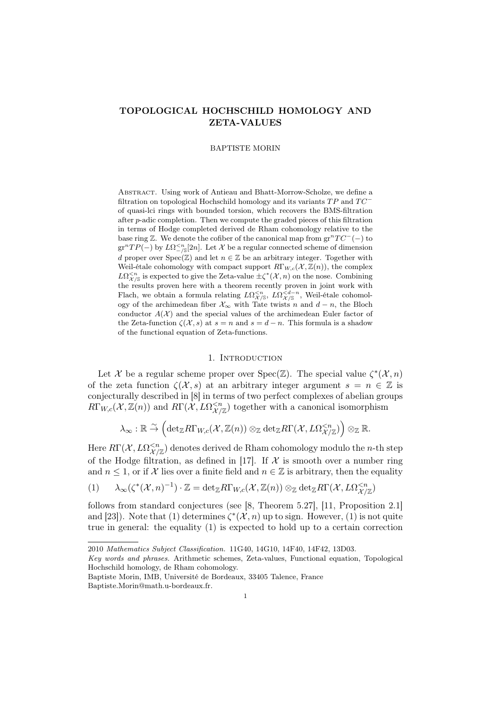# TOPOLOGICAL HOCHSCHILD HOMOLOGY AND ZETA-VALUES

BAPTISTE MORIN

Abstract. Using work of Antieau and Bhatt-Morrow-Scholze, we define a filtration on topological Hochschild homology and its variants  $TP$  and  $TC^$ of quasi-lci rings with bounded torsion, which recovers the BMS-filtration after p-adic completion. Then we compute the graded pieces of this filtration in terms of Hodge completed derived de Rham cohomology relative to the base ring  $\mathbb{Z}$ . We denote the cofiber of the canonical map from  $gr^nTC^{-}(-)$  to  $gr^nTP(-)$  by  $L\Omega^{-\kappa}_{-\sqrt{S}}[2n]$ . Let X be a regular connected scheme of dimension d proper over  $Spec(\mathbb{Z})$  and let  $n \in \mathbb{Z}$  be an arbitrary integer. Together with Weil-étale cohomology with compact support  $R\Gamma_{W,c}(\mathcal{X},\mathbb{Z}(n))$ , the complex  $L\Omega_{\mathcal{X}/\mathbb{S}}^{\leq n}$  is expected to give the Zeta-value  $\pm \zeta^*(\mathcal{X}, n)$  on the nose. Combining the results proven here with a theorem recently proven in joint work with Flach, we obtain a formula relating  $L\Omega_{\mathcal{X}/\mathbb{S}}^{\leq n}$ ,  $L\Omega_{\mathcal{X}/\mathbb{S}}^{\leq d-n}$ , Weil-étale cohomology of the archimedean fiber  $\mathcal{X}_{\infty}$  with Tate twists n and  $d - n$ , the Bloch conductor  $A(\mathcal{X})$  and the special values of the archimedean Euler factor of the Zeta-function  $\zeta(\mathcal{X}, s)$  at  $s = n$  and  $s = d - n$ . This formula is a shadow of the functional equation of Zeta-functions.

### 1. INTRODUCTION

Let X be a regular scheme proper over Spec( $\mathbb{Z}$ ). The special value  $\zeta^*(\mathcal{X}, n)$ of the zeta function  $\zeta(\mathcal{X}, s)$  at an arbitrary integer argument  $s = n \in \mathbb{Z}$  is conjecturally described in [8] in terms of two perfect complexes of abelian groups  $R\Gamma_{W,c}(\mathcal{X}, \mathbb{Z}(n))$  and  $R\Gamma(\mathcal{X}, L\Omega_{\mathcal{X}/\mathbb{Z}}^{ together with a canonical isomorphism$ 

$$
\lambda_\infty: \mathbb{R} \stackrel{\sim}{\to} \left( \det_\mathbb{Z} R\Gamma_{W,c}(\mathcal{X},\mathbb{Z}(n)) \otimes_\mathbb{Z} \det_\mathbb{Z} R\Gamma(\mathcal{X},L\Omega^{
$$

Here  $R\Gamma(\mathcal{X},L\Omega^{ denotes derived de Rham cohomology modulo the *n*-th step$ of the Hodge filtration, as defined in [17]. If  $\mathcal X$  is smooth over a number ring and  $n \leq 1$ , or if X lies over a finite field and  $n \in \mathbb{Z}$  is arbitrary, then the equality

$$
(1) \qquad \lambda_{\infty}(\zeta^{*}(\mathcal{X},n)^{-1}) \cdot \mathbb{Z} = \text{det}_{\mathbb{Z}}R\Gamma_{W,c}(\mathcal{X},\mathbb{Z}(n)) \otimes_{\mathbb{Z}} \text{det}_{\mathbb{Z}}R\Gamma(\mathcal{X},L\Omega^{
$$

follows from standard conjectures (see [8, Theorem 5.27], [11, Proposition 2.1] and [23]). Note that (1) determines  $\zeta^*(\mathcal{X}, n)$  up to sign. However, (1) is not quite true in general: the equality (1) is expected to hold up to a certain correction

<sup>2010</sup> Mathematics Subject Classification. 11G40, 14G10, 14F40, 14F42, 13D03.

Key words and phrases. Arithmetic schemes, Zeta-values, Functional equation, Topological Hochschild homology, de Rham cohomology.

Baptiste Morin, IMB, Université de Bordeaux, 33405 Talence, France Baptiste.Morin@math.u-bordeaux.fr.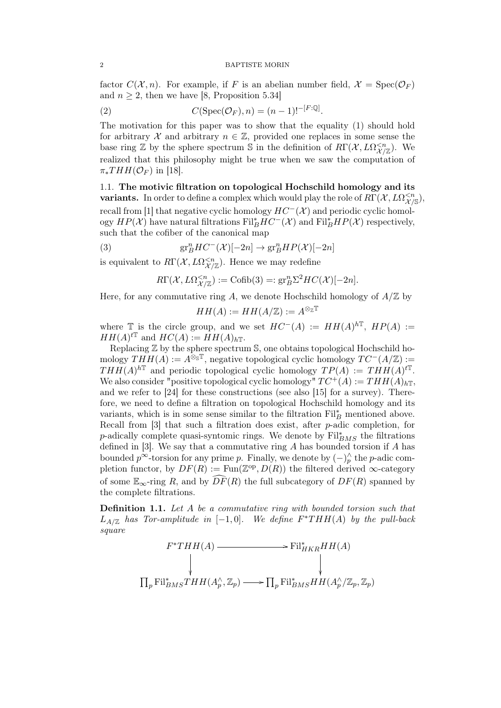factor  $C(\mathcal{X}, n)$ . For example, if F is an abelian number field,  $\mathcal{X} = \text{Spec}(\mathcal{O}_F)$ and  $n \geq 2$ , then we have [8, Proposition 5.34]

(2) 
$$
C(\operatorname{Spec}(\mathcal{O}_F), n) = (n-1)!^{-[F:\mathbb{Q}]}.
$$

The motivation for this paper was to show that the equality (1) should hold for arbitrary X and arbitrary  $n \in \mathbb{Z}$ , provided one replaces in some sense the base ring  $\mathbb Z$  by the sphere spectrum  $\mathbb S$  in the definition of  $R\Gamma(\mathcal X, L\Omega^{. We$ realized that this philosophy might be true when we saw the computation of  $\pi_*THH(\mathcal{O}_F)$  in [18].

1.1. The motivic filtration on topological Hochschild homology and its **variants.** In order to define a complex which would play the role of  $R\Gamma(\mathcal{X}, L\Omega_{\mathcal{X}/S}^{< n})$ , recall from [1] that negative cyclic homology  $HC^{-}(\mathcal{X})$  and periodic cyclic homology  $HP(X)$  have natural filtrations  $\text{Fil}_{B}^{*}HC^{-}(\mathcal{X})$  and  $\text{Fil}_{B}^{*}HP(\mathcal{X})$  respectively, such that the cofiber of the canonical map

(3) 
$$
\mathrm{gr}^n_BHC^-(\mathcal{X})[-2n] \to \mathrm{gr}^n_BHP(\mathcal{X})[-2n]
$$

is equivalent to  $R\Gamma(\mathcal{X}, L\Omega_{\mathcal{X}/\mathbb{Z}}^{. Hence we may redefine$ 

$$
R\Gamma(\mathcal{X}, L\Omega^{
$$

Here, for any commutative ring A, we denote Hochschild homology of  $A/\mathbb{Z}$  by

$$
HH(A) := HH(A/\mathbb{Z}) := A^{\otimes_{\mathbb{Z}} \mathbb{T}}
$$

where T is the circle group, and we set  $HC^{-}(A) := HH(A)^{hT}$ ,  $HP(A) :=$  $HH(A)^{t\mathbb{T}}$  and  $HC(A) := HH(A)_{h\mathbb{T}}$ .

Replacing Z by the sphere spectrum S, one obtains topological Hochschild homology  $THH(A) := A^{\otimes_{\mathbb{S}} \mathbb{T}}$ , negative topological cyclic homology  $TC^{-}(A/\mathbb{Z}) :=$  $THH(A)^{h\mathbb{T}}$  and periodic topological cyclic homology  $TP(A) := THH(A)^{t\mathbb{T}}$ . We also consider "positive topological cyclic homology"  $TC^+(A) := THH(A)_{h\mathbb{T}},$ and we refer to [24] for these constructions (see also [15] for a survey). Therefore, we need to define a filtration on topological Hochschild homology and its variants, which is in some sense similar to the filtration  $\mathrm{Fil}^*_B$  mentioned above. Recall from [3] that such a filtration does exist, after p-adic completion, for p-adically complete quasi-syntomic rings. We denote by  $\text{Fil}_{BMS}^*$  the filtrations defined in  $[3]$ . We say that a commutative ring A has bounded torsion if A has bounded  $p^{\infty}$ -torsion for any prime p. Finally, we denote by  $(-)_{p}^{\wedge}$  the p-adic completion functor, by  $DF(R) := \text{Fun}(\mathbb{Z}^{\text{op}}, D(R))$  the filtered derived  $\infty$ -category of some  $\mathbb{E}_{\infty}$ -ring R, and by  $\widehat{DF}(R)$  the full subcategory of  $DF(R)$  spanned by the complete filtrations.

Definition 1.1. Let A be a commutative ring with bounded torsion such that  $L_{A/\mathbb{Z}}$  has Tor-amplitude in  $[-1,0]$ . We define  $F^*THH(A)$  by the pull-back square

$$
\Pi_p \text{Fil}_{BMS}^* THH(A) \longrightarrow \text{Fil}_{HKR}^* HH(A)
$$
\n
$$
\downarrow \qquad \qquad \downarrow
$$
\n
$$
\Pi_p \text{Fil}_{BMS}^* THH(A_p^{\wedge}, \mathbb{Z}_p) \longrightarrow \Pi_p \text{Fil}_{BMS}^* HH(A_p^{\wedge}/\mathbb{Z}_p, \mathbb{Z}_p)
$$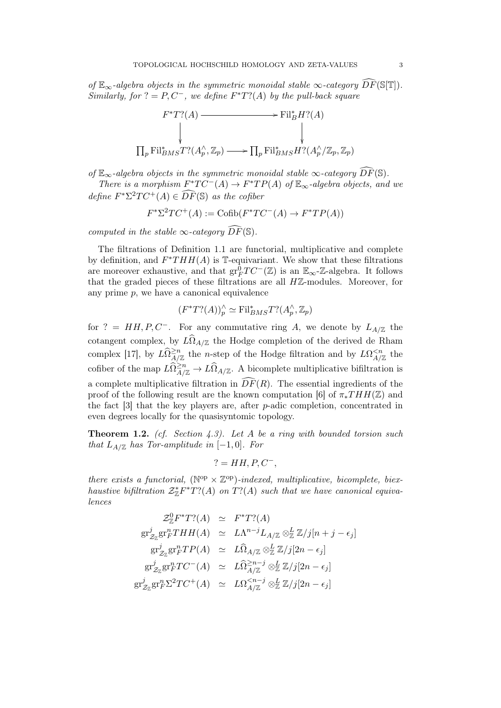of  $\mathbb{E}_{\infty}$ -algebra objects in the symmetric monoidal stable  $\infty$ -category  $\widehat{DF}(\mathbb{S}[\mathbb{T}]).$ Similarly, for  $? = P, C^-$ , we define  $F^*T? (A)$  by the pull-back square



of  $\mathbb{E}_{\infty}$ -algebra objects in the symmetric monoidal stable  $\infty$ -category  $\widehat{DF}(\mathbb{S})$ .

There is a morphism  $F^*TC^-(A) \to F^*TP(A)$  of  $\mathbb{E}_{\infty}$ -algebra objects, and we define  $F^*\Sigma^2TC^+(A) \in \widehat{DF}(\mathbb{S})$  as the cofiber

$$
F^*\Sigma^2TC^+(A) := \text{Cofib}(F^*TC^-(A) \to F^*TP(A))
$$

computed in the stable  $\infty$ -category  $\widehat{DF}(\mathbb{S})$ .

The filtrations of Definition 1.1 are functorial, multiplicative and complete by definition, and  $F^*THH(A)$  is T-equivariant. We show that these filtrations are moreover exhaustive, and that  $gr_F^{\bar{0}}TC^{-}(\mathbb{Z})$  is an  $\mathbb{E}_{\infty}$ -Z-algebra. It follows that the graded pieces of these filtrations are all  $H\mathbb{Z}$ -modules. Moreover, for any prime  $p$ , we have a canonical equivalence

$$
(F^*T? (A))_p^\wedge \simeq \text{Fil}_{BMS}^* T? (A_p^\wedge, \mathbb{Z}_p)
$$

for ? = HH, P, C<sup>-</sup>. For any commutative ring A, we denote by  $L_{A/\mathbb{Z}}$  the cotangent complex, by  $L\Omega_{A/\mathbb{Z}}$  the Hodge completion of the derived de Rham complex [17], by  $L\Omega_{A/\mathbb{Z}}^{\geq n}$  the *n*-step of the Hodge filtration and by  $L\Omega_{A/\mathbb{Z}}^{< n}$  the cofiber of the map  $L\widehat{\Omega}_{A/\mathbb{Z}}^{2n} \to L\widehat{\Omega}_{A/\mathbb{Z}}$ . A bicomplete multiplicative bifiltration is a complete multiplicative filtration in  $\overline{DF}(R)$ . The essential ingredients of the proof of the following result are the known computation [6] of  $\pi_*THH(\mathbb{Z})$  and the fact  $[3]$  that the key players are, after p-adic completion, concentrated in even degrees locally for the quasisyntomic topology.

**Theorem 1.2.** (cf. Section 4.3). Let A be a ring with bounded torsion such that  $L_{A/\mathbb{Z}}$  has Tor-amplitude in  $[-1,0]$ . For

$$
? = HH, P, C^-,
$$

there exists a functorial,  $(N^{op} \times \mathbb{Z}^{op})$ -indexed, multiplicative, bicomplete, biexhaustive bifiltration  $\mathcal{Z}_{\mathbb{Z}}^*F^*T?(A)$  on  $T?(A)$  such that we have canonical equivalences

$$
\mathcal{Z}_{\mathbb{Z}}^{0} F^* T? (A) \simeq F^* T? (A)
$$
  
\n
$$
gr^j_{\mathcal{Z}_{\mathbb{Z}}} gr^n_F THH(A) \simeq L\Lambda^{n-j} L_{A/\mathbb{Z}} \otimes_{\mathbb{Z}}^L \mathbb{Z}/j[n+j-\epsilon_j]
$$
  
\n
$$
gr^j_{\mathcal{Z}_{\mathbb{Z}}} gr^n_F TP(A) \simeq L\widehat{\Omega}_{A/\mathbb{Z}} \otimes_{\mathbb{Z}}^L \mathbb{Z}/j[2n-\epsilon_j]
$$
  
\n
$$
gr^j_{\mathcal{Z}_{\mathbb{Z}}} gr^n_F TC^-(A) \simeq L\widehat{\Omega}_{A/\mathbb{Z}}^{>n-j} \otimes_{\mathbb{Z}}^L \mathbb{Z}/j[2n-\epsilon_j]
$$
  
\n
$$
gr^j_{\mathcal{Z}_{\mathbb{Z}}} gr^n_F \Sigma^2 TC^+(A) \simeq L\Omega_{A/\mathbb{Z}}^{
$$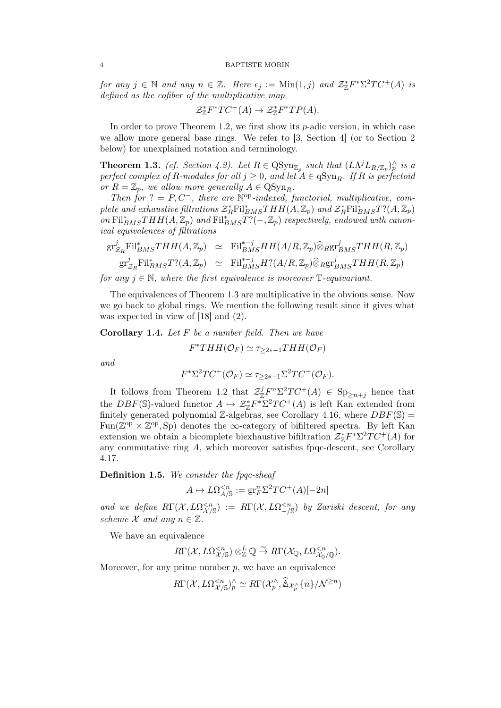#### 4 BAPTISTE MORIN

for any  $j \in \mathbb{N}$  and any  $n \in \mathbb{Z}$ . Here  $\epsilon_j := \text{Min}(1, j)$  and  $\mathcal{Z}_{\mathbb{Z}}^* F^* \Sigma^2 T C^+(A)$  is defined as the cofiber of the multiplicative map

$$
\mathcal{Z}_{\mathbb{Z}}^* F^* T C^-(A) \to \mathcal{Z}_{\mathbb{Z}}^* F^* T P(A).
$$

In order to prove Theorem 1.2, we first show its  $p$ -adic version, in which case we allow more general base rings. We refer to [3, Section 4] (or to Section 2 below) for unexplained notation and terminology.

**Theorem 1.3.** (cf. Section 4.2). Let  $R \in \text{QSyn}_{\mathbb{Z}_p}$  such that  $(L\Lambda^j L_{R/\mathbb{Z}_p})^\wedge_p$  is a perfect complex of R-modules for all  $j \geq 0$ , and let  $A \in \mathrm{qSyn}_R$ . If R is perfectoid or  $R = \mathbb{Z}_p$ , we allow more generally  $A \in \text{QSyn}_R$ .

Then for ? =  $P, C^-$ , there are  $\mathbb{N}^{\text{op}}$ -indexed, functorial, multiplicative, complete and exhaustive filtrations  $\mathcal{Z}_R^* \text{Fil}_{BMS}^* THH(A,\mathbb{Z}_p)$  and  $\mathcal{Z}_R^* \text{Fil}_{BMS}^* T? (A,\mathbb{Z}_p)$ on  $\text{Fil}_{BMS}^*THH(A,\mathbb{Z}_p)$  and  $\text{Fil}_{BMS}^*T?(-,\mathbb{Z}_p)$  respectively, endowed with canonical equivalences of filtrations

$$
\begin{array}{rcl}\n\operatorname{gr}_{\mathcal{Z}_R}^j \operatorname{Fil}_{BMS}^* THH(A,\mathbb{Z}_p) & \simeq & \operatorname{Fil}_{BMS}^{*-j}HH(A/R,\mathbb{Z}_p) \widehat{\otimes}_R \operatorname{gr}_{BMS}^jTHH(R,\mathbb{Z}_p) \\
\operatorname{gr}_{\mathcal{Z}_R}^j \operatorname{Fil}_{BMS}^* T? (A,\mathbb{Z}_p) & \simeq & \operatorname{Fil}_{BMS}^{*-j}H? (A/R,\mathbb{Z}_p) \widehat{\otimes}_R \operatorname{gr}_{BMS}^jTHH(R,\mathbb{Z}_p)\n\end{array}
$$

for any  $j \in \mathbb{N}$ , where the first equivalence is moreover  $\mathbb{T}$ -equivariant.

The equivalences of Theorem 1.3 are multiplicative in the obvious sense. Now we go back to global rings. We mention the following result since it gives what was expected in view of [18] and (2).

**Corollary 1.4.** Let  $F$  be a number field. Then we have

$$
F^*THH(\mathcal{O}_F) \simeq \tau_{\geq 2*-1}THH(\mathcal{O}_F)
$$

and

$$
F^*\Sigma^2TC^+(\mathcal{O}_F)\simeq \tau_{\geq 2*-1}\Sigma^2TC^+(\mathcal{O}_F).
$$

It follows from Theorem 1.2 that  $\mathcal{Z}_{\mathbb{Z}}^{j}F^{n}\Sigma^{2}TC^{+}(A) \in \text{Sp}_{\geq n+j}$  hence that the DBF(S)-valued functor  $A \mapsto \mathcal{Z}_{\mathbb{Z}}^* F^* \Sigma^2 T C^+(A)$  is left Kan extended from finitely generated polynomial Z-algebras, see Corollary 4.16, where  $DBF(\mathbb{S}) =$ Fun( $\mathbb{Z}^{op} \times \mathbb{Z}^{op}$ , Sp) denotes the  $\infty$ -category of bifiltered spectra. By left Kan extension we obtain a bicomplete biexhaustive bifiltration  $\mathcal{Z}_{\mathbb{Z}}^*F^*\Sigma^2TC^+(A)$  for any commutative ring  $A$ , which moreover satisfies fpqc-descent, see Corollary 4.17.

Definition 1.5. We consider the fpqc-sheaf

$$
A \mapsto L\Omega_{A/\mathbb{S}}^{
$$

and we define  $R\Gamma(\mathcal{X}, L\Omega_{\mathcal{X}/\mathbb{S}}^{< n}) := R\Gamma(\mathcal{X}, L\Omega_{-\mathcal{/S}}^{< n})$  by Zariski descent, for any scheme X and any  $n \in \mathbb{Z}$ .

We have an equivalence

$$
R\Gamma(\mathcal{X},L\Omega^{
$$

Moreover, for any prime number  $p$ , we have an equivalence

$$
R\Gamma(\mathcal{X}, L\Omega^{
$$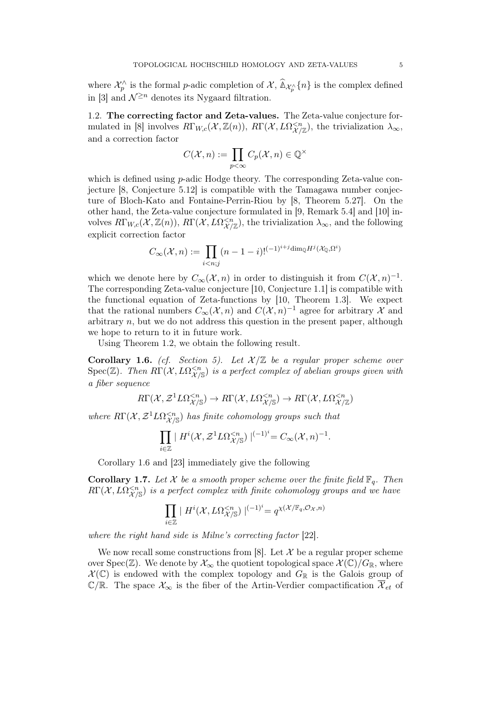where  $\mathcal{X}_p^{\wedge}$  is the formal *p*-adic completion of  $\mathcal{X}, \widehat{\mathbb{A}}_{\mathcal{X}_p^{\wedge}}\{n\}$  is the complex defined in [3] and  $\mathcal{N}^{\geq n}$  denotes its Nygaard filtration.

1.2. The correcting factor and Zeta-values. The Zeta-value conjecture formulated in [8] involves  $R\Gamma_{W,c}(\mathcal{X}, \mathbb{Z}(n)), R\Gamma(\mathcal{X}, L\Omega_{\mathcal{X}/\mathbb{Z}}^{< n}),$  the trivialization  $\lambda_{\infty}$ , and a correction factor

$$
C(\mathcal{X}, n) := \prod_{p < \infty} C_p(\mathcal{X}, n) \in \mathbb{Q}^{\times}
$$

which is defined using *p*-adic Hodge theory. The corresponding Zeta-value conjecture [8, Conjecture 5.12] is compatible with the Tamagawa number conjecture of Bloch-Kato and Fontaine-Perrin-Riou by [8, Theorem 5.27]. On the other hand, the Zeta-value conjecture formulated in [9, Remark 5.4] and [10] involves  $R\Gamma_{W,c}(\mathcal{X}, \mathbb{Z}(n)), R\Gamma(\mathcal{X}, L\Omega^{, the trivialization  $\lambda_{\infty}$ , and the following$ explicit correction factor

$$
C_{\infty}(\mathcal{X}, n) := \prod_{i < n; j} (n - 1 - i)!^{(-1)^{i + j} \dim_{\mathbb{Q}} H^j(\mathcal{X}_{\mathbb{Q}}, \Omega^i)}
$$

which we denote here by  $C_{\infty}(\mathcal{X}, n)$  in order to distinguish it from  $C(\mathcal{X}, n)^{-1}$ . The corresponding Zeta-value conjecture [10, Conjecture 1.1] is compatible with the functional equation of Zeta-functions by [10, Theorem 1.3]. We expect that the rational numbers  $C_{\infty}(\mathcal{X}, n)$  and  $C(\mathcal{X}, n)^{-1}$  agree for arbitrary  $\mathcal X$  and arbitrary  $n$ , but we do not address this question in the present paper, although we hope to return to it in future work.

Using Theorem 1.2, we obtain the following result.

**Corollary 1.6.** (cf. Section 5). Let  $\mathcal{X}/\mathbb{Z}$  be a regular proper scheme over  $Spec(\mathbb{Z})$ . Then  $R\Gamma(\mathcal{X}, L\Omega^{ is a perfect complex of abelian groups given with$ a fiber sequence

$$
R\Gamma(\mathcal{X},\mathcal{Z}^1L\Omega^{
$$

where  $R\Gamma(\mathcal{X}, \mathcal{Z}^1L\Omega^{ has finite cohomology groups such that$ 

$$
\prod_{i\in\mathbb{Z}}\mid H^i(\mathcal{X},\mathcal{Z}^1L\Omega^{
$$

Corollary 1.6 and [23] immediately give the following

**Corollary 1.7.** Let X be a smooth proper scheme over the finite field  $\mathbb{F}_q$ . Then  $R\Gamma(\mathcal{X},L\Omega^{ is a perfect complex with finite cohomology groups and we have$ 

$$
\prod_{i\in\mathbb{Z}}\mid H^{i}(\mathcal{X},L\Omega^{
$$

where the right hand side is Milne's correcting factor [22].

We now recall some constructions from [8]. Let  $\mathcal X$  be a regular proper scheme over Spec( $\mathbb{Z}$ ). We denote by  $\mathcal{X}_{\infty}$  the quotient topological space  $\mathcal{X}(\mathbb{C})/G_{\mathbb{R}}$ , where  $\mathcal{X}(\mathbb{C})$  is endowed with the complex topology and  $G_{\mathbb{R}}$  is the Galois group of  $\mathbb{C}/\mathbb{R}$ . The space  $\mathcal{X}_{\infty}$  is the fiber of the Artin-Verdier compactification  $\overline{\mathcal{X}}_{et}$  of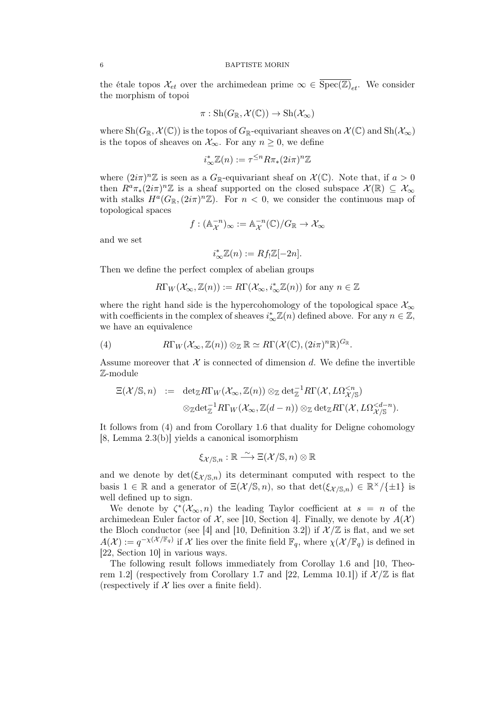the étale topos  $\mathcal{X}_{et}$  over the archimedean prime  $\infty \in \overline{\text{Spec}(\mathbb{Z})}_{et}$ . We consider the morphism of topoi

$$
\pi: \mathrm{Sh}(G_{\mathbb{R}}, \mathcal{X}(\mathbb{C})) \to \mathrm{Sh}(\mathcal{X}_{\infty})
$$

where  $\text{Sh}(G_{\mathbb{R}}, \mathcal{X}(\mathbb{C}))$  is the topos of  $G_{\mathbb{R}}$ -equivariant sheaves on  $\mathcal{X}(\mathbb{C})$  and  $\text{Sh}(\mathcal{X}_{\infty})$ is the topos of sheaves on  $\mathcal{X}_{\infty}$ . For any  $n \geq 0$ , we define

$$
i_{\infty}^* \mathbb{Z}(n) := \tau^{\leq n} R \pi_*(2i\pi)^n \mathbb{Z}
$$

where  $(2i\pi)^n \mathbb{Z}$  is seen as a  $G_{\mathbb{R}}$ -equivariant sheaf on  $\mathcal{X}(\mathbb{C})$ . Note that, if  $a > 0$ then  $R^a \pi_*(2i\pi)^n \mathbb{Z}$  is a sheaf supported on the closed subspace  $\mathcal{X}(\mathbb{R}) \subseteq \mathcal{X}_{\infty}$ with stalks  $H^a(G_{\mathbb{R}}, (2i\pi)^n \mathbb{Z})$ . For  $n < 0$ , we consider the continuous map of topological spaces

$$
f: (\mathbb{A}_{\mathcal{X}}^{-n})_{\infty} := \mathbb{A}_{\mathcal{X}}^{-n}(\mathbb{C})/G_{\mathbb{R}} \to \mathcal{X}_{\infty}
$$

and we set

$$
i_{\infty}^* \mathbb{Z}(n) := Rf_! \mathbb{Z}[-2n].
$$

Then we define the perfect complex of abelian groups

$$
R\Gamma_W(\mathcal{X}_{\infty}, \mathbb{Z}(n)) := R\Gamma(\mathcal{X}_{\infty}, i_{\infty}^*\mathbb{Z}(n))
$$
 for any  $n \in \mathbb{Z}$ 

where the right hand side is the hypercohomology of the topological space  $\mathcal{X}_{\infty}$ with coefficients in the complex of sheaves  $i_{\infty}^* \mathbb{Z}(n)$  defined above. For any  $n \in \mathbb{Z}$ , we have an equivalence

(4) 
$$
R\Gamma_W(\mathcal{X}_{\infty}, \mathbb{Z}(n)) \otimes_{\mathbb{Z}} \mathbb{R} \simeq R\Gamma(\mathcal{X}(\mathbb{C}), (2i\pi)^n \mathbb{R})^{G_{\mathbb{R}}}.
$$

Assume moreover that  $\mathcal X$  is connected of dimension d. We define the invertible Z-module

$$
\Xi(\mathcal{X}/\mathbb{S},n) \ := \ \det_{\mathbb{Z}} R\Gamma_W(\mathcal{X}_{\infty},\mathbb{Z}(n)) \otimes_{\mathbb{Z}} \det_{\mathbb{Z}}^{-1} R\Gamma(\mathcal{X},L\Omega_{\mathcal{X}/\mathbb{S}}^{\leq n}) \otimes_{\mathbb{Z}} \det_{\mathbb{Z}}^{-1} R\Gamma_W(\mathcal{X}_{\infty},\mathbb{Z}(d-n)) \otimes_{\mathbb{Z}} \det_{\mathbb{Z}} R\Gamma(\mathcal{X},L\Omega_{\mathcal{X}/\mathbb{S}}^{\leq d-n}).
$$

It follows from (4) and from Corollary 1.6 that duality for Deligne cohomology [8, Lemma 2.3(b)] yields a canonical isomorphism

$$
\xi_{\mathcal{X}/\mathbb{S},n} : \mathbb{R} \xrightarrow{\sim} \Xi(\mathcal{X}/\mathbb{S},n) \otimes \mathbb{R}
$$

and we denote by  $\det(\xi_{\mathcal{X}/S,n})$  its determinant computed with respect to the basis  $1 \in \mathbb{R}$  and a generator of  $\Xi(\mathcal{X}/\mathbb{S},n)$ , so that  $\det(\xi_{\mathcal{X}/\mathbb{S},n}) \in \mathbb{R}^{\times}/\{\pm 1\}$  is well defined up to sign.

We denote by  $\zeta^*(\mathcal{X}_{\infty}, n)$  the leading Taylor coefficient at  $s = n$  of the archimedean Euler factor of  $\mathcal{X}$ , see [10, Section 4]. Finally, we denote by  $A(\mathcal{X})$ the Bloch conductor (see [4] and [10, Definition 3.2]) if  $\mathcal{X}/\mathbb{Z}$  is flat, and we set  $A(\mathcal{X}) := q^{-\chi(\mathcal{X}/\mathbb{F}_q)}$  if  $\mathcal X$  lies over the finite field  $\mathbb{F}_q$ , where  $\chi(\mathcal{X}/\mathbb{F}_q)$  is defined in [22, Section 10] in various ways.

The following result follows immediately from Corollay 1.6 and [10, Theorem 1.2] (respectively from Corollary 1.7 and [22, Lemma 10.1]) if  $\mathcal{X}/\mathbb{Z}$  is flat (respectively if  $X$  lies over a finite field).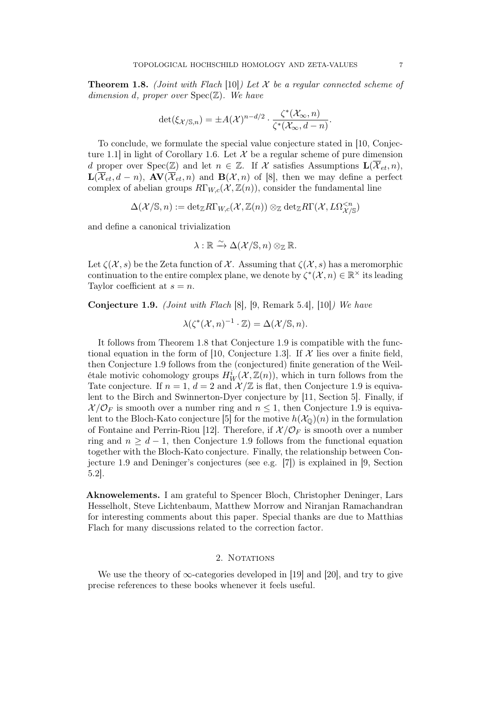**Theorem 1.8.** (Joint with Flach [10]) Let X be a regular connected scheme of dimension d, proper over  $Spec(\mathbb{Z})$ . We have

$$
\det(\xi_{\mathcal{X}/\mathbb{S},n}) = \pm A(\mathcal{X})^{n-d/2} \cdot \frac{\zeta^*(\mathcal{X}_{\infty},n)}{\zeta^*(\mathcal{X}_{\infty},d-n)}.
$$

To conclude, we formulate the special value conjecture stated in [10, Conjecture 1.1 in light of Corollary 1.6. Let  $\mathcal X$  be a regular scheme of pure dimension d proper over  $Spec(\mathbb{Z})$  and let  $n \in \mathbb{Z}$ . If X satisfies Assumptions  $\mathbf{L}(\overline{\mathcal{X}}_{et}, n)$ ,  $\mathbf{L}(\overline{\mathcal{X}}_{et},d-n), \mathbf{AV}(\overline{\mathcal{X}}_{et},n)$  and  $\mathbf{B}(\mathcal{X},n)$  of [8], then we may define a perfect complex of abelian groups  $R\Gamma_{W,c}(\mathcal{X}, \mathbb{Z}(n))$ , consider the fundamental line

$$
\Delta(\mathcal{X}/\mathbb{S},n):=\mathrm{det}_{\mathbb{Z}}R\Gamma_{W,c}(\mathcal{X},\mathbb{Z}(n))\otimes_{\mathbb{Z}}\mathrm{det}_{\mathbb{Z}}R\Gamma(\mathcal{X},L\Omega^{
$$

and define a canonical trivialization

$$
\lambda : \mathbb{R} \xrightarrow{\sim} \Delta(\mathcal{X}/\mathbb{S}, n) \otimes_{\mathbb{Z}} \mathbb{R}.
$$

Let  $\zeta(\mathcal{X},s)$  be the Zeta function of X. Assuming that  $\zeta(\mathcal{X},s)$  has a meromorphic continuation to the entire complex plane, we denote by  $\zeta^*(\mathcal{X}, n) \in \mathbb{R}^\times$  its leading Taylor coefficient at  $s = n$ .

Conjecture 1.9. (Joint with Flach [8], [9, Remark 5.4], [10]) We have

$$
\lambda(\zeta^*(\mathcal{X}, n)^{-1} \cdot \mathbb{Z}) = \Delta(\mathcal{X}/\mathbb{S}, n).
$$

It follows from Theorem 1.8 that Conjecture 1.9 is compatible with the functional equation in the form of [10, Conjecture 1.3]. If  $\mathcal X$  lies over a finite field, then Conjecture 1.9 follows from the (conjectured) finite generation of the Weilétale motivic cohomology groups  $H_W^i(\mathcal{X}, \mathbb{Z}(n))$ , which in turn follows from the Tate conjecture. If  $n = 1$ ,  $d = 2$  and  $\mathcal{X}/\mathbb{Z}$  is flat, then Conjecture 1.9 is equivalent to the Birch and Swinnerton-Dyer conjecture by [11, Section 5]. Finally, if  $\mathcal{X}/\mathcal{O}_F$  is smooth over a number ring and  $n \leq 1$ , then Conjecture 1.9 is equivalent to the Bloch-Kato conjecture [5] for the motive  $h(\mathcal{X}_0)(n)$  in the formulation of Fontaine and Perrin-Riou [12]. Therefore, if  $\mathcal{X}/\mathcal{O}_F$  is smooth over a number ring and  $n \geq d-1$ , then Conjecture 1.9 follows from the functional equation together with the Bloch-Kato conjecture. Finally, the relationship between Conjecture 1.9 and Deninger's conjectures (see e.g. [7]) is explained in [9, Section 5.2].

Aknowelements. I am grateful to Spencer Bloch, Christopher Deninger, Lars Hesselholt, Steve Lichtenbaum, Matthew Morrow and Niranjan Ramachandran for interesting comments about this paper. Special thanks are due to Matthias Flach for many discussions related to the correction factor.

## 2. NOTATIONS

We use the theory of  $\infty$ -categories developed in [19] and [20], and try to give precise references to these books whenever it feels useful.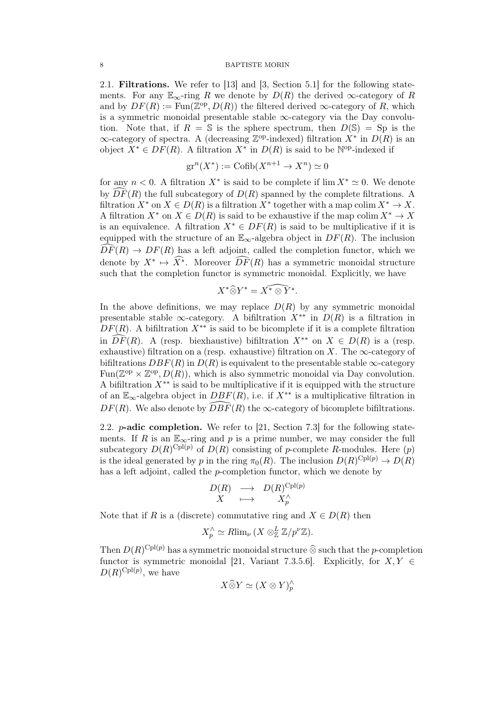#### 8 BAPTISTE MORIN

2.1. Filtrations. We refer to [13] and [3, Section 5.1] for the following statements. For any  $\mathbb{E}_{\infty}$ -ring R we denote by  $D(R)$  the derived  $\infty$ -category of R and by  $DF(R) := \text{Fun}(\mathbb{Z}^{\text{op}}, D(R))$  the filtered derived  $\infty$ -category of R, which is a symmetric monoidal presentable stable  $\infty$ -category via the Day convolution. Note that, if  $R = \mathbb{S}$  is the sphere spectrum, then  $D(\mathbb{S}) = \mathbb{S}$  is the  $\infty$ -category of spectra. A (decreasing  $\mathbb{Z}^{\text{op}}$ -indexed) filtration  $X^*$  in  $D(R)$  is an object  $X^* \in DF(R)$ . A filtration  $X^*$  in  $D(R)$  is said to be  $\mathbb{N}^{\text{op-}inde}$  if

$$
\operatorname{gr}^n(X^*) := \operatorname{Cofib}(X^{n+1} \to X^n) \simeq 0
$$

for any  $n < 0$ . A filtration  $X^*$  is said to be complete if  $\lim X^* \simeq 0$ . We denote by  $\widehat{DF}(R)$  the full subcategory of  $D(R)$  spanned by the complete filtrations. A filtration  $X^*$  on  $X \in D(R)$  is a filtration  $X^*$  together with a map colim  $X^* \to X$ . A filtration  $X^*$  on  $X \in D(R)$  is said to be exhaustive if the map colim  $X^* \to X$ is an equivalence. A filtration  $X^* \in DF(R)$  is said to be multiplicative if it is equipped with the structure of an  $\mathbb{E}_{\infty}$ -algebra object in  $DF(R)$ . The inclusion  $\widehat{DF}(R) \rightarrow DF(R)$  has a left adjoint, called the completion functor, which we denote by  $X^* \mapsto \widehat{X^*}$ . Moreover  $\widehat{DF}(R)$  has a symmetric monoidal structure such that the completion functor is symmetric monoidal. Explicitly, we have

$$
X^* \widehat{\otimes} Y^* = \widehat{X^* \otimes Y^*}.
$$

In the above definitions, we may replace  $D(R)$  by any symmetric monoidal presentable stable  $\infty$ -category. A bifiltration  $X^{**}$  in  $D(R)$  is a filtration in  $DF(R)$ . A bifiltration  $X^{**}$  is said to be bicomplete if it is a complete filtration in  $\widehat{DF}(R)$ . A (resp. biexhaustive) bifiltration  $X^{**}$  on  $X \in D(R)$  is a (resp. exhaustive) filtration on a (resp. exhaustive) filtration on X. The  $\infty$ -category of bifiltrations  $DBF(R)$  in  $D(R)$  is equivalent to the presentable stable  $\infty$ -category Fun( $\mathbb{Z}^{op} \times \mathbb{Z}^{op}, D(R)$ ), which is also symmetric monoidal via Day convolution. A bifiltration  $X^{**}$  is said to be multiplicative if it is equipped with the structure of an  $\mathbb{E}_{\infty}$ -algebra object in  $DBF(R)$ , i.e. if  $X^{**}$  is a multiplicative filtration in  $DF(R)$ . We also denote by  $\widehat{DBF}(R)$  the  $\infty$ -category of bicomplete bifiltrations.

2.2. p-adic completion. We refer to [21, Section 7.3] for the following statements. If R is an  $\mathbb{E}_{\infty}$ -ring and p is a prime number, we may consider the full subcategory  $D(R)^{\text{Cpl}(p)}$  of  $D(R)$  consisting of p-complete R-modules. Here  $(p)$ is the ideal generated by p in the ring  $\pi_0(R)$ . The inclusion  $D(R)^{\text{Cpl}(p)} \to D(R)$ has a left adjoint, called the p-completion functor, which we denote by

$$
\begin{array}{ccc}\nD(R) & \longrightarrow & D(R)^{\text{Cpl}(p)} \\
X & \longmapsto & X_p^{\wedge} \\
\end{array}
$$

Note that if R is a (discrete) commutative ring and  $X \in D(R)$  then

$$
X_p^{\wedge} \simeq R\lim_{\nu} (X \otimes_{\mathbb{Z}}^L \mathbb{Z}/p^{\nu} \mathbb{Z}).
$$

Then  $D(R)^{\text{Cpl}(p)}$  has a symmetric monoidal structure  $\widehat{\otimes}$  such that the p-completion for  $N$   $K$   $\subset$ functor is symmetric monoidal [21, Variant 7.3.5.6]. Explicitly, for  $X, Y \in$  $D(R)^{\text{Cpl}(p)}$ , we have

$$
X\widehat{\otimes} Y\simeq (X\otimes Y)^{\wedge}_p
$$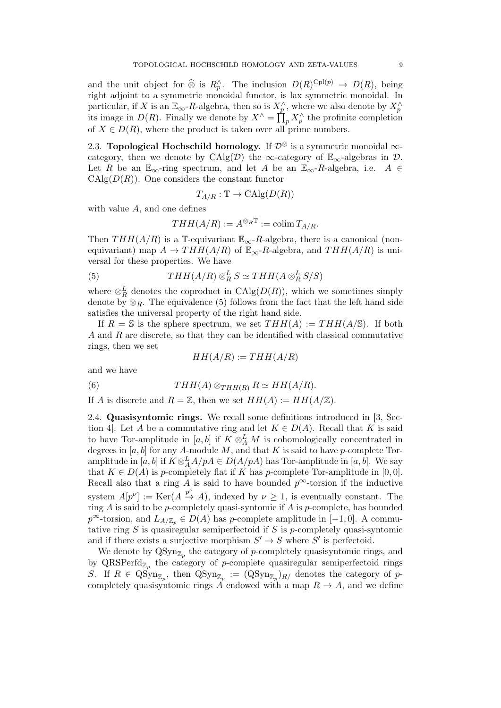and the unit object for  $\widehat{\otimes}$  is  $R_p^{\wedge}$ . The inclusion  $D(R)^{\text{Cpl}(p)} \to D(R)$ , being right adjoint to a symmetric monoidal functor, is lax symmetric monoidal. In particular, if X is an  $\mathbb{E}_{\infty}$ -R-algebra, then so is  $X_p^{\wedge}$ , where we also denote by  $X_p^{\wedge}$ its image in  $D(R)$ . Finally we denote by  $X^{\wedge} = \prod_{p} X^{\wedge}_p$  the profinite completion of  $X \in D(R)$ , where the product is taken over all prime numbers.

2.3. Topological Hochschild homology. If  $\mathcal{D}^{\otimes}$  is a symmetric monoidal  $\infty$ category, then we denote by CAlg(D) the  $\infty$ -category of  $\mathbb{E}_{\infty}$ -algebras in D. Let R be an  $\mathbb{E}_{\infty}$ -ring spectrum, and let A be an  $\mathbb{E}_{\infty}$ -R-algebra, i.e. A  $\in$  $CAlg(D(R))$ . One considers the constant functor

$$
T_{A/R}: \mathbb{T} \to \mathrm{CAlg}(D(R))
$$

with value  $A$ , and one defines

$$
THH(A/R) := A^{\otimes_R \mathbb{T}} := \operatorname{colim} T_{A/R}.
$$

Then  $THH(A/R)$  is a T-equivariant  $\mathbb{E}_{\infty}$ -R-algebra, there is a canonical (nonequivariant) map  $A \to THH(A/R)$  of  $\mathbb{E}_{\infty}$ -R-algebra, and  $THH(A/R)$  is universal for these properties. We have

(5) 
$$
THH(A/R) \otimes_R^L S \simeq THH(A \otimes_R^L S/S)
$$

where  $\otimes_R^L$  denotes the coproduct in  $\mathrm{CAlg}(D(R))$ , which we sometimes simply denote by  $\otimes_R$ . The equivalence (5) follows from the fact that the left hand side satisfies the universal property of the right hand side.

If  $R = S$  is the sphere spectrum, we set  $THH(A) := THH(A/S)$ . If both A and R are discrete, so that they can be identified with classical commutative rings, then we set

$$
HH(A/R) := THH(A/R)
$$

and we have

(6) 
$$
THH(A) \otimes_{THH(R)} R \simeq HH(A/R).
$$

If A is discrete and  $R = \mathbb{Z}$ , then we set  $HH(A) := HH(A/\mathbb{Z})$ .

2.4. Quasisyntomic rings. We recall some definitions introduced in [3, Section 4]. Let A be a commutative ring and let  $K \in D(A)$ . Recall that K is said to have Tor-amplitude in  $[a, b]$  if  $K \otimes_A^L M$  is cohomologically concentrated in degrees in  $[a, b]$  for any A-module M, and that K is said to have p-complete Toramplitude in  $[a, b]$  if  $K \otimes_A^L A/pA \in D(A/pA)$  has Tor-amplitude in  $[a, b]$ . We say that  $K \in D(A)$  is p-completely flat if K has p-complete Tor-amplitude in [0,0]. Recall also that a ring A is said to have bounded  $p^{\infty}$ -torsion if the inductive system  $A[p^{\nu}] := \text{Ker}(A \xrightarrow{p^{\nu}} A)$ , indexed by  $\nu \geq 1$ , is eventually constant. The ring  $A$  is said to be  $p$ -completely quasi-syntomic if  $A$  is  $p$ -complete, has bounded  $p^{\infty}$ -torsion, and  $L_{A/\mathbb{Z}_p} \in D(A)$  has p-complete amplitude in  $[-1,0]$ . A commutative ring  $S$  is quasiregular semiperfectoid if  $S$  is p-completely quasi-syntomic and if there exists a surjective morphism  $S' \to S$  where  $S'$  is perfectoid.

We denote by  $Q\text{Syn}_{\mathbb{Z}_p}$  the category of p-completely quasisyntomic rings, and by  $\text{QRSPerfd}_{\mathbb{Z}_p}$  the category of p-complete quasiregular semiperfectoid rings S. If  $R \in \text{QSyn}_{\mathbb{Z}_p}$ , then  $\text{QSyn}_{\mathbb{Z}_p} := (\text{QSyn}_{\mathbb{Z}_p})_{R}/$  denotes the category of pcompletely quasisyntomic rings A endowed with a map  $R \to A$ , and we define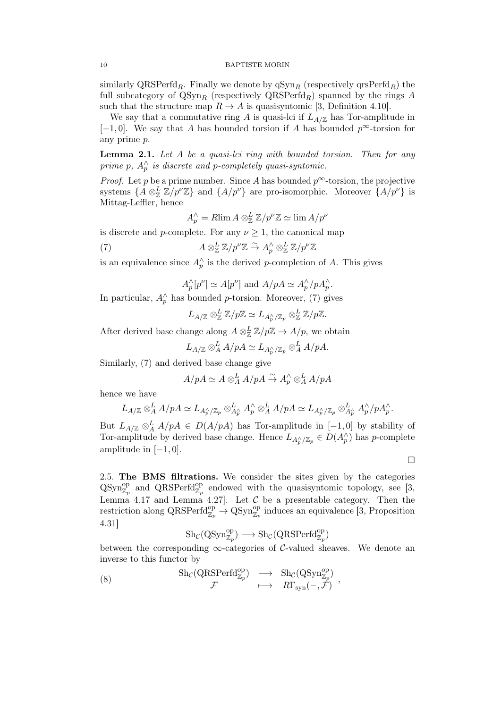similarly QRSPerfd<sub>R</sub>. Finally we denote by  $q\text{Syn}_R$  (respectively  $q\text{rsPerfd}_R$ ) the full subcategory of  $QSyn_R$  (respectively  $QRSPerfd_R$ ) spanned by the rings A such that the structure map  $R \to A$  is quasisyntomic [3, Definition 4.10].

We say that a commutative ring A is quasi-lci if  $L_{A/\mathbb{Z}}$  has Tor-amplitude in  $[-1, 0]$ . We say that A has bounded torsion if A has bounded  $p^{\infty}$ -torsion for any prime p.

**Lemma 2.1.** Let  $A$  be a quasi-lci ring with bounded torsion. Then for any prime p,  $A_p^{\wedge}$  is discrete and p-completely quasi-syntomic.

*Proof.* Let p be a prime number. Since A has bounded  $p^{\infty}$ -torsion, the projective systems  $\{A \otimes_{\mathbb{Z}}^L \mathbb{Z}/p^{\nu} \mathbb{Z}\}\$ and  $\{A/p^{\nu}\}\$ are pro-isomorphic. Moreover  $\{A/p^{\nu}\}\$ is Mittag-Leffler, hence

$$
A_p^{\wedge} = R \lim A \otimes_{\mathbb{Z}}^L \mathbb{Z}/p^{\nu} \mathbb{Z} \simeq \lim A/p^{\nu}
$$

is discrete and p-complete. For any  $\nu \geq 1$ , the canonical map

(7) 
$$
A \otimes_{\mathbb{Z}}^L \mathbb{Z}/p^{\nu} \mathbb{Z} \stackrel{\sim}{\to} A_p^{\wedge} \otimes_{\mathbb{Z}}^L \mathbb{Z}/p^{\nu} \mathbb{Z}
$$

is an equivalence since  $A_p^{\wedge}$  is the derived p-completion of A. This gives

 $A_p^{\wedge}[p^{\nu}] \simeq A[p^{\nu}]$  and  $A/pA \simeq A_p^{\wedge}/pA_p^{\wedge}$ .

In particular,  $A_p^{\wedge}$  has bounded p-torsion. Moreover, (7) gives

 $L_{A/\mathbb{Z}} \otimes_{\mathbb{Z}}^L \mathbb{Z}/p\mathbb{Z} \simeq L_{A_P'^{\backsim}/\mathbb{Z}_p} \otimes_{\mathbb{Z}}^L \mathbb{Z}/p\mathbb{Z}.$ 

After derived base change along  $A \otimes_{\mathbb{Z}}^L \mathbb{Z}/p\mathbb{Z} \to A/p$ , we obtain

 $L_{A/\mathbb{Z}} \otimes_A^L A/pA \simeq L_{A_p^\wedge/\mathbb{Z}_p} \otimes_A^L A/pA.$ 

Similarly, (7) and derived base change give

$$
A/pA \simeq A \otimes_A^L A/pA \xrightarrow{\sim} A_p^{\wedge} \otimes_A^L A/pA
$$

hence we have

$$
L_{A/\mathbb{Z}} \otimes_A^L A/pA \simeq L_{A_p^\wedge/\mathbb{Z}_p} \otimes_{A_p^\wedge}^L A_p^\wedge \otimes_A^L A/pA \simeq L_{A_p^\wedge/\mathbb{Z}_p} \otimes_{A_p^\wedge}^L A_p^\wedge/pA_p^\wedge.
$$

But  $L_{A/\mathbb{Z}} \otimes_A^L A/pA \in D(A/pA)$  has Tor-amplitude in  $[-1,0]$  by stability of Tor-amplitude by derived base change. Hence  $L_{A_p^{\wedge}/\mathbb{Z}_p} \in D(A_p^{\wedge})$  has p-complete amplitude in  $[-1, 0]$ .

 $\Box$ 

2.5. The BMS filtrations. We consider the sites given by the categories  $QSyn_{\mathbb{Z}_p}^{\text{op}}$  and  $QRSPerfd_{\mathbb{Z}_p}^{\text{op}}$  endowed with the quasisyntomic topology, see [3, Lemma 4.17 and Lemma 4.27. Let  $\mathcal C$  be a presentable category. Then the restriction along  $\text{QRSPerfd}_{\mathbb{Z}_p}^{\text{op}} \to \text{QSyn}_{\mathbb{Z}_p}^{\text{op}}$  induces an equivalence [3, Proposition 4.31]

$$
\operatorname{Sh}_{\mathcal{C}}(\operatorname{QSyn}_{\mathbb{Z}_p}^{\operatorname{op}}) \longrightarrow \operatorname{Sh}_{\mathcal{C}}(\operatorname{QRSPerfd}_{\mathbb{Z}_p}^{\operatorname{op}})
$$

between the corresponding  $\infty$ -categories of C-valued sheaves. We denote an inverse to this functor by

(8) 
$$
\operatorname{Sh}_{\mathcal{C}}(\operatorname{QRSPerfd}_{\mathbb{Z}_p}^{\operatorname{op}}) \longrightarrow \operatorname{Sh}_{\mathcal{C}}(\operatorname{QSyn}_{\mathbb{Z}_p}^{\operatorname{op}}) ,
$$

$$
\mathcal{F} \longmapsto R\Gamma_{\operatorname{syn}}(-, \mathcal{F}) ,
$$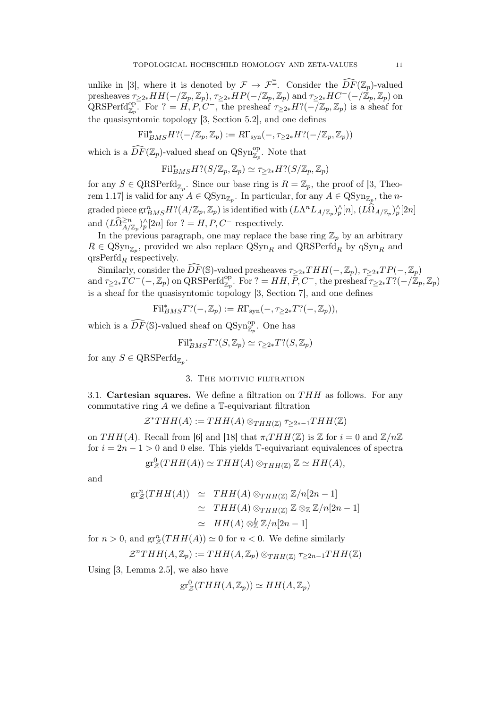unlike in [3], where it is denoted by  $\mathcal{F} \to \mathcal{F}^{\mathbb{Z}}$ . Consider the  $\widehat{DF}(\mathbb{Z}_{p})$ -valued presheaves  $\tau_{\geq 2*}HH(-/\mathbb{Z}_p,\mathbb{Z}_p), \tau_{\geq 2*}HP(-/\mathbb{Z}_p,\mathbb{Z}_p)$  and  $\tau_{\geq 2*}HC^-(-/\mathbb{Z}_p,\mathbb{Z}_p)$  on  $\text{QRSPerfd}_{\mathbb{Z}_p}^{\text{op}}$ . For  $? = H, P, C^-$ , the presheaf  $\tau_{\geq 2*}H?(-\overline{\mathbb{Z}}_p, \mathbb{Z}_p)$  is a sheaf for the quasisyntomic topology [3, Section 5.2], and one defines

$$
\mathrm{Fil}^*_{BMS}H?(-/\mathbb{Z}_p,\mathbb{Z}_p):=R\Gamma_{ \operatorname{syn} }(-,\tau_{\geq 2*}H?(-/\mathbb{Z}_p,\mathbb{Z}_p))
$$

which is a  $\widehat{DF}(\mathbb{Z}_p)$ -valued sheaf on QSyn<sup>op</sup><sub> $\mathbb{Z}_p$ </sub>. Note that

$$
\mathrm{Fil}_{BMS}^* H?(S/\mathbb{Z}_p, \mathbb{Z}_p) \simeq \tau_{\geq 2*} H?(S/\mathbb{Z}_p, \mathbb{Z}_p)
$$

for any  $S \in \text{QRSPerfd}_{\mathbb{Z}_p}$ . Since our base ring is  $R = \mathbb{Z}_p$ , the proof of [3, Theorem 1.17] is valid for any  $A \in \text{QSyn}_{\mathbb{Z}_p}$ . In particular, for any  $A \in \text{QSyn}_{\mathbb{Z}_p}$ , the ngraded piece  $gr^n_{BMS} H? (A/\mathbb{Z}_p, \mathbb{Z}_p)$  is identified with  $(L\Lambda^n L_{A/\mathbb{Z}_p})^\wedge_p[n], (L\widehat{\Omega}_{A/\mathbb{Z}_p})^\wedge_p[2n]$ and  $(L\widehat{\Omega}_{A/\mathbb{Z}_p}^{\geq n})_p^{\wedge}[2n]$  for  $? = H, P, C^-$  respectively.

In the previous paragraph, one may replace the base ring  $\mathbb{Z}_p$  by an arbitrary  $R \in \text{QSyn}_{\mathbb{Z}_p}$ , provided we also replace  $\text{QSyn}_R$  and  $\text{QRSPerfd}_R$  by  $\text{qSyn}_R$  and qrsPerfd<sub>R</sub> respectively.

Similarly, consider the  $\widehat{DF}(\mathbb{S})$ -valued presheaves  $\tau_{\geq 2*}THH(-, \mathbb{Z}_p)$ ,  $\tau_{\geq 2*}TP(-, \mathbb{Z}_p)$ and  $\tau_{\geq 2*}TC^{-}(-,\mathbb{Z}_p)$  on QRSPerfd $_{\mathbb{Z}_p}^{op}$ . For  $? = HH, \overline{P}, C^-$ , the presheaf  $\tau_{\geq 2*}T?(-/\mathbb{Z}_p, \mathbb{Z}_p)$ is a sheaf for the quasisyntomic topology [3, Section 7], and one defines

$$
\mathrm{Fil}_{BMS}^*T?(-,\mathbb{Z}_p):=R\Gamma_{\rm syn}(-,\tau_{\geq 2*}T?(-,\mathbb{Z}_p)),
$$

which is a  $\widehat{DF}(\mathbb{S})$ -valued sheaf on  $\mathrm{QSyn}_{\mathbb{Z}_p}^{\mathrm{op}}$ . One has

$$
\mathrm{Fil}_{BMS}^*T?(S, \mathbb{Z}_p) \simeq \tau_{\geq 2*}T?(S, \mathbb{Z}_p)
$$

for any  $S \in \text{QRSPerfd}_{\mathbb{Z}_p}$ .

### 3. The motivic filtration

3.1. Cartesian squares. We define a filtration on  $THH$  as follows. For any commutative ring  $A$  we define a  $\mathbb{T}$ -equivariant filtration

$$
\mathcal{Z}^*THH(A) := THH(A) \otimes_{THH(\mathbb{Z})} \tau_{\geq 2*-1}THH(\mathbb{Z})
$$

on THH(A). Recall from [6] and [18] that  $\pi_i T H H(\mathbb{Z})$  is  $\mathbb Z$  for  $i = 0$  and  $\mathbb Z/n\mathbb Z$ for  $i = 2n - 1 > 0$  and 0 else. This yields T-equivariant equivalences of spectra

$$
\operatorname{gr}^0_{\mathcal{Z}}(THH(A)) \simeq THH(A) \otimes_{THH(\mathbb{Z})} \mathbb{Z} \simeq HH(A),
$$

and

$$
\begin{aligned}\n\operatorname{gr}_{\mathcal{Z}}^n(THH(A)) &\simeq THH(A) \otimes_{THH(\mathbb{Z})} \mathbb{Z}/n[2n-1] \\
&\simeq THH(A) \otimes_{THH(\mathbb{Z})} \mathbb{Z} \otimes_{\mathbb{Z}} \mathbb{Z}/n[2n-1] \\
&\simeq HH(A) \otimes_{\mathbb{Z}}^L \mathbb{Z}/n[2n-1]\n\end{aligned}
$$

for  $n > 0$ , and  $gr_{\mathcal{Z}}^n(THH(A)) \simeq 0$  for  $n < 0$ . We define similarly

$$
\mathcal{Z}^nTHH(A,\mathbb{Z}_p) := THH(A,\mathbb{Z}_p) \otimes_{THH(\mathbb{Z})} \tau_{\geq 2n-1}THH(\mathbb{Z})
$$

Using [3, Lemma 2.5], we also have

$$
\operatorname{gr}^0_{\mathcal{Z}}(THH(A,\mathbb{Z}_p)) \simeq HH(A,\mathbb{Z}_p)
$$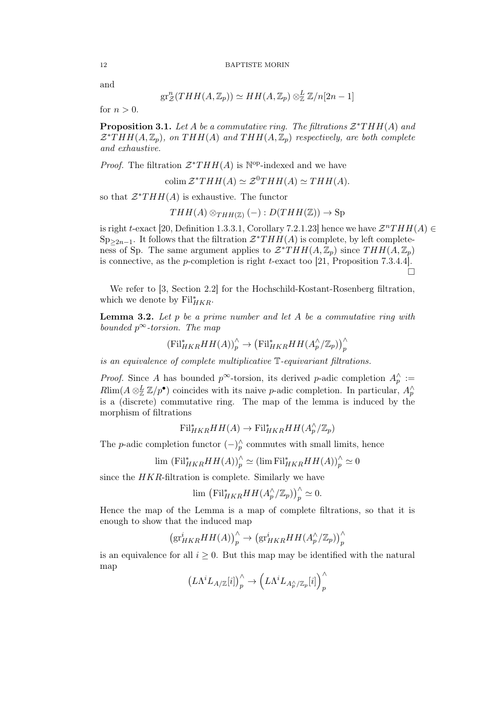and

$$
\operatorname{gr}^n_{\mathcal{Z}}(THH(A,\mathbb{Z}_p)) \simeq HH(A,\mathbb{Z}_p) \otimes^L_{\mathbb{Z}} \mathbb{Z}/n[2n-1]
$$

for  $n > 0$ .

**Proposition 3.1.** Let A be a commutative ring. The filtrations  $\mathcal{Z}^*THH(A)$  and  $\mathcal{Z}^*THH(A,\mathbb{Z}_p)$ , on  $THH(A)$  and  $THH(A,\mathbb{Z}_p)$  respectively, are both complete and exhaustive.

*Proof.* The filtration  $\mathcal{Z}^*THH(A)$  is  $\mathbb{N}^{\text{op}}$ -indexed and we have

colim  $\mathcal{Z}^*THH(A) \simeq \mathcal{Z}^0THH(A) \simeq THH(A).$ 

so that  $\mathcal{Z}^*THH(A)$  is exhaustive. The functor

$$
THH(A) \otimes_{THH(\mathbb{Z})} (-) : D(THH(\mathbb{Z})) \to \text{Sp}
$$

is right t-exact [20, Definition 1.3.3.1, Corollary 7.2.1.23] hence we have  $\mathcal{Z}^nTHH(A) \in$  $Sp_{\geq 2n-1}$ . It follows that the filtration  $\mathcal{Z}^*THH(A)$  is complete, by left completeness of Sp. The same argument applies to  $\mathcal{Z}^*THH(A,\mathbb{Z}_p)$  since  $THH(A,\mathbb{Z}_p)$ is connective, as the p-completion is right t-exact too [21, Proposition 7.3.4.4].  $\Box$ 

We refer to [3, Section 2.2] for the Hochschild-Kostant-Rosenberg filtration, which we denote by  $\text{Fil}_{HKR}^*$ .

**Lemma 3.2.** Let  $p$  be a prime number and let  $A$  be a commutative ring with bounded  $p^{\infty}$ -torsion. The map

$$
(\mathrm{Fil}_{HKR}^* HH(A))_p^\wedge \to (\mathrm{Fil}_{HKR}^* HH(A_p^\wedge/\mathbb{Z}_p))_p^\wedge
$$

is an equivalence of complete multiplicative T-equivariant filtrations.

*Proof.* Since A has bounded  $p^{\infty}$ -torsion, its derived p-adic completion  $A_p^{\wedge}$  :=  $R\lim(A\otimes_{\mathbb{Z}}^L \mathbb{Z}/p^{\bullet})$  coincides with its naive p-adic completion. In particular,  $A_p^{\wedge}$ is a (discrete) commutative ring. The map of the lemma is induced by the morphism of filtrations

$$
\mathrm{Fil}_{HKR}^* HH(A) \to \mathrm{Fil}_{HKR}^* HH(A_p^{\wedge}/\mathbb{Z}_p)
$$

The p-adic completion functor  $(-)_{p}^{\wedge}$  commutes with small limits, hence

$$
\lim (\mathrm{Fil}_{HKR}^* HH(A))_p^\wedge \simeq (\lim \mathrm{Fil}_{HKR}^* HH(A))_p^\wedge \simeq 0
$$

since the  $HKR$ -filtration is complete. Similarly we have

$$
\lim_{\sim} \left( \mathrm{Fil}_{HKR}^* HH(A_p^{\wedge}/\mathbb{Z}_p) \right)_p^{\wedge} \simeq 0.
$$

Hence the map of the Lemma is a map of complete filtrations, so that it is enough to show that the induced map

$$
\left(\mathrm{gr}^i_{HKR}HH(A)\right)'_p \to \left(\mathrm{gr}^i_{HKR}HH(A_p^{\wedge}/\mathbb{Z}_p)\right)'_p
$$

is an equivalence for all  $i \geq 0$ . But this map may be identified with the natural map

$$
\left(L\Lambda^i L_{A/\mathbb{Z}}[i]\right)_p^{\wedge} \to \left(L\Lambda^i L_{A_p^{\wedge}/\mathbb{Z}_p}[i]\right)_p^{\wedge}
$$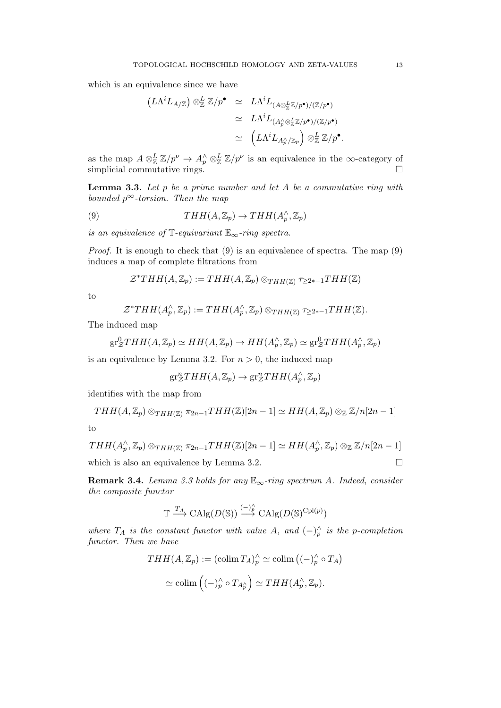which is an equivalence since we have

$$
(L\Lambda^{i}L_{A/\mathbb{Z}})\otimes_{\mathbb{Z}}^L\mathbb{Z}/p^{\bullet} \simeq L\Lambda^{i}L_{(A\otimes_{\mathbb{Z}}^L\mathbb{Z}/p^{\bullet})/(\mathbb{Z}/p^{\bullet})}
$$
  

$$
\simeq L\Lambda^{i}L_{(A_{p}^{\wedge}\otimes_{\mathbb{Z}}^L\mathbb{Z}/p^{\bullet})/(\mathbb{Z}/p^{\bullet})}
$$
  

$$
\simeq (L\Lambda^{i}L_{A_{p}^{\wedge}/\mathbb{Z}_{p}})\otimes_{\mathbb{Z}}^L\mathbb{Z}/p^{\bullet}.
$$

as the map  $A \otimes_{\mathbb{Z}}^L \mathbb{Z}/p^{\nu} \to A_p^{\wedge} \otimes_{\mathbb{Z}}^L \mathbb{Z}/p^{\nu}$  is an equivalence in the  $\infty$ -category of simplicial commutative rings.  $\square$ 

**Lemma 3.3.** Let  $p$  be a prime number and let  $A$  be a commutative ring with bounded  $p^{\infty}$ -torsion. Then the map

(9) 
$$
THH(A, \mathbb{Z}_p) \to THH(A_p^{\wedge}, \mathbb{Z}_p)
$$

is an equivalence of  $\mathbb{T}$ -equivariant  $\mathbb{E}_{\infty}$ -ring spectra.

*Proof.* It is enough to check that  $(9)$  is an equivalence of spectra. The map  $(9)$ induces a map of complete filtrations from

$$
\mathcal{Z}^*THH(A,\mathbb{Z}_p) := THH(A,\mathbb{Z}_p) \otimes_{THH(\mathbb{Z})} \tau_{\geq 2*-1}THH(\mathbb{Z})
$$

to

$$
\mathcal{Z}^*THH(A_p^{\wedge}, \mathbb{Z}_p) := THH(A_p^{\wedge}, \mathbb{Z}_p) \otimes_{THH(\mathbb{Z})} \tau_{\geq 2*-1}THH(\mathbb{Z}).
$$

The induced map

$$
\mathrm{gr}^0_ZTHH(A,\mathbb{Z}_p)\simeq HH(A,\mathbb{Z}_p)\to HH(A_p^{\wedge},\mathbb{Z}_p)\simeq \mathrm{gr}^0_ZTHH(A_p^{\wedge},\mathbb{Z}_p)
$$

is an equivalence by Lemma 3.2. For  $n > 0$ , the induced map

$$
\mathrm{gr}^n_{\mathcal{Z}}THH(A,\mathbb{Z}_p) \to \mathrm{gr}^n_{\mathcal{Z}}THH(A_p^{\wedge},\mathbb{Z}_p)
$$

identifies with the map from

$$
THH(A, \mathbb{Z}_p) \otimes_{THH(\mathbb{Z})} \pi_{2n-1}THH(\mathbb{Z})[2n-1] \simeq HH(A, \mathbb{Z}_p) \otimes_{\mathbb{Z}} \mathbb{Z}/n[2n-1]
$$

to

$$
THH(A_p^{\wedge}, \mathbb{Z}_p) \otimes_{THH(\mathbb{Z})} \pi_{2n-1}THH(\mathbb{Z})[2n-1] \simeq HH(A_p^{\wedge}, \mathbb{Z}_p) \otimes_{\mathbb{Z}} \mathbb{Z}/n[2n-1]
$$
  
which is also an equivalence by Lemma 3.2.

**Remark 3.4.** Lemma 3.3 holds for any  $\mathbb{E}_{\infty}$ -ring spectrum A. Indeed, consider the composite functor

$$
\mathbb{T} \xrightarrow{T_A} \mathrm{CAlg}(D(\mathbb{S})) \xrightarrow{(-)^\wedge_p} \mathrm{CAlg}(D(\mathbb{S})^{\mathrm{Cpl}(p)})
$$

where  $T_A$  is the constant functor with value A, and  $(-)_{p}^{\wedge}$  is the p-completion functor. Then we have

$$
THH(A, \mathbb{Z}_p) := (\operatorname{colim} T_A)_p^{\wedge} \simeq \operatorname{colim} \left( (-)_p^{\wedge} \circ T_A \right)
$$

$$
\simeq \operatorname{colim} \left( (-)_p^{\wedge} \circ T_{A_p^{\wedge}} \right) \simeq THH(A_p^{\wedge}, \mathbb{Z}_p).
$$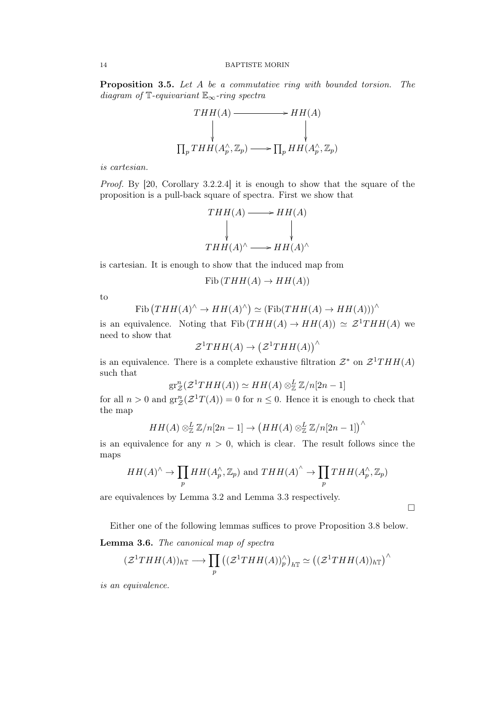Proposition 3.5. Let A be a commutative ring with bounded torsion. The diagram of  $\mathbb{T}$ -equivariant  $\mathbb{E}_{\infty}$ -ring spectra

$$
\begin{array}{ccc}\nTHH(A) & \longrightarrow & HH(A) \\
\downarrow & & \downarrow \\
\prod_{p} THH(A_p^{\wedge}, \mathbb{Z}_p) & \longrightarrow & \prod_{p} HH(A_p^{\wedge}, \mathbb{Z}_p)\n\end{array}
$$

is cartesian.

Proof. By [20, Corollary 3.2.2.4] it is enough to show that the square of the proposition is a pull-back square of spectra. First we show that

$$
THH(A) \longrightarrow HH(A)
$$
  
\n
$$
\downarrow \qquad \qquad \downarrow
$$
  
\n
$$
THH(A)^{\wedge} \longrightarrow HH(A)^{\wedge}
$$

is cartesian. It is enough to show that the induced map from

 $Fib (THH(A) \rightarrow HH(A))$ 

to

$$
Fib (THH(A)^{\wedge} \to HH(A)^{\wedge}) \simeq (Fib (THH(A) \to HH(A)))^{\wedge}
$$

is an equivalence. Noting that  $Fib (THH(A) \rightarrow HH(A)) \simeq \mathcal{Z}^1THH(A)$  we need to show that

$$
\mathcal{Z}^1THH(A) \to (\mathcal{Z}^1THH(A))^{\wedge}
$$

is an equivalence. There is a complete exhaustive filtration  $\mathcal{Z}^*$  on  $\mathcal{Z}^1THH(A)$ such that

$$
\operatorname{gr}^n_{\mathcal{Z}}(\mathcal{Z}^1THH(A)) \simeq HH(A) \otimes^L_{\mathbb{Z}} \mathbb{Z}/n[2n-1]
$$

for all  $n > 0$  and  $\operatorname{gr}^n_{\mathcal{Z}}(\mathcal{Z}^1 T(A)) = 0$  for  $n \leq 0$ . Hence it is enough to check that the map

$$
HH(A) \otimes_{\mathbb{Z}}^L \mathbb{Z}/n[2n-1] \to \left(HH(A) \otimes_{\mathbb{Z}}^L \mathbb{Z}/n[2n-1]\right)^\wedge
$$

is an equivalence for any  $n > 0$ , which is clear. The result follows since the maps

$$
HH(A)^{\wedge} \to \prod_p HH(A_p^{\wedge}, \mathbb{Z}_p) \text{ and } THH(A)^{\wedge} \to \prod_p THH(A_p^{\wedge}, \mathbb{Z}_p)
$$

are equivalences by Lemma 3.2 and Lemma 3.3 respectively.

 $\Box$ 

Either one of the following lemmas suffices to prove Proposition 3.8 below.

## Lemma 3.6. The canonical map of spectra

$$
(\mathcal{Z}^1THH(A))_{h\mathbb{T}} \longrightarrow \prod_p ((\mathcal{Z}^1THH(A))_p^{\wedge})_{h\mathbb{T}} \simeq ((\mathcal{Z}^1THH(A))_{h\mathbb{T}})^{\wedge}
$$

is an equivalence.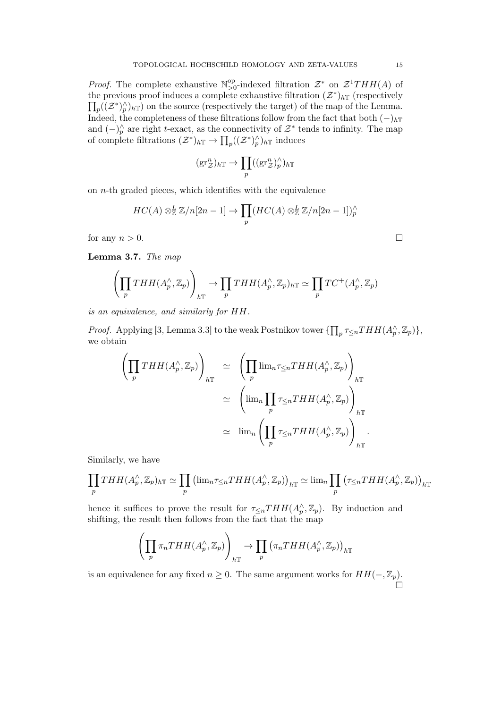*Proof.* The complete exhaustive  $\mathbb{N}^{\text{op}}_{\geq 0}$ <sup>op</sup>-indexed filtration  $\mathcal{Z}^*$  on  $\mathcal{Z}^1THH(A)$  of the previous proof induces a complete exhaustive filtration  $(\mathcal{Z}^*)_h$ <sup>T</sup> (respectively  $\prod_p ((\mathcal{Z}^*)^{\wedge}_p)_{h\mathbb{T}})$  on the source (respectively the target) of the map of the Lemma. Indeed, the completeness of these filtrations follow from the fact that both  $(-)$ <sub>hT</sub> and  $(-)_{p}^{\wedge}$  are right t-exact, as the connectivity of  $\mathcal{Z}^*$  tends to infinity. The map of complete filtrations  $(\mathcal{Z}^*)_h\mathbb{T} \to \prod_p ((\mathcal{Z}^*)^\wedge_h)_h\mathbb{T}$  induces

$$
(\text{gr}^n_{\mathcal{Z}})_{h\mathbb{T}} \to \prod_p ((\text{gr}^n_{\mathcal{Z}})^\wedge_p)_{h\mathbb{T}}
$$

on  $n$ -th graded pieces, which identifies with the equivalence

$$
HC(A) \otimes_{\mathbb{Z}}^L \mathbb{Z}/n[2n-1] \to \prod_p (HC(A) \otimes_{\mathbb{Z}}^L \mathbb{Z}/n[2n-1])_p^{\wedge}
$$
  
for any  $n > 0$ .

Lemma 3.7. The map

$$
\left(\prod_p THH(A_p^{\wedge}, \mathbb{Z}_p)\right)_{h\mathbb{T}} \to \prod_p THH(A_p^{\wedge}, \mathbb{Z}_p)_{h\mathbb{T}} \simeq \prod_p TC^+(A_p^{\wedge}, \mathbb{Z}_p)
$$

is an equivalence, and similarly for HH.

*Proof.* Applying [3, Lemma 3.3] to the weak Postnikov tower  $\{\prod_p \tau_{\leq n}THH(A_p^{\wedge}, \mathbb{Z}_p)\},$ we obtain

$$
\left(\prod_p THH(A_p^{\wedge}, \mathbb{Z}_p)\right)_{h\mathbb{T}} \simeq \left(\prod_p \lim_{n \leq n} THH(A_p^{\wedge}, \mathbb{Z}_p)\right)_{h\mathbb{T}}
$$

$$
\simeq \left(\lim_{p} \prod_p \tau_{\leq n} THH(A_p^{\wedge}, \mathbb{Z}_p)\right)_{h\mathbb{T}}
$$

$$
\simeq \lim_{n} \left(\prod_p \tau_{\leq n} THH(A_p^{\wedge}, \mathbb{Z}_p)\right)_{h\mathbb{T}}.
$$

Similarly, we have

$$
\prod_p THH(A_p^{\wedge}, \mathbb{Z}_p)_{h\mathbb{T}} \simeq \prod_p \left( \lim_n \tau \leq_n THH(A_p^{\wedge}, \mathbb{Z}_p) \right)_{h\mathbb{T}} \simeq \lim_n \prod_p \left( \tau \leq_n THH(A_p^{\wedge}, \mathbb{Z}_p) \right)_{h\mathbb{T}}
$$

hence it suffices to prove the result for  $\tau_{\leq n}THH(A_p^{\wedge}, \mathbb{Z}_p)$ . By induction and shifting, the result then follows from the fact that the map

$$
\left(\prod_p \pi_n THH(A_p^{\wedge}, \mathbb{Z}_p)\right)_{h\mathbb{T}} \to \prod_p \left(\pi_n THH(A_p^{\wedge}, \mathbb{Z}_p)\right)_{h\mathbb{T}}
$$

is an equivalence for any fixed  $n \geq 0$ . The same argument works for  $HH(-, \mathbb{Z}_p)$ .  $\stackrel{.}{\Box}$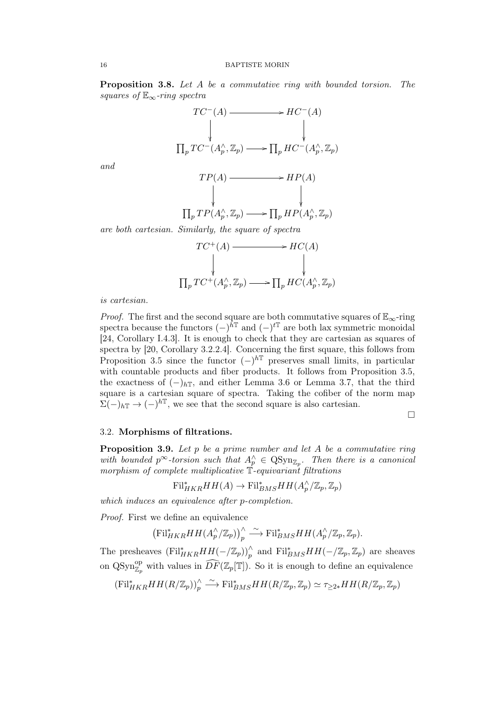Proposition 3.8. Let A be a commutative ring with bounded torsion. The squares of  $\mathbb{E}_{\infty}$ -ring spectra



and

$$
\begin{array}{ccc}\nTP(A) & \longrightarrow & HP(A) \\
\downarrow & & \downarrow \\
\prod_{p}TP(A_p^{\wedge}, \mathbb{Z}_p) & \longrightarrow & \prod_{p}HP(A_p^{\wedge}, \mathbb{Z}_p)\n\end{array}
$$

are both cartesian. Similarly, the square of spectra

$$
TC^+(A) \longrightarrow HC(A)
$$
  
\n
$$
\downarrow \qquad \qquad \downarrow
$$
  
\n
$$
\prod_p TC^+(A_p^{\wedge}, \mathbb{Z}_p) \longrightarrow \prod_p HC(A_p^{\wedge}, \mathbb{Z}_p)
$$

is cartesian.

*Proof.* The first and the second square are both commutative squares of  $\mathbb{E}_{\infty}$ -ring spectra because the functors  $(-)^{\hat{h}\mathbb{T}}$  and  $(-)^{t\mathbb{T}}$  are both lax symmetric monoidal [24, Corollary I.4.3]. It is enough to check that they are cartesian as squares of spectra by [20, Corollary 3.2.2.4]. Concerning the first square, this follows from Proposition 3.5 since the functor  $(-)^{h\mathbb{T}}$  preserves small limits, in particular with countable products and fiber products. It follows from Proposition 3.5, the exactness of  $(-)_{h\mathbb{T}}$ , and either Lemma 3.6 or Lemma 3.7, that the third square is a cartesian square of spectra. Taking the cofiber of the norm map  $\sum (-)_{h\mathbb{T}} \to (-)^{h\mathbb{T}}$ , we see that the second square is also cartesian.

## 3.2. Morphisms of filtrations.

**Proposition 3.9.** Let  $p$  be a prime number and let  $A$  be a commutative ring with bounded  $p^{\infty}$ -torsion such that  $A_p^{\wedge} \in \text{QSyn}_{\mathbb{Z}_p}$ . Then there is a canonical morphism of complete multiplicative T-equivariant filtrations

 $\mathrm{Fil}_{HKR}^*HH(A)\to \mathrm{Fil}_{BMS}^*HH(A_p^{\wedge}/\mathbb{Z}_p,\mathbb{Z}_p)$ 

which induces an equivalence after p-completion.

Proof. First we define an equivalence

 $(\mathrm{Fil}_{HKR}^*HH(A_p^{\wedge}/\mathbb{Z}_p))_p^{\wedge} \stackrel{\sim}{\longrightarrow} \mathrm{Fil}_{BMS}^*HH(A_p^{\wedge}/\mathbb{Z}_p,\mathbb{Z}_p).$ 

The presheaves  $(\text{Fil}_{HKR}^* HH(-/\mathbb{Z}_p))_p^{\wedge}$  and  $\text{Fil}_{BMS}^*HH(-/\mathbb{Z}_p, \mathbb{Z}_p)$  are sheaves on QSyn<sup>op</sup> with values in  $\widehat{DF}(\mathbb{Z}_p[\mathbb{T}])$ . So it is enough to define an equivalence

$$
(\mathrm{Fil}_{HKR}^* HH(R/\mathbb{Z}_p))_p^\wedge \xrightarrow{\sim} \mathrm{Fil}_{BMS}^* HH(R/\mathbb{Z}_p, \mathbb{Z}_p) \simeq \tau_{\geq 2*}HH(R/\mathbb{Z}_p, \mathbb{Z}_p)
$$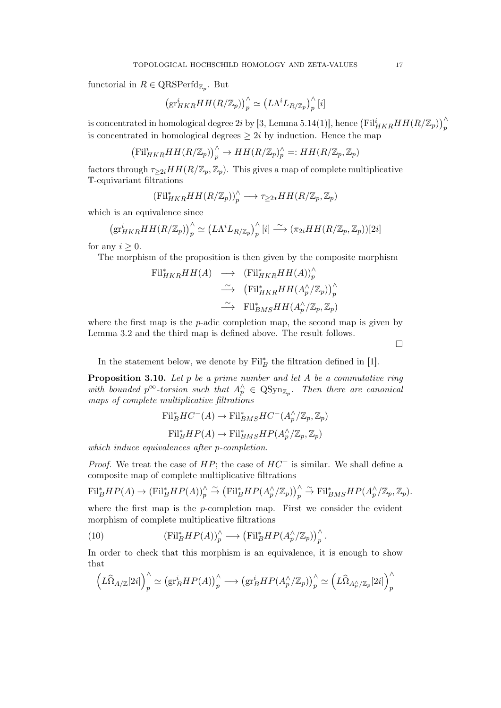functorial in  $R \in \text{QRSPerfd}_{\mathbb{Z}_p}$ . But

$$
\left(\mathrm{gr}^i_{HKR}HH(R/\mathbb{Z}_p)\right)_p^{\wedge}\simeq \left(L\Lambda^iL_{R/\mathbb{Z}_p}\right)_p^{\wedge}[i]
$$

is concentrated in homological degree  $2i$  by [3, Lemma 5.14(1)], hence  $\left(\textnormal{Fil}_{HKR}^i H H (R/\mathbb{Z}_p)\right)_p^\wedge$ is concentrated in homological degrees  $\geq 2i$  by induction. Hence the map

$$
\left(\mathrm{Fil}_{HKR}^i HH(R/\mathbb{Z}_p)\right)_p^{\wedge} \to HH(R/\mathbb{Z}_p)_p^{\wedge}=:HH(R/\mathbb{Z}_p,\mathbb{Z}_p)
$$

factors through  $\tau_{\geq 2i}HH(R/\mathbb{Z}_p,\mathbb{Z}_p)$ . This gives a map of complete multiplicative T-equivariant filtrations

$$
(\mathrm{Fil}_{HKR}^* HH(R/\mathbb{Z}_p))_p^\wedge \longrightarrow \tau_{\geq 2*} HH(R/\mathbb{Z}_p, \mathbb{Z}_p)
$$

which is an equivalence since

$$
\left(\mathrm{gr}^i_{HKR}HH(R/\mathbb{Z}_p)\right)_p^{\wedge} \simeq \left(L\Lambda^i L_{R/\mathbb{Z}_p}\right)_p^{\wedge}[i] \stackrel{\sim}{\longrightarrow} \left(\pi_{2i}HH(R/\mathbb{Z}_p,\mathbb{Z}_p)\right)[2i]
$$

for any  $i \geq 0$ .

The morphism of the proposition is then given by the composite morphism

$$
\begin{array}{rcl}\n\operatorname{Fil}^*_{HKR}HH(A) & \longrightarrow & (\operatorname{Fil}^*_{HKR}HH(A))^\wedge_p \\
& \xrightarrow{\sim} & \left(\operatorname{Fil}^*_{HKR}HH(A_p^\wedge/\mathbb{Z}_p)\right)^\wedge_p \\
& \xrightarrow{\sim} & \operatorname{Fil}^*_{BMS}HH(A_p^\wedge/\mathbb{Z}_p, \mathbb{Z}_p)\n\end{array}
$$

where the first map is the p-adic completion map, the second map is given by Lemma 3.2 and the third map is defined above. The result follows.

 $\Box$ 

In the statement below, we denote by  $\text{Fil}_{B}^{*}$  the filtration defined in [1].

**Proposition 3.10.** Let  $p$  be a prime number and let  $A$  be a commutative ring with bounded  $p^{\infty}$ -torsion such that  $A_p^{\wedge} \in \text{QSyn}_{\mathbb{Z}_p}$ . Then there are canonical maps of complete multiplicative filtrations

$$
\text{Fil}_{B}^{*}HC^{-}(A) \to \text{Fil}_{BMS}^{*}HC^{-}(A_{p}^{\wedge}/\mathbb{Z}_{p}, \mathbb{Z}_{p})
$$

$$
\text{Fil}_{B}^{*}HP(A) \to \text{Fil}_{BMS}^{*}HP(A_{p}^{\wedge}/\mathbb{Z}_{p}, \mathbb{Z}_{p})
$$

which induce equivalences after *p*-completion.

*Proof.* We treat the case of  $HP$ ; the case of  $HC^-$  is similar. We shall define a composite map of complete multiplicative filtrations

$$
\mathrm{Fil}_{B}^{*}HP(A) \to (\mathrm{Fil}_{B}^{*}HP(A))_{p}^{\wedge} \stackrel{\sim}{\to} (\mathrm{Fil}_{B}^{*}HP(A_{p}^{\wedge}/\mathbb{Z}_{p}))_{p}^{\wedge} \stackrel{\sim}{\to} \mathrm{Fil}_{BMS}^{*}HP(A_{p}^{\wedge}/\mathbb{Z}_{p}, \mathbb{Z}_{p}).
$$

where the first map is the  $p$ -completion map. First we consider the evident morphism of complete multiplicative filtrations

(10) 
$$
(\mathrm{Fil}_{B}^{*}HP(A))_{p}^{\wedge} \longrightarrow (\mathrm{Fil}_{B}^{*}HP(A_{p}^{\wedge}/\mathbb{Z}_{p}))_{p}^{\wedge}.
$$

In order to check that this morphism is an equivalence, it is enough to show that

$$
\left(L\widehat{\Omega}_{A/\mathbb{Z}}[2i]\right)_p^{\wedge} \simeq \left(\mathrm{gr}_B^i H P(A)\right)_p^{\wedge} \longrightarrow \left(\mathrm{gr}_B^i H P(A_p^{\wedge}/\mathbb{Z}_p)\right)_p^{\wedge} \simeq \left(L\widehat{\Omega}_{A_p^{\wedge}/\mathbb{Z}_p}[2i]\right)_p^{\wedge}
$$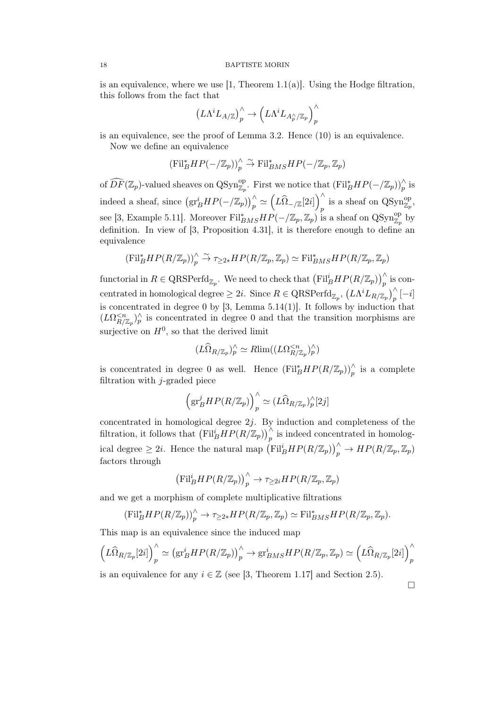is an equivalence, where we use  $[1,$  Theorem 1.1(a). Using the Hodge filtration, this follows from the fact that

$$
\left(L\Lambda^iL_{A/\mathbb{Z}}\right)^\wedge_p\rightarrow \left(L\Lambda^iL_{A^\wedge_p/\mathbb{Z}_p}\right)^\wedge_p
$$

is an equivalence, see the proof of Lemma 3.2. Hence (10) is an equivalence.

Now we define an equivalence

$$
(\mathrm{Fil}_{B}^{*}HP(-/\mathbb{Z}_{p}))_{p}^{\wedge }\stackrel{\sim }{\rightarrow }\mathrm{Fil}_{BMS}^{*}HP(-/\mathbb{Z}_{p},\mathbb{Z}_{p})
$$

of  $\widehat{DF}(\mathbb{Z}_p)$ -valued sheaves on QSyn<sup>op</sup><sub> $\mathbb{Z}_p$ </sub>. First we notice that  $(\mathrm{Fil}_B^* HP(-/\mathbb{Z}_p))_p^{\wedge}$  is indeed a sheaf, since  $(\text{gr}_B^i HP(-/\mathbb{Z}_p))_p^\wedge \simeq (\widehat{L\Omega}_{-/\mathbb{Z}}[2i])_p^\wedge$  $\int_{p}^{\wedge}$  is a sheaf on  $\text{QSyn}_{\mathbb{Z}_p}^{\text{op}},$ see [3, Example 5.11]. Moreover  $\text{Fil}_{BMS}^*HP(-/\mathbb{Z}_p, \mathbb{Z}_p)$  is a sheaf on  $\text{QSyn}_{\mathbb{Z}_p}^{\text{op}}$  by definition. In view of [3, Proposition 4.31], it is therefore enough to define an equivalence

$$
(\mathrm{Fil}_{B}^{*}HP(R/\mathbb{Z}_{p}))_{p}^{\wedge} \overset{\sim}{\to} \tau_{\geq 2*}HP(R/\mathbb{Z}_{p},\mathbb{Z}_{p}) \simeq \mathrm{Fil}_{BMS}^{*}HP(R/\mathbb{Z}_{p},\mathbb{Z}_{p})
$$

functorial in  $R \in \text{QRSPerfd}_{\mathbb{Z}_p}$ . We need to check that  $(\text{Fil}_B^i HP(R/\mathbb{Z}_p))_p^{\wedge}$  is concentrated in homological degree  $\geq 2i$ . Since  $R \in \text{QRSPerfd}_{\mathbb{Z}_p}$ ,  $(L\Lambda^i L_{R/\mathbb{Z}_p})_p^{\wedge} [-i]$ is concentrated in degree 0 by  $[3, \text{ Lemma } 5.14(1)]$ . It follows by induction that  $(L\Omega_{R/\mathbb{Z}_p}^{ is concentrated in degree 0 and that the transition morphisms are$ surjective on  $H^0$ , so that the derived limit

$$
(L\widehat{\Omega}_{R/\mathbb{Z}_p})_p^\wedge \simeq R\lim((L\Omega_{R/\mathbb{Z}_p}^{
$$

is concentrated in degree 0 as well. Hence  $(\text{Fil}_B^*HP(R/\mathbb{Z}_p))_p^{\wedge}$  is a complete filtration with  $j$ -graded piece

$$
\left(\mathrm{gr}^j_B H P(R/\mathbb{Z}_p)\right)_p^{\wedge} \simeq (L\widehat{\Omega}_{R/\mathbb{Z}_p})_p^{\wedge}[2j]
$$

concentrated in homological degree  $2j$ . By induction and completeness of the filtration, it follows that  $(\mathrm{Fil}_B^i HP(R/\mathbb{Z}_p))_p^{\wedge}$  is indeed concentrated in homological degree  $\geq 2i$ . Hence the natural map  $(\text{Fil}_B^i HP(R/\mathbb{Z}_p))_p^\wedge \to HP(R/\mathbb{Z}_p,\mathbb{Z}_p)$ factors through

$$
\left(\mathrm{Fil}_{B}^{i}HP(R/\mathbb{Z}_{p})\right)_{p}^{\wedge} \to \tau_{\geq 2i}HP(R/\mathbb{Z}_{p},\mathbb{Z}_{p})
$$

and we get a morphism of complete multiplicative filtrations

$$
(\mathrm{Fil}_{B}^{*}HP(R/\mathbb{Z}_{p}))_{p}^{\wedge} \to \tau_{\geq 2*}HP(R/\mathbb{Z}_{p}, \mathbb{Z}_{p}) \simeq \mathrm{Fil}_{BMS}^{*}HP(R/\mathbb{Z}_{p}, \mathbb{Z}_{p}).
$$

This map is an equivalence since the induced map

$$
\left(L\widehat{\Omega}_{R/\mathbb{Z}_p}[2i]\right)_p^{\wedge} \simeq \left(\mathrm{gr}_B^i HP(R/\mathbb{Z}_p)\right)_p^{\wedge} \to \mathrm{gr}_{BMS}^iHP(R/\mathbb{Z}_p,\mathbb{Z}_p) \simeq \left(L\widehat{\Omega}_{R/\mathbb{Z}_p}[2i]\right)_p^{\wedge}
$$

is an equivalence for any  $i \in \mathbb{Z}$  (see [3, Theorem 1.17] and Section 2.5).

 $\Box$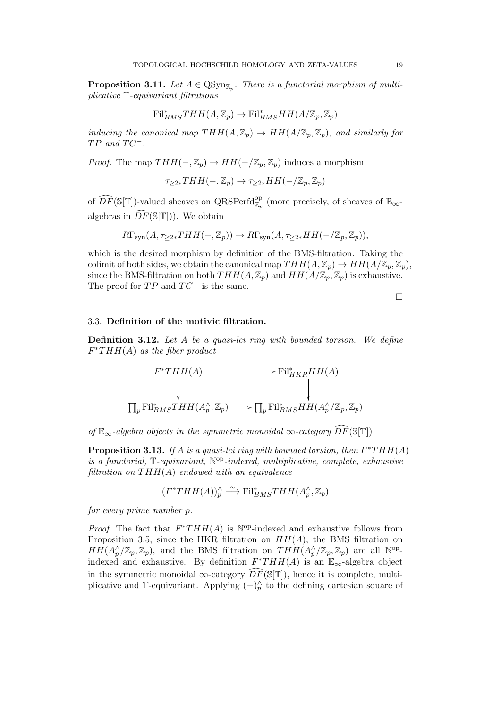**Proposition 3.11.** Let  $A \in \text{QSyn}_{\mathbb{Z}_p}$ . There is a functorial morphism of multiplicative T-equivariant filtrations

$$
\mathrm{Fil}_{BMS}^*THH(A,\mathbb{Z}_p)\to \mathrm{Fil}_{BMS}^*HH(A/\mathbb{Z}_p,\mathbb{Z}_p)
$$

inducing the canonical map  $THH(A, \mathbb{Z}_p) \to HH(A/\mathbb{Z}_p, \mathbb{Z}_p)$ , and similarly for  $TP$  and  $TC^-$ .

*Proof.* The map  $THH(-,\mathbb{Z}_p) \to HH(-/\mathbb{Z}_p,\mathbb{Z}_p)$  induces a morphism

$$
\tau_{\geq 2*}THH(-,\mathbb{Z}_p)\to \tau_{\geq 2*}HH(-/\mathbb{Z}_p,\mathbb{Z}_p)
$$

of  $\widehat{DF}(\mathbb{S}[\mathbb{T}])$ -valued sheaves on QRSPerfd $_{\mathbb{Z}_p}^{\rm op}$  (more precisely, of sheaves of  $\mathbb{E}_{\infty}$ algebras in  $\widehat{DF}(\mathbb{S}[\mathbb{T}]))$ . We obtain

$$
R\Gamma_{syn}(A, \tau_{\geq 2*}THH(-, \mathbb{Z}_p)) \to R\Gamma_{syn}(A, \tau_{\geq 2*}HH(-/\mathbb{Z}_p, \mathbb{Z}_p)),
$$

which is the desired morphism by definition of the BMS-filtration. Taking the colimit of both sides, we obtain the canonical map  $THH(A, \mathbb{Z}_p) \to HH(A/\mathbb{Z}_p, \mathbb{Z}_p)$ , since the BMS-filtration on both  $THH(A, \mathbb{Z}_p)$  and  $HH(A/\mathbb{Z}_p, \mathbb{Z}_p)$  is exhaustive. The proof for  $TP$  and  $TC^-$  is the same.

 $\Box$ 

### 3.3. Definition of the motivic filtration.

**Definition 3.12.** Let  $A$  be a quasi-lci ring with bounded torsion. We define  $F^*THH(A)$  as the fiber product

$$
\Gamma^*THH(A) \longrightarrow \text{Fil}_{HKR}^*HH(A)
$$
\n
$$
\downarrow \qquad \qquad \downarrow
$$
\n
$$
\prod_p \text{Fil}_{BMS}^*THH(A_p^\wedge, \mathbb{Z}_p) \longrightarrow \prod_p \text{Fil}_{BMS}^*HH(A_p^\wedge/\mathbb{Z}_p, \mathbb{Z}_p)
$$

of  $\mathbb{E}_{\infty}$ -algebra objects in the symmetric monoidal  $\infty$ -category  $\widehat{DF}(\mathbb{S}[\mathbb{T}]).$ 

**Proposition 3.13.** If A is a quasi-lci ring with bounded torsion, then  $F^*THH(A)$ is a functorial,  $\mathbb{T}$ -equivariant,  $\mathbb{N}^{\text{op}}$ -indexed, multiplicative, complete, exhaustive filtration on  $THH(A)$  endowed with an equivalence

$$
(F^*THH(A))^\wedge_p \xrightarrow{\sim} \mathrm{Fil}^*_{BMS}THH(A_p^\wedge,\mathbb{Z}_p)
$$

for every prime number p.

*Proof.* The fact that  $F^*THH(A)$  is  $\mathbb{N}^{op}\text{-indexed}$  and exhaustive follows from Proposition 3.5, since the HKR filtration on  $HH(A)$ , the BMS filtration on  $HH(A_p^{\wedge}/\mathbb{Z}_p,\mathbb{Z}_p)$ , and the BMS filtration on  $THH(A_p^{\wedge}/\mathbb{Z}_p,\mathbb{Z}_p)$  are all  $\mathbb{N}^{\text{op}}$ indexed and exhaustive. By definition  $F^*THH(A)$  is an  $\mathbb{E}_{\infty}$ -algebra object in the symmetric monoidal  $\infty$ -category  $\widehat{DF}(\mathbb{S}[\mathbb{T}])$ , hence it is complete, multiplicative and T-equivariant. Applying  $(-)_{p}^{\wedge}$  to the defining cartesian square of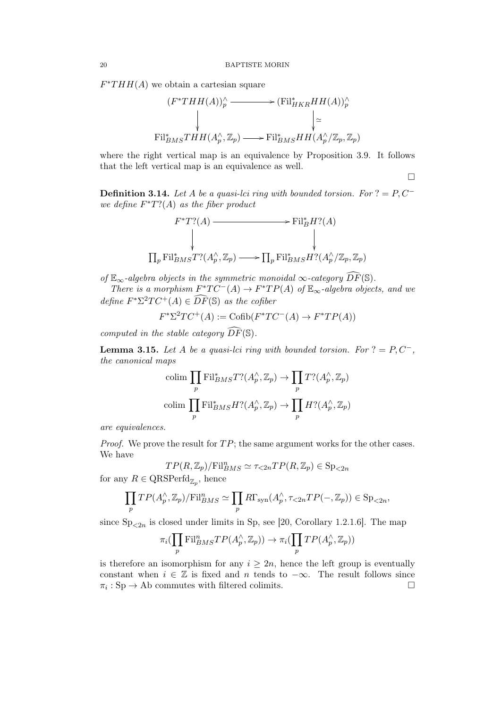$F^*THH(A)$  we obtain a cartesian square

$$
(F^*THH(A))_p^{\wedge} \longrightarrow (\mathrm{Fil}_{HKR}^*HH(A))_p^{\wedge}
$$
  
\n
$$
\downarrow \qquad \qquad \downarrow \simeq
$$
  
\n
$$
\mathrm{Fil}_{BMS}^*THH(A_p^{\wedge}, \mathbb{Z}_p) \longrightarrow \mathrm{Fil}_{BMS}^*HH(A_p^{\wedge}/\mathbb{Z}_p, \mathbb{Z}_p)
$$

where the right vertical map is an equivalence by Proposition 3.9. It follows that the left vertical map is an equivalence as well.

 $\Box$ 

**Definition 3.14.** Let A be a quasi-lci ring with bounded torsion. For  $? = P, C^$ we define  $F^*T?$  (A) as the fiber product

$$
\Gamma^* T? (A) \longrightarrow \text{Fil}_B^* H? (A)
$$
\n
$$
\downarrow \qquad \qquad \downarrow
$$
\n
$$
\prod_p \text{Fil}_{BMS}^* T? (A_p^\wedge, \mathbb{Z}_p) \longrightarrow \prod_p \text{Fil}_{BMS}^* H? (A_p^\wedge / \mathbb{Z}_p, \mathbb{Z}_p)
$$

of  $\mathbb{E}_{\infty}$ -algebra objects in the symmetric monoidal  $\infty$ -category  $\widehat{DF}(\mathbb{S})$ .

There is a morphism  $F^*TC^-(A) \to F^*TP(A)$  of  $\mathbb{E}_{\infty}$ -algebra objects, and we define  $F^*\Sigma^2TC^+(A) \in \widehat{DF}(\mathbb{S})$  as the cofiber

$$
F^* \Sigma^2 TC^+(A) := \text{Cofib}(F^*TC^-(A) \to F^*TP(A))
$$

computed in the stable category  $\widehat{DF}(\mathbb{S})$ .

**Lemma 3.15.** Let A be a quasi-lci ring with bounded torsion. For  $? = P, C^-$ , the canonical maps

$$
\text{colim} \prod_p \text{Fil}_{BMS}^* T? (A_p^{\wedge}, \mathbb{Z}_p) \to \prod_p T? (A_p^{\wedge}, \mathbb{Z}_p)
$$
  

$$
\text{colim} \prod_p \text{Fil}_{BMS}^* H? (A_p^{\wedge}, \mathbb{Z}_p) \to \prod_p H? (A_p^{\wedge}, \mathbb{Z}_p)
$$

are equivalences.

*Proof.* We prove the result for  $TP$ ; the same argument works for the other cases. We have

$$
TP(R, \mathbb{Z}_p)/\text{Fil}_{BMS}^n \simeq \tau_{\leq 2n}TP(R, \mathbb{Z}_p) \in \text{Sp}_{\leq 2n}
$$

for any  $R \in \text{QRSPerfd}_{\mathbb{Z}_p}$ , hence

$$
\prod_p TP(A_p^{\wedge}, \mathbb{Z}_p)/\mathrm{Fil}_{BMS}^n \simeq \prod_p R\Gamma_{syn}(A_p^{\wedge}, \tau_{\leq 2n} TP(-, \mathbb{Z}_p)) \in \mathrm{Sp}_{\leq 2n},
$$

since  $\text{Sp}_{\leq 2n}$  is closed under limits in Sp, see [20, Corollary 1.2.1.6]. The map

$$
\pi_i(\prod_p \text{Fil}_{BMS}^n TP(A_p^{\wedge}, \mathbb{Z}_p)) \to \pi_i(\prod_p TP(A_p^{\wedge}, \mathbb{Z}_p))
$$

is therefore an isomorphism for any  $i \geq 2n$ , hence the left group is eventually constant when  $i \in \mathbb{Z}$  is fixed and n tends to  $-\infty$ . The result follows since  $\pi_i : \text{Sp} \to \text{Ab}$  commutes with filtered colimits.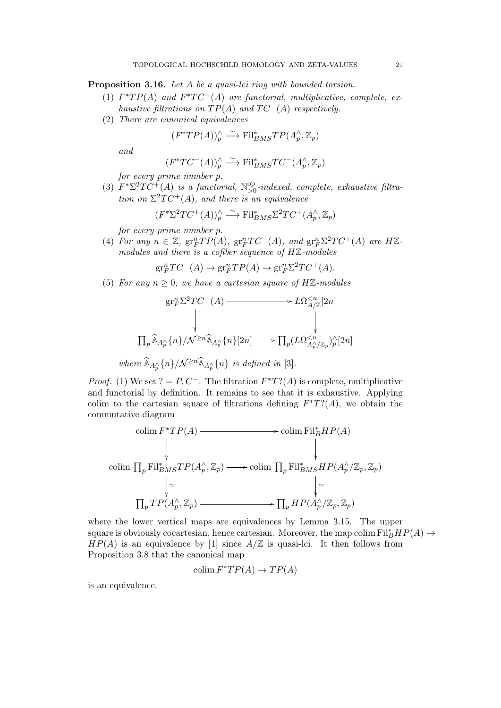Proposition 3.16. Let A be a quasi-lci ring with bounded torsion.

- (1)  $F^*TP(A)$  and  $F^*TC^-(A)$  are functorial, multiplicative, complete, exhaustive filtrations on  $TP(A)$  and  $TC^{-}(A)$  respectively.
- (2) There are canonical equivalences

$$
(F^*TP(A))^\wedge_p \xrightarrow{\sim} \text{Fil}_{BMS}^*TP(A_p^\wedge, \mathbb{Z}_p)
$$

and

$$
(F^*TC^-(A))^\wedge_p \xrightarrow{\sim} \mathrm{Fil}^*_{BMS}TC^-(A^\wedge_p,\mathbb{Z}_p)
$$

for every prime number p.

(3)  $F^*\Sigma^2TC^+(A)$  is a functorial,  $\mathbb{N}_{>0}^{\text{op}}$  $_{>0}^{\text{op}}$ -indexed, complete, exhaustive filtration on  $\Sigma^2TC^+(A)$ , and there is an equivalence

$$
(F^*\Sigma^2TC^+(A))^\wedge_p \xrightarrow{\sim} \text{Fil}_{BMS}^*\Sigma^2TC^+(A_p^\wedge, \mathbb{Z}_p)
$$

for every prime number p.

(4) For any  $n \in \mathbb{Z}$ ,  $gr_F^nTP(A)$ ,  $gr_F^nTC^-(A)$ , and  $gr_F^n\Sigma^2TC^+(A)$  are  $H\mathbb{Z}$ modules and there is a cofiber sequence of HZ-modules

 $gr_F^nTC^-(A) \to gr_F^nTP(A) \to gr_F^n\Sigma^2TC^+(A).$ 

(5) For any  $n \geq 0$ , we have a cartesian square of HZ-modules

$$
\text{gr}_F^n \Sigma^2 TC^+(A) \longrightarrow L\Omega^{\n
$$
\downarrow \qquad \qquad \downarrow
$$
\n
$$
\Pi_p \widehat{\mathbb{A}}_{A_p^{\wedge}}\{n\}/\mathcal{N}^{\geq n} \widehat{\mathbb{A}}_{A_p^{\wedge}}\{n\}[2n] \longrightarrow \Pi_p (L\Omega^{\nwhere  $\widehat{\mathbb{A}}_{A_p^{\wedge}}\{n\}/\mathcal{N}^{\geq n} \widehat{\mathbb{A}}_{A_p^{\wedge}}\{n\}$  is defined in [3].
$$
$$

*Proof.* (1) We set ? = P, C<sup>-</sup>. The filtration  $F^*T?$  (A) is complete, multiplicative and functorial by definition. It remains to see that it is exhaustive. Applying colim to the cartesian square of filtrations defining  $F^*T?$  (A), we obtain the commutative diagram

$$
\begin{array}{ccc}\n\text{colim } F^*TP(A) & \longrightarrow & \text{colim } \text{Fil}_B^*HP(A) \\
\downarrow & & \downarrow & \\
\text{colim } \prod_p \text{Fil}_{BMS}^*TP(A_p^\wedge, \mathbb{Z}_p) & \longrightarrow & \text{colim } \prod_p \text{Fil}_{BMS}^*HP(A_p^\wedge/\mathbb{Z}_p, \mathbb{Z}_p) \\
& \downarrow \simeq & \downarrow \simeq & \\
\prod_p TP(A_p^\wedge, \mathbb{Z}_p) & \longrightarrow & \prod_p HP(A_p^\wedge/\mathbb{Z}_p, \mathbb{Z}_p)\n\end{array}
$$

where the lower vertical maps are equivalences by Lemma 3.15. The upper square is obviously cocartesian, hence cartesian. Moreover, the map colim  $\text{Fil}_{B}^{*}HP(A) \rightarrow$  $HP(A)$  is an equivalence by [1] since  $A/\mathbb{Z}$  is quasi-lci. It then follows from Proposition 3.8 that the canonical map

$$
\text{colim } F^*TP(A) \to TP(A)
$$

is an equivalence.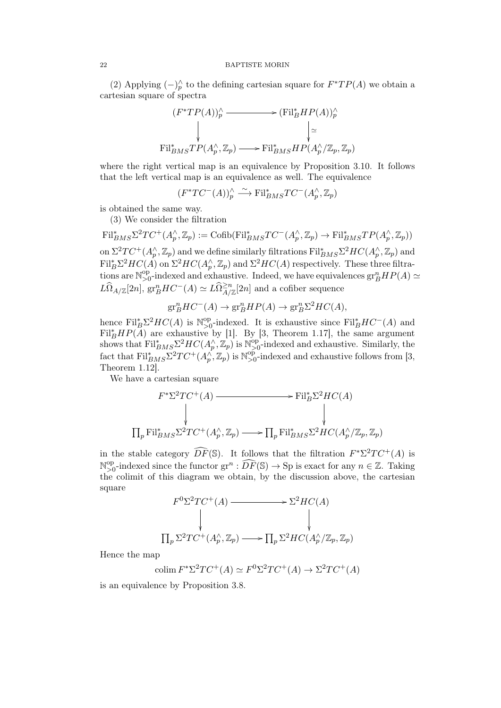(2) Applying  $(-)^\wedge_p$  to the defining cartesian square for  $F^*TP(A)$  we obtain a cartesian square of spectra

$$
(F^*TP(A))^{\wedge}_{p} \longrightarrow (\mathrm{Fil}_{B}^*HP(A))^{\wedge}_{p}
$$
  
\n
$$
\downarrow \qquad \qquad \downarrow \simeq
$$
  
\n
$$
\mathrm{Fil}_{BMS}^*TP(A_p^{\wedge}, \mathbb{Z}_p) \longrightarrow \mathrm{Fil}_{BMS}^*HP(A_p^{\wedge}/\mathbb{Z}_p, \mathbb{Z}_p)
$$

where the right vertical map is an equivalence by Proposition 3.10. It follows that the left vertical map is an equivalence as well. The equivalence

$$
(F^*TC^-(A))^\wedge_p\stackrel{\sim}{\longrightarrow} {\mathrm{Fil}}^*_{BMS}TC^-(A^\wedge_p,{\mathbb Z}_p)
$$

is obtained the same way.

(3) We consider the filtration

 $\text{Fil}_{BMS}^*\Sigma^2TC^+(A_p^{\wedge},\mathbb{Z}_p) := \text{Cofib}(\text{Fil}_{BMS}^*TC^-(A_p^{\wedge},\mathbb{Z}_p) \to \text{Fil}_{BMS}^*TP(A_p^{\wedge},\mathbb{Z}_p))$ on  $\Sigma^2TC^+(A_p^{\wedge},\mathbb{Z}_p)$  and we define similarly filtrations  $\mathrm{Fil}_{BMS}^*\Sigma^2HC(A_p^{\wedge},\mathbb{Z}_p)$  and  $\text{Fil}_{B}^{*}\Sigma^{2}HC(A)$  on  $\Sigma^{2}HC(A_{p}^{\wedge},\mathbb{Z}_{p})$  and  $\Sigma^{2}HC(A)$  respectively. These three filtrations are  $\mathbb{N}_{\geq 0}^{\text{op}}$ <sup>op</sup><sub>>0</sub>-indexed and exhaustive. Indeed, we have equivalences  $\operatorname{gr}^n_B HP(A) \simeq$  $L\widehat{\Omega}_{A/\mathbb{Z}}[2n]$ ,  $\text{gr}^n_BHC^-(A) \simeq L\widehat{\Omega}^{\geq n}_{A/\mathbb{Z}}[2n]$  and a cofiber sequence

$$
\mathrm{gr}^n_BHC^-(A)\to \mathrm{gr}^n_BHP(A)\to \mathrm{gr}^n_B\Sigma^2HC(A),
$$

hence  $\text{Fil}_{B}^{*}\Sigma^{2}HC(A)$  is  $\mathbb{N}_{>0}^{\text{op}}$ <sup>op</sup>-indexed. It is exhaustive since  $\text{Fil}_{B}^*HC^-(A)$  and  $\text{Fil}_{B}^{*}HP(A)$  are exhaustive by [1]. By [3, Theorem 1.17], the same argument shows that  $\text{Fil}_{BMS}^* \Sigma^2 HC(A_p^{\wedge}, \mathbb{Z}_p)$  is  $\mathbb{N}_{\geq 0}^{\text{op}}$  $_{>0}^{\text{op}}$ -indexed and exhaustive. Similarly, the fact that  $\text{Fil}_{BMS}^* \Sigma^2 TC^+(A_p^{\wedge}, \mathbb{Z}_p)$  is  $\mathbb{N}_{\geq 0}^{\text{op}}$  $_{>0}^{op}$ -indexed and exhaustive follows from [3, Theorem 1.12].

We have a cartesian square

$$
\Gamma^* \Sigma^2 TC^+(A) \longrightarrow \text{Fil}_B^* \Sigma^2 HC(A)
$$
\n
$$
\downarrow \qquad \qquad \downarrow
$$
\n
$$
\prod_p \text{Fil}_{BMS}^* \Sigma^2 TC^+(A_p^\wedge, \mathbb{Z}_p) \longrightarrow \prod_p \text{Fil}_{BMS}^* \Sigma^2 HC(A_p^\wedge / \mathbb{Z}_p, \mathbb{Z}_p)
$$

in the stable category  $\widehat{DF}(\mathbb{S})$ . It follows that the filtration  $F^*\Sigma^2TC^+(A)$  is N op <sup>op</sup>-indexed since the functor  $gr^n : \widehat{DF}(\mathbb{S}) \to \text{Sp}$  is exact for any  $n \in \mathbb{Z}$ . Taking the colimit of this diagram we obtain, by the discussion above, the cartesian square

$$
F^{0}\Sigma^{2}TC^{+}(A) \longrightarrow \Sigma^{2}HC(A)
$$
  
\n
$$
\downarrow \qquad \qquad \downarrow
$$
  
\n
$$
\prod_{p} \Sigma^{2}TC^{+}(A_{p}^{\wedge}, \mathbb{Z}_{p}) \longrightarrow \prod_{p} \Sigma^{2}HC(A_{p}^{\wedge}/\mathbb{Z}_{p}, \mathbb{Z}_{p})
$$

Hence the map

colim  $F^* \Sigma^2 TC^+(A) \simeq F^0 \Sigma^2 TC^+(A) \rightarrow \Sigma^2 TC^+(A)$ 

is an equivalence by Proposition 3.8.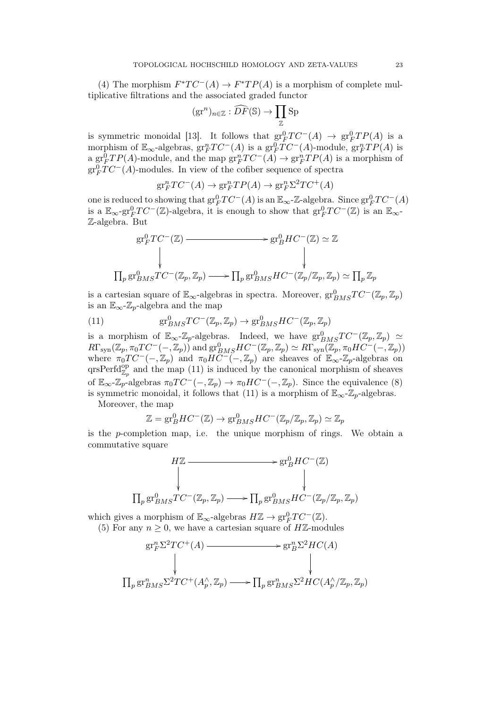(4) The morphism  $F^*TC^-(A) \to F^*TP(A)$  is a morphism of complete multiplicative filtrations and the associated graded functor

$$
(\text{gr}^n)_{n \in \mathbb{Z}} : \widehat{DF}(\mathbb{S}) \to \prod_{\mathbb{Z}} \text{Sp}
$$

is symmetric monoidal [13]. It follows that  $gr_F^0TC^-(A) \rightarrow gr_F^0TP(A)$  is a morphism of  $\mathbb{E}_{\infty}$ -algebras,  $gr_F^nTC^-(A)$  is a  $gr_F^0TC^-(A)$ -module,  $gr_F^nTP(A)$  is a  $gr_F^0TP(A)$ -module, and the map  $gr_F^nTC^-(A) \to gr_F^nTP(A)$  is a morphism of  $gr_F^0TC^-(A)$ -modules. In view of the cofiber sequence of spectra

$$
\mathrm{gr}^n_FTC^-(A)\to\mathrm{gr}^n_FTP(A)\to\mathrm{gr}^n_F\Sigma^2TC^+(A)
$$

one is reduced to showing that  $gr_F^0TC^-(A)$  is an  $\mathbb{E}_{\infty}$ -Z-algebra. Since  $gr_F^0TC^-(A)$ is a  $\mathbb{E}_{\infty}$ -gr $_{F}^{0}TC^{-}(\mathbb{Z})$ -algebra, it is enough to show that  $gr_{F}^{0}TC^{-}(\mathbb{Z})$  is an  $\mathbb{E}_{\infty}$ -Z-algebra. But

$$
\begin{aligned}\n\text{gr}_F^0TC^-(\mathbb{Z}) &\longrightarrow \text{gr}_B^0HC^-(\mathbb{Z}) \simeq \mathbb{Z} \\
&\downarrow \qquad \qquad \downarrow \qquad \qquad \downarrow \\
\prod_p \text{gr}_{BMS}^0TC^-(\mathbb{Z}_p, \mathbb{Z}_p) &\longrightarrow \prod_p \text{gr}_{BMS}^0HC^-(\mathbb{Z}_p/\mathbb{Z}_p, \mathbb{Z}_p) \simeq \prod_p \mathbb{Z}_p\n\end{aligned}
$$

is a cartesian square of  $\mathbb{E}_{\infty}$ -algebras in spectra. Moreover,  $gr^0_{BMS}TC^-(\mathbb{Z}_p,\mathbb{Z}_p)$ is an  $\mathbb{E}_{\infty}$ - $\mathbb{Z}_p$ -algebra and the map

(11) 
$$
\text{gr}_{BMS}^0TC^-(\mathbb{Z}_p,\mathbb{Z}_p)\to \text{gr}_{BMS}^0HC^-(\mathbb{Z}_p,\mathbb{Z}_p)
$$

is a morphism of  $\mathbb{E}_{\infty}$ -Z<sub>p</sub>-algebras. Indeed, we have  $gr^0_{BMS}TC^{-}(\mathbb{Z}_p, \mathbb{Z}_p) \simeq$  $R\Gamma_{syn}(\mathbb{Z}_p, \pi_0TC^-(-, \mathbb{Z}_p))$  and  $gr^0_{BMS}HC^-(\mathbb{Z}_p, \mathbb{Z}_p) \simeq R\Gamma_{syn}(\mathbb{Z}_p, \pi_0HC^(-, \mathbb{Z}_p))$ where  $\pi_0TC^{-}(-,\mathbb{Z}_p)$  and  $\pi_0HC^{-}(-,\mathbb{Z}_p)$  are sheaves of  $\mathbb{E}_{\infty}Z_p$ -algebras on qrsPerfd $_{\mathbb{Z}_p}^{\text{op}}$  and the map (11) is induced by the canonical morphism of sheaves of  $\mathbb{E}_{\infty}$ - $\mathbb{Z}_p$ -algebras  $\pi_0TC^{-}(-,\mathbb{Z}_p) \to \pi_0HC^{-}(-,\mathbb{Z}_p)$ . Since the equivalence (8) is symmetric monoidal, it follows that (11) is a morphism of  $\mathbb{E}_{\infty}$ - $\mathbb{Z}_p$ -algebras.

Moreover, the map

$$
\mathbb{Z} = \mathrm{gr}^0_BHC^-(\mathbb{Z}) \to \mathrm{gr}^0_{BMS}HC^-(\mathbb{Z}_p/\mathbb{Z}_p,\mathbb{Z}_p) \simeq \mathbb{Z}_p
$$

is the p-completion map, i.e. the unique morphism of rings. We obtain a commutative square

$$
\Pi_{p} \xrightarrow{\text{gr}_{B}^{0} \text{HC}^{-}(\mathbb{Z})} \mathbb{F}_{p} \xrightarrow{\text{gr}_{B}^{0} \text{HC}^{-}(\mathbb{Z})} \Pi_{p} \text{gr}_{BMS}^{0} \text{TC}^{-}(\mathbb{Z}_{p}, \mathbb{Z}_{p}) \longrightarrow \Pi_{p} \text{gr}_{BMS}^{0} \text{HC}^{-}(\mathbb{Z}_{p}/\mathbb{Z}_{p}, \mathbb{Z}_{p})
$$

which gives a morphism of  $\mathbb{E}_{\infty}$ -algebras  $H\mathbb{Z} \to \text{gr}_F^0TC^-(\mathbb{Z})$ .

(5) For any  $n \geq 0$ , we have a cartesian square of HZ-modules

$$
gr_F^n \Sigma^2 TC^+(A) \longrightarrow gr_B^n \Sigma^2 HC(A)
$$
  
\n
$$
\downarrow
$$
  
\n
$$
\prod_p gr_{BMS}^n \Sigma^2 TC^+(A_p^{\wedge}, \mathbb{Z}_p) \longrightarrow \prod_p gr_{BMS}^n \Sigma^2 HC(A_p^{\wedge}/\mathbb{Z}_p, \mathbb{Z}_p)
$$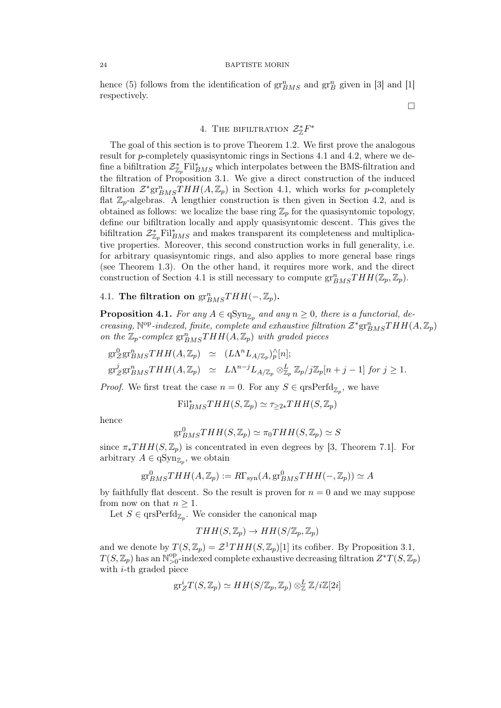#### 24 BAPTISTE MORIN

hence (5) follows from the identification of  $gr_{BMS}^n$  and  $gr_B^n$  given in [3] and [1] respectively.

4. THE BIFILTRATION  $\mathcal{Z}_{\mathbb{Z}}^*F^*$ 

The goal of this section is to prove Theorem 1.2. We first prove the analogous result for p-completely quasisyntomic rings in Sections 4.1 and 4.2, where we define a bifiltration  $\mathcal{Z}^*_{\mathbb{Z}_p} \mathrm{Fil}^*_{BMS}$  which interpolates between the BMS-filtration and the filtration of Proposition 3.1. We give a direct construction of the induced filtration  $\mathcal{Z}^*$ gr $_{BMS}^nTHH(A,\mathbb{Z}_p)$  in Section 4.1, which works for p-completely flat  $\mathbb{Z}_p$ -algebras. A lengthier construction is then given in Section 4.2, and is obtained as follows: we localize the base ring  $\mathbb{Z}_p$  for the quasisyntomic topology, define our bifiltration locally and apply quasisyntomic descent. This gives the bifiltration  $\mathcal{Z}^*_{\mathbb{Z}_p} \text{Fil}_{BMS}^*$  and makes transparent its completeness and multiplicative properties. Moreover, this second construction works in full generality, i.e. for arbitrary quasisyntomic rings, and also applies to more general base rings (see Theorem 1.3). On the other hand, it requires more work, and the direct construction of Section 4.1 is still necessary to compute  $gr^n_{BMS}THH(\mathbb{Z}_p, \mathbb{Z}_p)$ .

4.1. The filtration on  $gr^{n}_{BMS}THH(-, \mathbb{Z}_p)$ .

**Proposition 4.1.** For any  $A \in qSym_{\mathbb{Z}_p}$  and any  $n \geq 0$ , there is a functorial, decreasing,  $\mathbb{N}^{\text{op}}$ -indexed, finite, complete and exhaustive filtration  $\mathcal{Z}^* \text{gr}^n_{BMS}THH(A,\mathbb{Z}_p)$ on the  $\mathbb{Z}_p$ -complex  $gr^n_{BMS}THH(A,\mathbb{Z}_p)$  with graded pieces

$$
\begin{array}{rcl}\n\operatorname{gr}_{\mathcal{Z}}^{0}\operatorname{gr}_{BMS}^{n}THH(A,\mathbb{Z}_{p}) &\simeq & (L\Lambda^{n}L_{A/\mathbb{Z}_{p}})_{p}^{\wedge}[n]; \\
\operatorname{gr}_{\mathcal{Z}}^{j}\operatorname{gr}_{BMS}^{n}THH(A,\mathbb{Z}_{p}) &\simeq & L\Lambda^{n-j}L_{A/\mathbb{Z}_{p}}\otimes_{\mathbb{Z}_{p}}^{L}\mathbb{Z}_{p}/j\mathbb{Z}_{p}[n+j-1] \text{ for } j\geq 1.\n\end{array}
$$

*Proof.* We first treat the case  $n = 0$ . For any  $S \in \text{qrsPerfd}_{\mathbb{Z}_p}$ , we have

 $\mathrm{Fil}_{BMS}^*THH(S,\mathbb{Z}_p) \simeq \tau_{\geq 2*}THH(S,\mathbb{Z}_p)$ 

hence

$$
\text{gr}^0_{BMS}THH(S,\mathbb{Z}_p) \simeq \pi_0THH(S,\mathbb{Z}_p) \simeq S
$$

since  $\pi_*THH(S, \mathbb{Z}_p)$  is concentrated in even degrees by [3, Theorem 7.1]. For arbitrary  $A \in \mathrm{qSyn}_{\mathbb{Z}_p}$ , we obtain

$$
\mathrm{gr}^0_{BMS}THH(A,\mathbb{Z}_p) := R\Gamma_{\mathrm{syn}}(A,\mathrm{gr}^0_{BMS}THH(-,\mathbb{Z}_p)) \simeq A
$$

by faithfully flat descent. So the result is proven for  $n = 0$  and we may suppose from now on that  $n \geq 1$ .

Let  $S \in \text{qrsPerfd}_{\mathbb{Z}_p}$ . We consider the canonical map

$$
THH(S, \mathbb{Z}_p) \to HH(S/\mathbb{Z}_p, \mathbb{Z}_p)
$$

and we denote by  $T(S, \mathbb{Z}_p) = \mathcal{Z}^1THH(S, \mathbb{Z}_p)[1]$  its cofiber. By Proposition 3.1,  $T(S, \mathbb{Z}_p)$  has an  $\mathbb{N}_{>0}^{\text{op}}$  $\sum_{>0}^{\text{op}}$ -indexed complete exhaustive decreasing filtration  $Z^*T(S,\mathbb{Z}_p)$ with  $i$ -th graded piece

$$
\text{gr}^i_ZT(S,\mathbb{Z}_p)\simeq HH(S/\mathbb{Z}_p,\mathbb{Z}_p)\otimes^L_\mathbb{Z}\mathbb{Z}/i\mathbb{Z}[2i]
$$

 $\Box$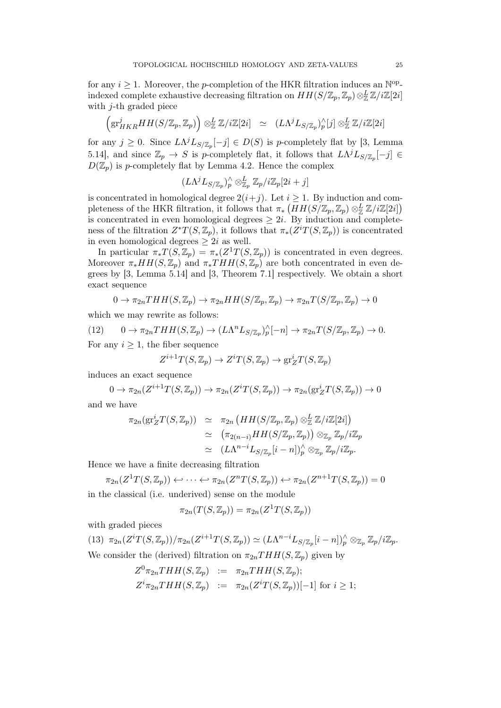for any  $i \geq 1$ . Moreover, the *p*-completion of the HKR filtration induces an N<sup>op</sup>indexed complete exhaustive decreasing filtration on  $HH(S/\mathbb{Z}_p, \mathbb{Z}_p) \otimes_{\mathbb{Z}}^L \mathbb{Z}/i\mathbb{Z}[2i]$ with  $j$ -th graded piece

$$
\left(\mathrm{gr}^j_{HKR}HH(S/\mathbb{Z}_p,\mathbb{Z}_p)\right)\otimes^L_{\mathbb{Z}}\mathbb{Z}/i\mathbb{Z}[2i] \cong (L\Lambda^jL_{S/\mathbb{Z}_p})^\wedge_p[j]\otimes^L_{\mathbb{Z}}\mathbb{Z}/i\mathbb{Z}[2i]
$$

for any  $j \geq 0$ . Since  $L\Lambda^{j}L_{S/\mathbb{Z}_{p}}[-j] \in D(S)$  is p-completely flat by [3, Lemma 5.14], and since  $\mathbb{Z}_p \to S$  is p-completely flat, it follows that  $L\Lambda^{j}L_{S/\mathbb{Z}_p}[-j] \in$  $D(\mathbb{Z}_p)$  is p-completely flat by Lemma 4.2. Hence the complex

$$
(L\Lambda^j L_{S/\mathbb{Z}_p})_p^\wedge \otimes_{\mathbb{Z}_p}^L \mathbb{Z}_p/i\mathbb{Z}_p[2i+j]
$$

is concentrated in homological degree  $2(i+j)$ . Let  $i \geq 1$ . By induction and completeness of the HKR filtration, it follows that  $\pi_*\left(HH(S/\mathbb{Z}_p,\mathbb{Z}_p)\otimes_{\mathbb{Z}}^L\mathbb{Z}/i\mathbb{Z}[2i]\right)$ is concentrated in even homological degrees  $\geq 2i$ . By induction and completeness of the filtration  $Z^*T(S,\mathbb{Z}_p)$ , it follows that  $\pi_*(Z^iT(S,\mathbb{Z}_p))$  is concentrated in even homological degrees  $\geq 2i$  as well.

In particular  $\pi_* T(S, \mathbb{Z}_p) = \pi_*(Z^1 T(S, \mathbb{Z}_p))$  is concentrated in even degrees. Moreover  $\pi_*HH(S,\mathbb{Z}_p)$  and  $\pi_*THH(S,\mathbb{Z}_p)$  are both concentrated in even degrees by [3, Lemma 5.14] and [3, Theorem 7.1] respectively. We obtain a short exact sequence

$$
0 \to \pi_{2n}THH(S, \mathbb{Z}_p) \to \pi_{2n}HH(S/\mathbb{Z}_p, \mathbb{Z}_p) \to \pi_{2n}T(S/\mathbb{Z}_p, \mathbb{Z}_p) \to 0
$$

which we may rewrite as follows:

(12) 
$$
0 \to \pi_{2n}THH(S, \mathbb{Z}_p) \to (L\Lambda^n L_{S/\mathbb{Z}_p})_p^{\wedge}[-n] \to \pi_{2n}T(S/\mathbb{Z}_p, \mathbb{Z}_p) \to 0.
$$

For any  $i \geq 1$ , the fiber sequence

$$
Z^{i+1}T(S, \mathbb{Z}_p) \to Z^i T(S, \mathbb{Z}_p) \to \text{gr}^i_Z T(S, \mathbb{Z}_p)
$$

induces an exact sequence

$$
0 \to \pi_{2n}(Z^{i+1}T(S, \mathbb{Z}_p)) \to \pi_{2n}(Z^iT(S, \mathbb{Z}_p)) \to \pi_{2n}(\text{gr}_Z^iT(S, \mathbb{Z}_p)) \to 0
$$

and we have

$$
\pi_{2n}(\text{gr}^i_Z T(S, \mathbb{Z}_p)) \simeq \pi_{2n} \left( HH(S/\mathbb{Z}_p, \mathbb{Z}_p) \otimes_{\mathbb{Z}}^L \mathbb{Z}/i\mathbb{Z}[2i] \right)
$$
  
\n
$$
\simeq \left( \pi_{2(n-i)} HH(S/\mathbb{Z}_p, \mathbb{Z}_p)) \otimes_{\mathbb{Z}_p} \mathbb{Z}_p/i\mathbb{Z}_p
$$
  
\n
$$
\simeq \left( L\Lambda^{n-i} L_{S/\mathbb{Z}_p}[i-n] \right)_{p}^{\wedge} \otimes_{\mathbb{Z}_p} \mathbb{Z}_p/i\mathbb{Z}_p.
$$

Hence we have a finite decreasing filtration

$$
\pi_{2n}(Z^1T(S, \mathbb{Z}_p)) \leftrightarrow \cdots \leftrightarrow \pi_{2n}(Z^nT(S, \mathbb{Z}_p)) \leftrightarrow \pi_{2n}(Z^{n+1}T(S, \mathbb{Z}_p)) = 0
$$
  
the desired (i.e. underirol) sense on the module

in the classical (i.e. underived) sense on the module

$$
\pi_{2n}(T(S,\mathbb{Z}_p)) = \pi_{2n}(Z^1T(S,\mathbb{Z}_p))
$$

with graded pieces

(13)  $\pi_{2n}(Z^{i}T(S,\mathbb{Z}_p))/\pi_{2n}(Z^{i+1}T(S,\mathbb{Z}_p)) \simeq (L\Lambda^{n-i}L_{S/\mathbb{Z}_p}[i-n])^\wedge_p \otimes_{\mathbb{Z}_p} \mathbb{Z}_p/i\mathbb{Z}_p.$ We consider the (derived) filtration on  $\pi_{2n}THH(S, \mathbb{Z}_p)$  given by

$$
Z^0 \pi_{2n} THH(S, \mathbb{Z}_p) := \pi_{2n} THH(S, \mathbb{Z}_p);
$$
  
\n
$$
Z^i \pi_{2n} THH(S, \mathbb{Z}_p) := \pi_{2n}(Z^i T(S, \mathbb{Z}_p))[-1] \text{ for } i \geq 1;
$$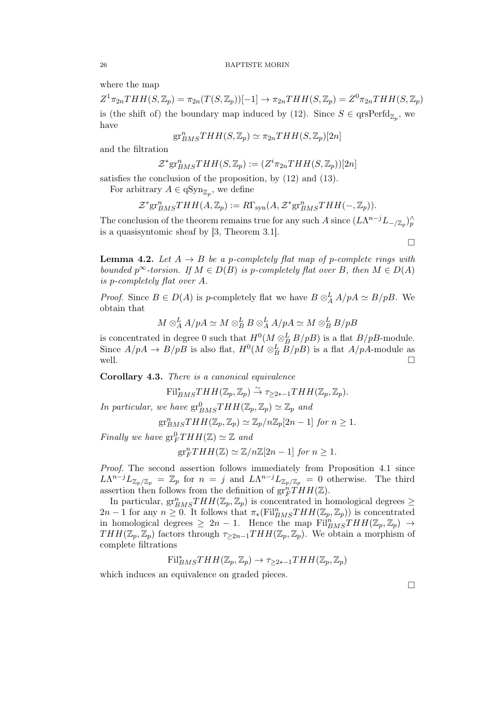where the map

 $Z^1 \pi_{2n} THH(S, \mathbb{Z}_p) = \pi_{2n}(T(S, \mathbb{Z}_p))[-1] \longrightarrow \pi_{2n} THH(S, \mathbb{Z}_p) = Z^0 \pi_{2n} THH(S, \mathbb{Z}_p)$ is (the shift of) the boundary map induced by (12). Since  $S \in \text{qrsPerfd}_{\mathbb{Z}_p}$ , we have

$$
\mathrm{gr}^n_{BMS}THH(S,\mathbb{Z}_p)\simeq \pi_{2n}THH(S,\mathbb{Z}_p)[2n]
$$

and the filtration

$$
\mathcal{Z}^* \text{gr}^n_{BMS}THH(S,\mathbb{Z}_p):=(Z^i \pi_{2n}THH(S,\mathbb{Z}_p))[2n]
$$

satisfies the conclusion of the proposition, by (12) and (13).

For arbitrary  $A \in \mathrm{qSyn}_{\mathbb{Z}_p}$ , we define

$$
\mathcal{Z}^* \text{gr}^n_{BMS}THH(A,\mathbb{Z}_p) := R\Gamma_{syn}(A, \mathcal{Z}^* \text{gr}^n_{BMS}THH(-,\mathbb{Z}_p)).
$$

The conclusion of the theorem remains true for any such A since  $(L\Lambda^{n-j}L_{-\mathbb{Z}_p})_p^{\wedge}$ is a quasisyntomic sheaf by [3, Theorem 3.1].

 $\Box$ 

**Lemma 4.2.** Let  $A \rightarrow B$  be a p-completely flat map of p-complete rings with bounded  $p^{\infty}$ -torsion. If  $M \in D(B)$  is p-completely flat over B, then  $M \in D(A)$ is p-completely flat over A.

*Proof.* Since  $B \in D(A)$  is p-completely flat we have  $B \otimes_A^L A/pA \simeq B/pB$ . We obtain that

$$
M\otimes_A^LA/pA\simeq M\otimes_B^LB\otimes_A^LA/pA\simeq M\otimes_B^LB/pB
$$

is concentrated in degree 0 such that  $H^0(M \otimes_B^L B/pB)$  is a flat  $B/pB$ -module. Since  $A/pA \to B/pB$  is also flat,  $H^0(M \otimes_B^L B/pB)$  is a flat  $A/pA$ -module as well.  $\Box$ 

Corollary 4.3. There is a canonical equivalence

$$
\mathrm{Fil}_{BMS}^*THH(\mathbb{Z}_p,\mathbb{Z}_p)\stackrel{\sim}{\to}\tau_{\geq 2*-1}THH(\mathbb{Z}_p,\mathbb{Z}_p).
$$

In particular, we have  $gr^0_{BMS}THH(\mathbb{Z}_p, \mathbb{Z}_p) \simeq \mathbb{Z}_p$  and

$$
\operatorname{gr}^n_{BMS}THH(\mathbb{Z}_p, \mathbb{Z}_p) \simeq \mathbb{Z}_p/n\mathbb{Z}_p[2n-1] \text{ for } n \ge 1.
$$

Finally we have  $gr_F^0THH(\mathbb{Z}) \simeq \mathbb{Z}$  and

$$
\operatorname{gr}^n_F THH(\mathbb{Z}) \simeq \mathbb{Z}/n\mathbb{Z}[2n-1] \text{ for } n \ge 1.
$$

Proof. The second assertion follows immediately from Proposition 4.1 since  $L\Lambda^{n-j}L_{\mathbb{Z}_p/\mathbb{Z}_p} = \mathbb{Z}_p$  for  $n = j$  and  $L\Lambda^{n-j}L_{\mathbb{Z}_p/\mathbb{Z}_p} = 0$  otherwise. The third assertion then follows from the definition of  $gr_F^{n'}THH(\mathbb{Z})$ .

In particular,  $gr^n_{BMS}THH(\mathbb{Z}_p, \mathbb{Z}_p)$  is concentrated in homological degrees  $\geq$  $2n-1$  for any  $n \geq 0$ . It follows that  $\pi_*(\text{Fil}_{BMS}^nTHH(\mathbb{Z}_p,\mathbb{Z}_p))$  is concentrated in homological degrees  $\geq 2n-1$ . Hence the map  $\text{Fil}_{BMS}^nTHH(\mathbb{Z}_p,\mathbb{Z}_p) \rightarrow$  $THH(\mathbb{Z}_p, \mathbb{Z}_p)$  factors through  $\tau_{\geq 2n-1}THH(\mathbb{Z}_p, \mathbb{Z}_p)$ . We obtain a morphism of complete filtrations

$$
\mathrm{Fil}_{BMS}^*THH(\mathbb{Z}_p,\mathbb{Z}_p)\to \tau_{\geq 2*-1}THH(\mathbb{Z}_p,\mathbb{Z}_p)
$$

which induces an equivalence on graded pieces.

 $\Box$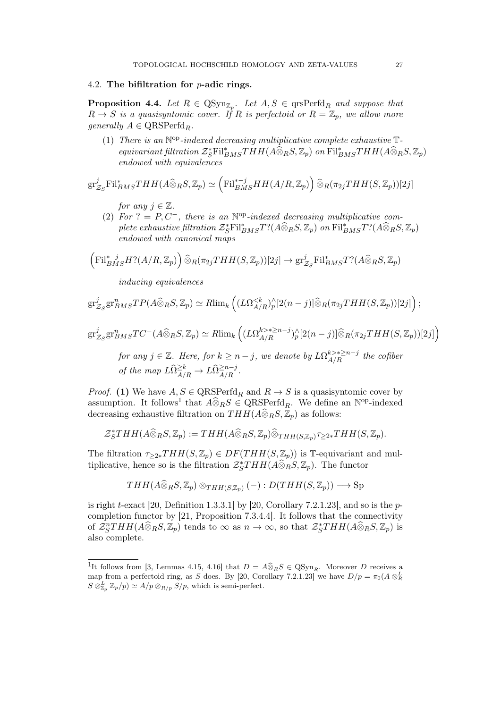### 4.2. The bifiltration for p-adic rings.

**Proposition 4.4.** Let  $R \in \text{QSyn}_{\mathbb{Z}_p}$ . Let  $A, S \in \text{qrsPerfd}_R$  and suppose that  $R \to S$  is a quasisyntomic cover. If R is perfectoid or  $R = \mathbb{Z}_p$ , we allow more generally  $A \in \text{QRSPerfd}_R$ .

(1) There is an  $\mathbb{N}^{op}\text{-}indered$  decreasing multiplicative complete exhaustive  $\mathbb{T}\text{-}$ equivariant filtration  $\mathcal{Z}_{S}^{*}$ Fil $_{BMS}^{*}THH(A\widehat{\otimes}_{R}S, \mathbb{Z}_{p})$  on Fil $_{BMS}^{*}THH(A\widehat{\otimes}_{R}S, \mathbb{Z}_{p})$ endowed with equivalences

$$
\mathrm{gr}^j_{\mathcal{Z}_S}\mathrm{Fil}^*_{BMS}THH(A\widehat{\otimes}_R S,\mathbb{Z}_p)\simeq \left(\mathrm{Fil}^{*-j}_{BMS}HH(A/R,\mathbb{Z}_p)\right)\widehat{\otimes}_R(\pi_{2j}THH(S,\mathbb{Z}_p))[2j]
$$

for any  $j \in \mathbb{Z}$ .

(2) For  $? = P, C^-$ , there is an N<sup>op</sup>-indexed decreasing multiplicative complete exhaustive filtration  $\mathcal{Z}_{S}^{*}$ Fil $_{BMS}^{*}T$ ?( $A\widehat{\otimes}_{R}S, \mathbb{Z}_{p}$ ) on Fil $_{BMS}^{*}T$ ?( $A\widehat{\otimes}_{R}S, \mathbb{Z}_{p}$ ) endowed with canonical maps

$$
\left(\mathrm{Fil}_{BMS}^{*-j}H^?(A/R,\mathbb{Z}_p)\right)\widehat{\otimes}_R(\pi_{2j}THH(S,\mathbb{Z}_p))[2j]\to\mathrm{gr}_{\mathcal{Z}_S}^j\mathrm{Fil}_{BMS}^*T^?(A\widehat{\otimes}_RS,\mathbb{Z}_p)
$$

inducing equivalences

$$
\mathrm{gr}^j_{\mathcal{Z}_S}\mathrm{gr}^n_{BMS}TP(A\widehat{\otimes}_R S,\mathbb{Z}_p)\simeq R\mathrm{lim}_k\left((L\Omega_{A/R}^{
$$

$$
\mathrm{gr}^j_{\mathcal{Z}_S} \mathrm{gr}^n_{BMS} TC^{-}(A \widehat{\otimes}_R S, \mathbb{Z}_p) \simeq R\mathrm{lim}_k \left( (L\Omega_{A/R}^{k > * \ge n-j})^\wedge_p [2(n-j)] \widehat{\otimes}_R (\pi_{2j}THH(S, \mathbb{Z}_p))[2j] \right)
$$

for any  $j \in \mathbb{Z}$ . Here, for  $k \geq n-j$ , we denote by  $L\Omega_{A/R}^{k \geq \ast \geq n-j}$  the cofiber of the map  $L\widehat{\Omega}_{A/R}^{\geq k} \to L\widehat{\Omega}_{A/R}^{\geq n-j}$ .

*Proof.* (1) We have  $A, S \in \text{QRSPerfd}_R$  and  $R \to S$  is a quasisyntomic cover by assumption. It follows<sup>1</sup> that  $A\widehat{\otimes}_R S \in \text{QRSPerfd}_R$ . We define an N<sup>op</sup>-indexed decreasing exhaustive filtration on  $THH(A\widehat{\otimes}_R S, \mathbb{Z}_p)$  as follows:

$$
\mathcal{Z}_S^*THH(A\widehat{\otimes}_RS,\mathbb{Z}_p):=THH(A\widehat{\otimes}_RS,\mathbb{Z}_p)\widehat{\otimes}_{THH(S,\mathbb{Z}_p)}\tau_{\geq 2*}THH(S,\mathbb{Z}_p).
$$

The filtration  $\tau_{>2*}THH(S,\mathbb{Z}_p) \in DF(THH(S,\mathbb{Z}_p))$  is T-equivariant and multiplicative, hence so is the filtration  $\mathcal{Z}_S^*THH(A\widehat{\otimes}_R S, \mathbb{Z}_p)$ . The functor

$$
THH(A\widehat{\otimes}_R S, \mathbb{Z}_p)\otimes_{THH(S, \mathbb{Z}_p)} (-): D(THH(S, \mathbb{Z}_p)) \longrightarrow \text{Sp}
$$

is right t-exact [20, Definition 1.3.3.1] by [20, Corollary 7.2.1.23], and so is the  $p$ completion functor by [21, Proposition 7.3.4.4]. It follows that the connectivity of  $\mathcal{Z}_S^nTHH(A\widehat{\otimes}_R S,\mathbb{Z}_p)$  tends to  $\infty$  as  $n \to \infty$ , so that  $\mathcal{Z}_S^*THH(A\widehat{\otimes}_R S,\mathbb{Z}_p)$  is also complete.

<sup>&</sup>lt;sup>1</sup>It follows from [3, Lemmas 4.15, 4.16] that  $D = A\widehat{\otimes}_R S \in \text{QSyn}_R$ . Moreover D receives a map from a perfectoid ring, as S does. By [20, Corollary 7.2.1.23] we have  $D/p = \pi_0(A \otimes_R^L)$  $S \otimes_{\mathbb{Z}_p}^L \mathbb{Z}_p/p \simeq A/p \otimes_{R/p} S/p$ , which is semi-perfect.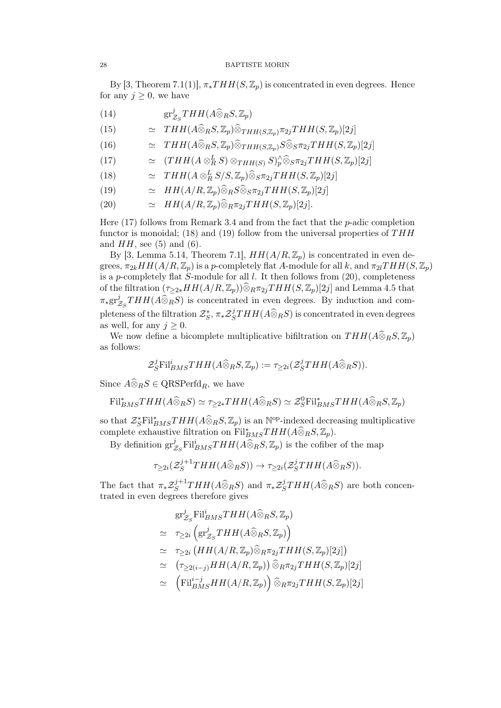#### 28 BAPTISTE MORIN

By [3, Theorem 7.1(1)],  $\pi_* T H H(S, \mathbb{Z}_p)$  is concentrated in even degrees. Hence for any  $j \geq 0$ , we have

- $\mathrm{gr}^j_\beta$ (14)  $\operatorname{gr}^j_{Z_S}THH(A\widehat{\otimes}_R S, \mathbb{Z}_p)$
- (15)  $\qquad \simeq \quad THH(A\widehat{\otimes}_R S, \mathbb{Z}_p)\widehat{\otimes}_{THH(S, \mathbb{Z}_p)} \pi_{2j}THH(S, \mathbb{Z}_p)[2j]$
- (16)  $\qquad \simeq \quad THH(A\widehat{\otimes}_RS, \mathbb{Z}_p)\widehat{\otimes}_{THH(S, \mathbb{Z}_p)}S\widehat{\otimes}_S \pi_{2j}THH(S, \mathbb{Z}_p)[2j]$
- (17)  $\qquad \simeq \quad (THH(A\otimes_R^LS)\otimes_{THH(S)} S)^\wedge_p\widehat{\otimes}_S \pi_{2j}THH(S,\mathbb{Z}_p)[2j]$
- (18)  $\approx THH(A \otimes_R^L S/S, \mathbb{Z}_p) \widehat{\otimes}_S \pi_{2j}THH(S, \mathbb{Z}_p)[2j]$
- (19)  $\approx HH(A/R, \mathbb{Z}_p)\widehat{\otimes}_R S\widehat{\otimes}_S \pi_{2j}THH(S, \mathbb{Z}_p)[2j]$
- (20)  $\cong HH(A/R, \mathbb{Z}_p)\widehat{\otimes}_R \pi_{2j}THH(S, \mathbb{Z}_p)[2j].$

Here  $(17)$  follows from Remark 3.4 and from the fact that the *p*-adic completion functor is monoidal; (18) and (19) follow from the universal properties of  $THH$ and  $HH$ , see (5) and (6).

By [3, Lemma 5.14, Theorem 7.1],  $HH(A/R, \mathbb{Z}_p)$  is concentrated in even degrees,  $\pi_{2k}HH(A/R, \mathbb{Z}_p)$  is a p-completely flat A-module for all k, and  $\pi_{2l}THH(S, \mathbb{Z}_p)$ is a p-completely flat S-module for all  $l$ . It then follows from  $(20)$ , completeness of the filtration  $(\tau_{\geq 2*}HH(A/R, \mathbb{Z}_p))\widehat{\otimes}_{R}\pi_{2j}THH(S, \mathbb{Z}_p)[2j]$  and Lemma 4.5 that  $\pi_*\mathrm{gr}^j_2$  $\mathcal{Z}_S^J$ THH(A⊗RS) is concentrated in even degrees. By induction and completeness of the filtration  $\mathcal{Z}_S^*, \pi_*\mathcal{Z}_S^j$  $S^J_STHH(A\widehat{\otimes}_R S)$  is concentrated in even degrees as well, for any  $j \geq 0$ .

We now define a bicomplete multiplicative bifiltration on  $THH(A\widehat{\otimes}_R S, \mathbb{Z}_p)$ as follows:

$$
\mathcal{Z}_S^j \text{Fil}_{BMS}^i THH(A\widehat{\otimes}_R S, \mathbb{Z}_p) := \tau_{\geq 2i}(\mathcal{Z}_S^j THH(A\widehat{\otimes}_R S)).
$$

Since  $\widehat{A \otimes_R S} \in \text{QRSPerfd}_R$ , we have

$$
\mathrm{Fil}_{BMS}^*THH(A\widehat{\otimes}_R S) \simeq \tau_{\geq 2*}THH(A\widehat{\otimes}_R S) \simeq \mathcal{Z}_S^0 \mathrm{Fil}_{BMS}^*THH(A\widehat{\otimes}_R S, \mathbb{Z}_p)
$$

so that  $\mathcal{Z}_{S}^{*}$ Fil<sup>\*</sup><sub>BMS</sub>THH( $A\widehat{\otimes}_{R}S, \mathbb{Z}_{p}$ ) is an N<sup>op</sup>-indexed decreasing multiplicative complete exhaustive filtration on Fil<sup>\*</sup><sub>BMS</sub>THH( $A\widehat{\otimes}_R S, \mathbb{Z}_p$ ).

By definition  $gr^j_{\hat{z}}$  $\frac{\partial^j}{\partial z^j}$ Fil<sup>i</sup> $_{BMS}THH(A\widehat{\otimes}_RS, \mathbb{Z}_p)$  is the cofiber of the map

$$
\tau_{\geq 2i}(\mathcal{Z}_S^{j+1}THH(A\widehat{\otimes}_R S))\to \tau_{\geq 2i}(\mathcal{Z}_S^jTHH(A\widehat{\otimes}_R S)).
$$

The fact that  $\pi_* \mathcal{Z}_S^{j+1}$  $\mathcal{L}_S^{j+1}THH(A\widehat{\otimes}_R S)$  and  $\pi_*\mathcal{Z}_S^j$  $S^J_STHH(A\widehat{\otimes}_R S)$  are both concentrated in even degrees therefore gives

$$
gr_{Z_S}^j Fil_{BMS}^iTHH(A\widehat{\otimes}_R S, \mathbb{Z}_p)
$$
  
\n
$$
\simeq \tau_{\geq 2i} \left( gr_{Z_S}^jTHH(A\widehat{\otimes}_R S, \mathbb{Z}_p) \right)
$$
  
\n
$$
\simeq \tau_{\geq 2i} \left(HH(A/R, \mathbb{Z}_p)\widehat{\otimes}_R \pi_{2j}THH(S, \mathbb{Z}_p)[2j] \right)
$$
  
\n
$$
\simeq (\tau_{\geq 2(i-j)}HH(A/R, \mathbb{Z}_p))\widehat{\otimes}_R \pi_{2j}THH(S, \mathbb{Z}_p)[2j]
$$
  
\n
$$
\simeq \left( Fil_{BMS}^{i-j}HH(A/R, \mathbb{Z}_p) \right)\widehat{\otimes}_R \pi_{2j}THH(S, \mathbb{Z}_p)[2j]
$$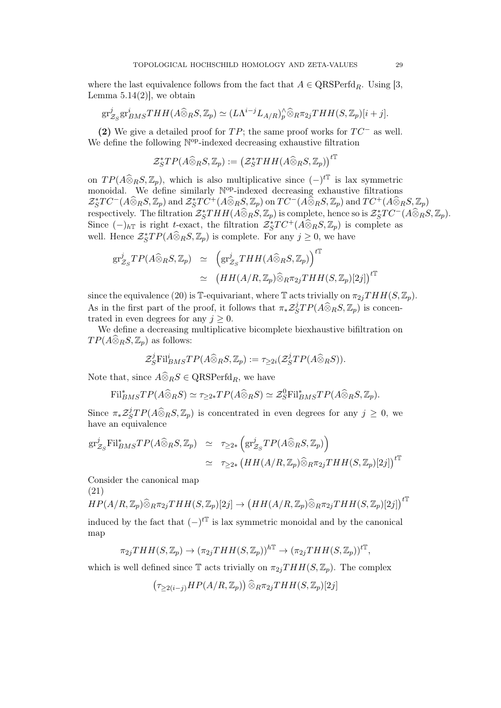where the last equivalence follows from the fact that  $A \in \text{QRSPerfd}_R$ . Using [3, Lemma  $5.14(2)$ , we obtain

$$
\mathrm{gr}^j_{\mathcal{Z}_S}\mathrm{gr}^i_{BMS}THH(A\widehat{\otimes}_R S,\mathbb{Z}_p)\simeq (L\Lambda^{i-j}L_{A/R})^\wedge_p\widehat{\otimes}_R\pi_{2j}THH(S,\mathbb{Z}_p)[i+j].
$$

(2) We give a detailed proof for  $TP$ ; the same proof works for  $TC^-$  as well. We define the following  $\mathbb{N}^{\text{op}}$ -indexed decreasing exhaustive filtration

$$
\mathcal{Z}_S^*TP(A\widehat{\otimes}_R S, \mathbb{Z}_p):=\big(\mathcal{Z}_S^*THH(A\widehat{\otimes}_R S, \mathbb{Z}_p)\big)^{t\mathbb{T}}
$$

on  $TP(A\widehat{\otimes}_R S, \mathbb{Z}_p)$ , which is also multiplicative since  $(-)^{t\mathbb{T}}$  is lax symmetric monoidal. We define similarly N<sup>op</sup>-indexed decreasing exhaustive filtrations  $\mathcal{Z}_S^*TC^{-}(A\widehat{\otimes}_R S,\mathbb{Z}_p)$  and  $\mathcal{Z}_S^*TC^{+}(A\widehat{\otimes}_R S,\mathbb{Z}_p)$  on  $TC^{-}(A\widehat{\otimes}_R S,\mathbb{Z}_p)$  and  $TC^{+}(A\widehat{\otimes}_R S,\mathbb{Z}_p)$ respectively. The filtration  $\mathcal{Z}_S^*THH(A\widehat{\otimes}_R S, \mathbb{Z}_p)$  is complete, hence so is  $\mathcal{Z}_S^*TC^-(A\widehat{\otimes}_R S, \mathbb{Z}_p)$ . Since  $(-)_{h\mathbb{T}}$  is right t-exact, the filtration  $\mathcal{Z}_S^*TC^+(A\widehat{\otimes}_R S,\mathbb{Z}_p)$  is complete as well. Hence  $\mathcal{Z}_{S}^{*}TP(\hat{A} \widehat{\otimes}_{R} S, \mathbb{Z}_{p})$  is complete. For any  $j \geq 0$ , we have

$$
gr_{\mathcal{Z}_S}^j TP(A\widehat{\otimes}_R S, \mathbb{Z}_p) \simeq \left( gr_{\mathcal{Z}_S}^j THH(A\widehat{\otimes}_R S, \mathbb{Z}_p) \right)^{t\mathbb{T}} \simeq \left( HH(A/R, \mathbb{Z}_p)\widehat{\otimes}_R \pi_{2j}THH(S, \mathbb{Z}_p)[2j] \right)^{t\mathbb{T}}
$$

since the equivalence (20) is T-equivariant, where T acts trivially on  $\pi_{2j}THH(S, \mathbb{Z}_p)$ . As in the first part of the proof, it follows that  $\pi_*\mathcal{Z}^j_{\mathcal{S}}$  ${}_{S}^{j}TP(A\widehat{\otimes}_{R}S, \mathbb{Z}_{p})$  is concentrated in even degrees for any  $j \geq 0$ .

We define a decreasing multiplicative bicomplete biexhaustive bifiltration on  $TP(A\widehat{\otimes}_R S, \mathbb{Z}_p)$  as follows:

$$
\mathcal{Z}_S^j \text{Fil}_{BMS}^i TP(A\widehat{\otimes}_R S, \mathbb{Z}_p) := \tau_{\geq 2i}(\mathcal{Z}_S^j TP(A\widehat{\otimes}_R S)).
$$

Note that, since  $\widehat{A \otimes_R S} \in \text{QRSPerfd}_R$ , we have

$$
\mathrm{Fil}_{BMS}^*TP(A\widehat{\otimes}_R S)\simeq \tau_{\geq 2*}TP(A\widehat{\otimes}_R S)\simeq \mathcal{Z}_S^0\mathrm{Fil}_{BMS}^*TP(A\widehat{\otimes}_R S,\mathbb{Z}_p).
$$

Since  $\pi_*\mathcal{Z}_S^j$  $\frac{j}{S}TP(A\widehat{\otimes}_R S, \mathbb{Z}_p)$  is concentrated in even degrees for any  $j \geq 0$ , we have an equivalence

$$
\begin{array}{rcl}\n\operatorname{gr}_{Z_{S}}^{j} \mathrm{Fil}_{BMS}^{*}TP(A\widehat{\otimes}_{R}S, \mathbb{Z}_{p}) & \simeq & \tau_{\geq 2*}\left(\operatorname{gr}_{Z_{S}}^{j}TP(A\widehat{\otimes}_{R}S, \mathbb{Z}_{p})\right) \\
& \simeq & \tau_{\geq 2*}\left(HH(A/R, \mathbb{Z}_{p})\widehat{\otimes}_{R}\pi_{2j}THH(S, \mathbb{Z}_{p})[2j]\right)^{t}\n\end{array}
$$

Consider the canonical map

(21)

$$
HP(A/R, \mathbb{Z}_p) \widehat{\otimes}_{R} \pi_{2j}THH(S, \mathbb{Z}_p)[2j] \rightarrow \left(HH(A/R, \mathbb{Z}_p) \widehat{\otimes}_{R} \pi_{2j}THH(S, \mathbb{Z}_p)[2j]\right)^{t\mathbb{T}}
$$

induced by the fact that  $(-)^{t\mathbb{T}}$  is lax symmetric monoidal and by the canonical map

$$
\pi_{2j}THH(S,\mathbb{Z}_p) \to (\pi_{2j}THH(S,\mathbb{Z}_p))^{h\mathbb{T}} \to (\pi_{2j}THH(S,\mathbb{Z}_p))^{t\mathbb{T}},
$$

which is well defined since  $\mathbb T$  acts trivially on  $\pi_{2j}THH(S,\mathbb Z_p)$ . The complex

$$
(\tau_{\geq 2(i-j)}HP(A/R, \mathbb{Z}_p))\widehat{\otimes}_{R}\pi_{2j}THH(S, \mathbb{Z}_p)[2j]
$$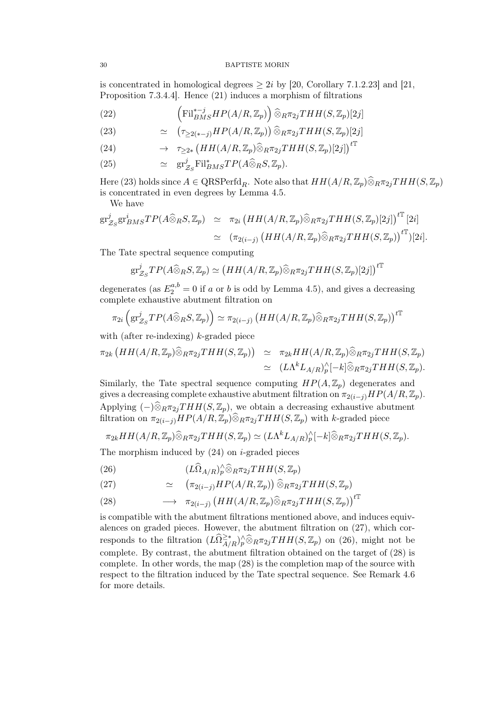#### 30 BAPTISTE MORIN

is concentrated in homological degrees  $\geq 2i$  by [20, Corollary 7.1.2.23] and [21, Proposition 7.3.4.4]. Hence (21) induces a morphism of filtrations

(22) 
$$
\left(\mathrm{Fil}_{BMS}^{*-j}HP(A/R,\mathbb{Z}_p)\right)\widehat{\otimes}_R \pi_{2j}THH(S,\mathbb{Z}_p)[2j]
$$

(23) 
$$
\simeq (\tau_{\geq 2(*)}HP(A/R, \mathbb{Z}_p)) \widehat{\otimes}_R \pi_{2j}THH(S, \mathbb{Z}_p)[2j]
$$

(24) 
$$
\rightarrow \quad \tau_{\geq 2*} \left( HH(A/R, \mathbb{Z}_p) \widehat{\otimes}_{R} \pi_{2j} THH(S, \mathbb{Z}_p)[2j] \right)^{t}.
$$

(25) 
$$
\simeq \operatorname{gr}_{Z_S}^j \mathrm{Fil}_{BMS}^* T P(A\widehat{\otimes}_R S, \mathbb{Z}_p).
$$

Here (23) holds since  $A \in \text{QRSPerfd}_R$ . Note also that  $HH(A/R, \mathbb{Z}_p) \widehat{\otimes}_R \pi_{2i}THH(S, \mathbb{Z}_p)$ is concentrated in even degrees by Lemma 4.5.

We have

$$
gr_{Z_S}^j gr_{BMS}^i TP(A\widehat{\otimes}_R S, \mathbb{Z}_p) \simeq \pi_{2i} \left( HH(A/R, \mathbb{Z}_p) \widehat{\otimes}_R \pi_{2j}THH(S, \mathbb{Z}_p)[2j] \right)^{t\mathbb{T}} [2i]
$$
  

$$
\simeq (\pi_{2(i-j)} \left( HH(A/R, \mathbb{Z}_p) \widehat{\otimes}_R \pi_{2j}THH(S, \mathbb{Z}_p) \right)^{t\mathbb{T}})[2i].
$$

The Tate spectral sequence computing

$$
\mathrm{gr}^j_{\mathcal{Z}_S}TP(A\widehat{\otimes}_R S, \mathbb{Z}_p)\simeq \big(HH(A/R, \mathbb{Z}_p)\widehat{\otimes}_R \pi_{2j}THH(S, \mathbb{Z}_p)[2j]\big)^{t\mathbb{T}}
$$

degenerates (as  $E_2^{a,b} = 0$  if a or b is odd by Lemma 4.5), and gives a decreasing complete exhaustive abutment filtration on

$$
\pi_{2i}\left(\mathrm{gr}^j_{\mathcal{Z}_S}TP(A\widehat{\otimes}_R S,\mathbb{Z}_p)\right)\simeq \pi_{2(i-j)}\left(HH(A/R,\mathbb{Z}_p)\widehat{\otimes}_R\pi_{2j}THH(S,\mathbb{Z}_p)\right)^{t\mathbb{T}}
$$

with (after re-indexing) k-graded piece

$$
\pi_{2k} \left( HH(A/R, \mathbb{Z}_p) \widehat{\otimes}_{R} \pi_{2j}THH(S, \mathbb{Z}_p) \right) \simeq \pi_{2k}HH(A/R, \mathbb{Z}_p) \widehat{\otimes}_{R} \pi_{2j}THH(S, \mathbb{Z}_p) \simeq (L\Lambda^k L_{A/R})_p^{\wedge} [-k] \widehat{\otimes}_{R} \pi_{2j}THH(S, \mathbb{Z}_p).
$$

Similarly, the Tate spectral sequence computing  $HP(A, \mathbb{Z}_n)$  degenerates and gives a decreasing complete exhaustive abutment filtration on  $\pi_{2(i-j)}HP(A/R, \mathbb{Z}_p)$ . Applying  $(-)\widehat{\otimes}_R \pi_{2j}THH(S, \mathbb{Z}_p)$ , we obtain a decreasing exhaustive abutment filtration on  $\pi_{2(i-j)}HP(A/R, \mathbb{Z}_p) \widehat{\otimes}_R \pi_{2j}THH(S, \mathbb{Z}_p)$  with k-graded piece

$$
\pi_{2k}HH(A/R, \mathbb{Z}_p)\widehat{\otimes}_{R}\pi_{2j}THH(S, \mathbb{Z}_p)\simeq (L\Lambda^k L_{A/R})_p^{\wedge}[-k]\widehat{\otimes}_{R}\pi_{2j}THH(S, \mathbb{Z}_p).
$$

The morphism induced by  $(24)$  on *i*-graded pieces

(26) 
$$
(L\widehat{\Omega}_{A/R})_p^{\wedge} \widehat{\otimes}_R \pi_{2j}THH(S, \mathbb{Z}_p)
$$

(27) 
$$
\simeq (\pi_{2(i-j)}HP(A/R, \mathbb{Z}_p)) \widehat{\otimes}_R \pi_{2j}THH(S, \mathbb{Z}_p)
$$

(28) 
$$
\longrightarrow \pi_{2(i-j)} (HH(A/R, \mathbb{Z}_p) \widehat{\otimes}_{R} \pi_{2j} THH(S, \mathbb{Z}_p))^{t\mathbb{T}}
$$

is compatible with the abutment filtrations mentioned above, and induces equivalences on graded pieces. However, the abutment filtration on (27), which corresponds to the filtration  $(L\widehat{\Omega}^{\geq *}_{A/R})_p^{\wedge} \widehat{\otimes}_R \pi_{2j}THH(S,\mathbb{Z}_p)$  on (26), might not be complete. By contrast, the abutment filtration obtained on the target of (28) is complete. In other words, the map (28) is the completion map of the source with respect to the filtration induced by the Tate spectral sequence. See Remark 4.6 for more details.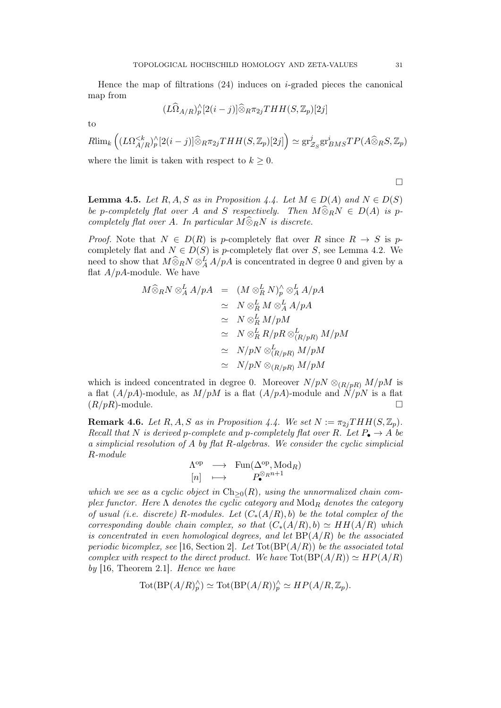Hence the map of filtrations  $(24)$  induces on *i*-graded pieces the canonical map from

$$
(L\widehat{\Omega}_{A/R})_p^{\wedge}[2(i-j)]\widehat{\otimes}_R\pi_{2j}THH(S,\mathbb{Z}_p)[2j]
$$

to

 $R\lim_{k} \left( (L\Omega_{A/R}^{< k})_{p}^{\wedge}[2(i-j)] \widehat{\otimes}_{R} \pi_{2j}THH(S,\mathbb{Z}_{p})[2j] \right) \simeq \text{gr}^{j}_{2}$  $\frac{j}{\mathcal{Z}_S}$ gr<sup>i</sup>BMS<sup>T</sup>P(A $\widehat{\otimes}_R$ S, Z<sub>p</sub>) where the limit is taken with respect to  $k \geq 0$ .

 $\Box$ 

**Lemma 4.5.** Let R, A, S as in Proposition 4.4. Let  $M \in D(A)$  and  $N \in D(S)$ be p-completely flat over A and S respectively. Then  $M\widehat{\otimes}_R N\in D(A)$  is pcompletely flat over A. In particular  $M\widehat{\otimes}_RN$  is discrete.

*Proof.* Note that  $N \in D(R)$  is p-completely flat over R since  $R \to S$  is pcompletely flat and  $N \in D(S)$  is p-completely flat over S, see Lemma 4.2. We need to show that  $M\widehat{\otimes}_R N\otimes_A^L A/pA$  is concentrated in degree 0 and given by a flat  $A/pA$ -module. We have

$$
M \widehat{\otimes}_{R} N \otimes_{A}^{L} A/pA = (M \otimes_{R}^{L} N)_{p}^{\wedge} \otimes_{A}^{L} A/pA
$$
  
\n
$$
\simeq N \otimes_{R}^{L} M \otimes_{A}^{L} A/pA
$$
  
\n
$$
\simeq N \otimes_{R}^{L} M/pM
$$
  
\n
$$
\simeq N \otimes_{R}^{L} R/pR \otimes_{(R/pR)}^{L} M/pM
$$
  
\n
$$
\simeq N/pN \otimes_{(R/pR)}^{L} M/pM
$$
  
\n
$$
\simeq N/pN \otimes_{(R/pR)}^{L} M/pM
$$

which is indeed concentrated in degree 0. Moreover  $N/pN \otimes_{(R/pR)} M/pM$  is a flat  $(A/pA)$ -module, as  $M/pM$  is a flat  $(A/pA)$ -module and  $N/pN$  is a flat  $(R/pR)$ -module.

**Remark 4.6.** Let R, A, S as in Proposition 4.4. We set  $N := \pi_{2i}THH(S, \mathbb{Z}_p)$ . Recall that N is derived p-complete and p-completely flat over R. Let  $P_{\bullet} \to A$  be a simplicial resolution of A by flat R-algebras. We consider the cyclic simplicial R-module

$$
\begin{array}{rcl}\n\Lambda^{\text{op}} & \longrightarrow & \operatorname{Fun}(\Delta^{\text{op}}, \operatorname{Mod}_R) \\
[n] & \longmapsto & P_{\bullet}^{\otimes_R n + 1}\n\end{array}
$$

which we see as a cyclic object in  $Ch_{\geq 0}(R)$ , using the unnormalized chain complex functor. Here  $\Lambda$  denotes the cyclic category and  $\text{Mod}_R$  denotes the category of usual (i.e. discrete) R-modules. Let  $(C_*(A/R), b)$  be the total complex of the corresponding double chain complex, so that  $(C_*(A/R), b) \simeq HH(A/R)$  which is concentrated in even homological degrees, and let  $BP(A/R)$  be the associated periodic bicomplex, see [16, Section 2]. Let  $\text{Tot}(BP(A/R))$  be the associated total complex with respect to the direct product. We have  $\text{Tot}(BP(A/R)) \simeq HP(A/R)$ by  $[16,$  Theorem 2.1]. Hence we have

$$
Tot(BP(A/R)^{\wedge}_{p}) \simeq Tot(BP(A/R))^{\wedge}_{p} \simeq HP(A/R, \mathbb{Z}_{p}).
$$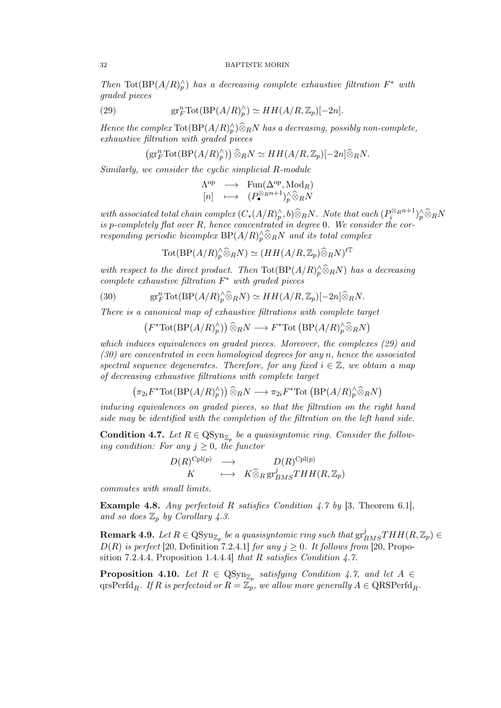Then Tot( $BP(A/R)_p^{\wedge}$ ) has a decreasing complete exhaustive filtration  $F^*$  with graded pieces

(29) 
$$
\text{gr}_F^n \text{Tot}(\text{BP}(A/R)_p^{\wedge}) \simeq HH(A/R, \mathbb{Z}_p)[-2n].
$$

Hence the complex  $\text{Tot}(BP(A/R)^{\wedge}_{p})\widehat{\otimes}_{R}N$  has a decreasing, possibly non-complete, exhaustive filtration with graded pieces

$$
(\mathrm{gr}^n_F \mathrm{Tot}(\mathrm{BP}(A/R)^\wedge_p)) \widehat{\otimes}_R N \simeq HH(A/R, \mathbb{Z}_p)[-2n] \widehat{\otimes}_R N.
$$

Similarly, we consider the cyclic simplicial R-module

$$
\begin{array}{ccc}\n\Lambda^{\mathrm{op}} & \longrightarrow & \mathrm{Fun}(\Delta^{\mathrm{op}}, \mathrm{Mod}_R) \\
[n] & \longmapsto & (P_{\bullet}^{\otimes_R n+1})^{\wedge}_{p} \widehat{\otimes}_{R} N\n\end{array}
$$

with associated total chain complex  $(C_*(A/R)_p^{\wedge}, b) \widehat{\otimes}_R N$ . Note that each  $(P_i^{\otimes_R n+1})_p^{\wedge} \widehat{\otimes}_R N$ is p-completely flat over  $R$ , hence concentrated in degree 0. We consider the corresponding periodic bicomplex  $BP(A/R)_p^{\wedge} \widehat{\otimes}_R N$  and its total complex

$$
\text{Tot}(\text{BP}(A/R)_p^{\wedge}\widehat{\otimes}_R N) \simeq (HH(A/R, \mathbb{Z}_p)\widehat{\otimes}_R N)^{t\mathbb{T}}
$$

with respect to the direct product. Then  $\text{Tot}(BP(A/R)^{\wedge}_{p} \widehat{\otimes}_{R}N)$  has a decreasing complete exhaustive filtration  $F^*$  with graded pieces

(30) 
$$
\text{gr}_F^n \text{Tot}(\text{BP}(A/R)_p^{\wedge} \widehat{\otimes}_R N) \simeq HH(A/R, \mathbb{Z}_p)[-2n] \widehat{\otimes}_R N.
$$

There is a canonical map of exhaustive filtrations with complete target

$$
(F^* \text{Tot}(BP(A/R_p^{\wedge})) \widehat{\otimes}_R N \longrightarrow F^* \text{Tot}\left(BP(A/R_p^{\wedge} \widehat{\otimes}_R N\right)
$$

which induces equivalences on graded pieces. Moreover, the complexes (29) and  $(30)$  are concentrated in even homological degrees for any n, hence the associated spectral sequence degenerates. Therefore, for any fixed  $i \in \mathbb{Z}$ , we obtain a map of decreasing exhaustive filtrations with complete target

$$
(\pi_{2i}F^*\mathrm{Tot}(BP(A/R)_p^{\wedge}))\widehat{\otimes}_R N \longrightarrow \pi_{2i}F^*\mathrm{Tot}\left(BP(A/R)_p^{\wedge}\widehat{\otimes}_R N\right)
$$

inducing equivalences on graded pieces, so that the filtration on the right hand side may be identified with the completion of the filtration on the left hand side.

**Condition 4.7.** Let  $R \in \text{QSyn}_{\mathbb{Z}_p}$  be a quasisyntomic ring. Consider the following condition: For any  $j \geq 0$ , the functor

$$
D(R)^{\text{Cpl}(p)} \longrightarrow D(R)^{\text{Cpl}(p)}K \longrightarrow K \widehat{\otimes}_R \operatorname{gr}^j_{BMS} THH(R, \mathbb{Z}_p)
$$

commutes with small limits.

**Example 4.8.** Any perfectoid R satisfies Condition 4.7 by [3, Theorem 6.1], and so does  $\mathbb{Z}_p$  by Corollary 4.3.

 ${\bf Remark~4.9.}$  Let  $R\in {\rm QSyn}_{\mathbb{Z}_p}$  be a quasisyntomic ring such that  $\mathrm{gr}^j_{BMS}THH(R,\mathbb{Z}_p)\in$  $D(R)$  is perfect [20, Definition 7.2.4.1] for any  $j \geq 0$ . It follows from [20, Proposition 7.2.4.4, Proposition 1.4.4.4] that R satisfies Condition 4.7.

**Proposition 4.10.** Let  $R \in \text{QSyn}_{\mathbb{Z}_p}$  satisfying Condition 4.7, and let  $A \in$ qrsPerfd<sub>R</sub>. If R is perfectoid or  $R = \mathbb{Z}_p$ , we allow more generally  $A \in \text{QRSPerfd}_{R}$ .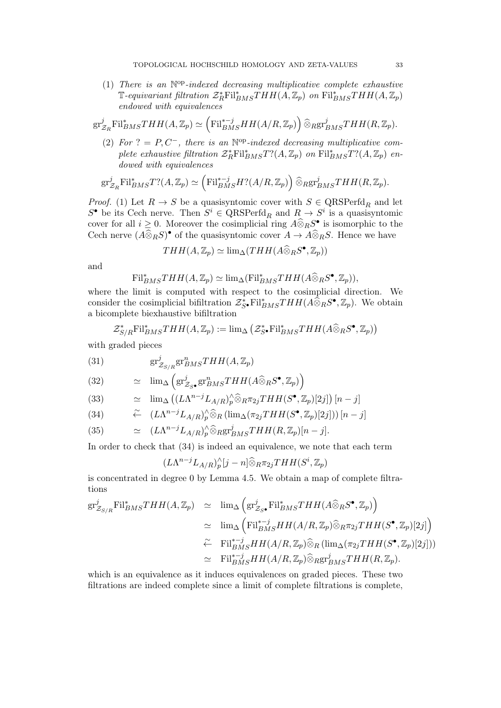(1) There is an  $\mathbb{N}^{op}\text{-}indexed$  decreasing multiplicative complete exhaustive  $\mathbb{T}$ -equivariant filtration  $\mathcal{Z}_R^* \text{Fil}_{BMS}^* THH(A,\mathbb{Z}_p)$  on  $\text{Fil}_{BMS}^*THH(A,\mathbb{Z}_p)$ endowed with equivalences

$$
\mathrm{gr}^j_{\mathcal{Z}_R}\mathrm{Fil}^s_{BMS}THH(A,\mathbb{Z}_p)\simeq \left(\mathrm{Fil}^{*-j}_{BMS}HH(A/R,\mathbb{Z}_p)\right)\widehat{\otimes}_R\mathrm{gr}^j_{BMS}THH(R,\mathbb{Z}_p).
$$

(2) For  $? = P, C^-$ , there is an  $\mathbb{N}^{\text{op}}$ -indexed decreasing multiplicative complete exhaustive filtration  $\mathcal{Z}_R^* \text{Fil}_{BMS}^* T? (A, \mathbb{Z}_p)$  on  $\text{Fil}_{BMS}^* T? (A, \mathbb{Z}_p)$  endowed with equivalences

$$
\mathrm{gr}^j_{\mathcal{Z}_R}\mathrm{Fil}^*_{BMS}T?(A,\mathbb{Z}_p)\simeq \left(\mathrm{Fil}^{*-j}_{BMS}H?(A/R,\mathbb{Z}_p)\right)\widehat{\otimes}_R\mathrm{gr}^j_{BMS}THH(R,\mathbb{Z}_p).
$$

*Proof.* (1) Let  $R \to S$  be a quasisyntomic cover with  $S \in \text{QRSPerfd}_R$  and let  $S^{\bullet}$  be its Cech nerve. Then  $S^i \in \text{QRSPerfd}_R$  and  $R \to S^i$  is a quasisyntomic cover for all  $i \geq 0$ . Moreover the cosimplicial ring  $A \widehat{\otimes}_R S^{\bullet}$  is isomorphic to the Cech nerve  $(A\widehat{\otimes}_R S)$ <sup>•</sup> of the quasisyntomic cover  $A \to A\widehat{\otimes}_R S$ . Hence we have

$$
THH(A, \mathbb{Z}_p) \simeq \lim_{\Delta} (THH(A \widehat{\otimes}_R S^{\bullet}, \mathbb{Z}_p))
$$

and

$$
\mathrm{Fil}_{BMS}^*THH(A,\mathbb{Z}_p)\simeq \mathrm{lim}_{\Delta}(\mathrm{Fil}_{BMS}^*THH(A\widehat{\otimes}_R S^\bullet,\mathbb{Z}_p)),
$$

where the limit is computed with respect to the cosimplicial direction. We consider the cosimplicial bifiltration  $\mathcal{Z}_{S}^*$  Fil<sup>\*</sup> $_{BMS}THH(A\hat{\otimes}_R S^{\bullet}, \mathbb{Z}_p)$ . We obtain a bicomplete biexhaustive bifiltration

$$
\mathcal{Z}_{S/R}^*\text{Fil}_{BMS}^*\text{THH}(A,\mathbb{Z}_p) := \lim_{\Delta} (\mathcal{Z}_{S}^*\text{Fil}_{BMS}^*\text{THH}(A\widehat{\otimes}_R S^\bullet,\mathbb{Z}_p))
$$

with graded pieces

(31) 
$$
\text{gr}_{\mathcal{Z}_{S/R}}^j \text{gr}_{BMS}^n THH(A,\mathbb{Z}_p)
$$

(32) 
$$
\simeq \lim_{\Delta} \left( \text{gr}_{\mathcal{Z}_{S^{\bullet}}}^{j} \text{gr}_{BMS}^{n} THH(A\widehat{\otimes}_{R}S^{\bullet}, \mathbb{Z}_{p}) \right)
$$

(33) 
$$
\simeq \lim_{\Delta} ((L\Lambda^{n-j}L_{A/R})_p^{\wedge} \widehat{\otimes}_R \pi_{2j}THH(S^{\bullet}, \mathbb{Z}_p)[2j]) [n-j]
$$

(34) 
$$
\widetilde{\leftarrow} \quad (L\Lambda^{n-j}L_{A/R})_p^{\wedge}\widehat{\otimes}_R(\lim_{\Delta}(\pi_{2j}THH(S^{\bullet},\mathbb{Z}_p)[2j]))\,[n-j]
$$

(35) 
$$
\simeq (L\Lambda^{n-j}L_{A/R})_p^{\wedge}\widehat{\otimes}_{R\text{gr}^j_{BMS}}THH(R,\mathbb{Z}_p)[n-j].
$$

In order to check that (34) is indeed an equivalence, we note that each term

$$
(L\Lambda^{n-j}L_{A/R})_p^{\wedge}[j-n]\widehat{\otimes}_R\pi_{2j}THH(S^i,\mathbb{Z}_p)
$$

is concentrated in degree 0 by Lemma 4.5. We obtain a map of complete filtrations

$$
\begin{array}{rcl}\n\operatorname{gr}_{\mathcal{Z}_{S/R}}^{j} \mathrm{Fil}_{BMS}^{*}THH(A,\mathbb{Z}_{p}) & \simeq & \lim_{\Delta} \left( \operatorname{gr}_{\mathcal{Z}_{S}^{\bullet}}^{j} \mathrm{Fil}_{BMS}^{*}THH(A \widehat{\otimes}_{R} S^{\bullet}, \mathbb{Z}_{p}) \right) \\
& \simeq & \lim_{\Delta} \left( \mathrm{Fil}_{BMS}^{*-j} HH(A/R, \mathbb{Z}_{p}) \widehat{\otimes}_{R} \pi_{2j}THH(S^{\bullet}, \mathbb{Z}_{p})[2j] \right) \\
& \simeq & \mathrm{Fil}_{BMS}^{*-j} HH(A/R, \mathbb{Z}_{p}) \widehat{\otimes}_{R} \left( \lim_{\Delta} (\pi_{2j}THH(S^{\bullet}, \mathbb{Z}_{p})[2j] \right)) \\
& \simeq & \mathrm{Fil}_{BMS}^{*-j} HH(A/R, \mathbb{Z}_{p}) \widehat{\otimes}_{R} \mathrm{gr}_{BMS}^{j} THH(R, \mathbb{Z}_{p}).\n\end{array}
$$

which is an equivalence as it induces equivalences on graded pieces. These two filtrations are indeed complete since a limit of complete filtrations is complete,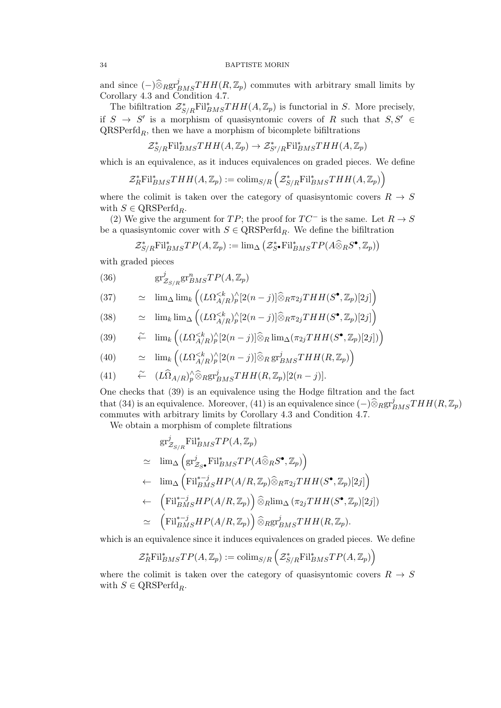and since  $\left(-\right)\widehat{\otimes}_{R} gr_{BMS}^{j}THH(R,\mathbb{Z}_{p})$  commutes with arbitrary small limits by Corollary 4.3 and Condition 4.7.

The bifiltration  $\mathcal{Z}_{S/R}^*$ Fil $_{BMS}^*THH(A,\mathbb{Z}_p)$  is functorial in S. More precisely, if  $S \to S'$  is a morphism of quasisyntomic covers of R such that  $S, S' \in$  $QRSPerfd_R$ , then we have a morphism of bicomplete bifiltrations

$$
\mathcal{Z}_{S/R}^* \text{Fil}_{BMS}^* THH(A,\mathbb{Z}_p) \to \mathcal{Z}_{S'/R}^* \text{Fil}_{BMS}^* THH(A,\mathbb{Z}_p)
$$

which is an equivalence, as it induces equivalences on graded pieces. We define

$$
\mathcal{Z}_R^* \mathrm{Fil}_{BMS}^* THH(A,\mathbb{Z}_p) := \mathrm{colim}_{S/R} \left( \mathcal{Z}_{S/R}^* \mathrm{Fil}_{BMS}^* THH(A,\mathbb{Z}_p) \right)
$$

where the colimit is taken over the category of quasisyntomic covers  $R \to S$ with  $S \in \text{QRSPerfd}_{R}$ .

(2) We give the argument for  $TP$ ; the proof for  $TC^-$  is the same. Let  $R \to S$ be a quasisyntomic cover with  $S \in \text{QRSPerfd}_R$ . We define the bifiltration

$$
\mathcal{Z}_{S/R}^*\text{Fil}_{BMS}^*\text{TP}(A,\mathbb{Z}_p) := \lim_{\Delta} (\mathcal{Z}_{S}^*\text{Fil}_{BMS}^*\text{TP}(A\widehat{\otimes}_R S^\bullet,\mathbb{Z}_p))
$$

with graded pieces

(36) 
$$
\text{gr}_{\mathcal{Z}_{S/R}}^{j}\text{gr}_{BMS}^{n}TP(A,\mathbb{Z}_{p})
$$

(37) 
$$
\simeq \lim_{\Delta} \lim_{k} \left( (L\Omega_{A/R}^{<})_{p}^{\wedge}[2(n-j)] \widehat{\otimes}_{R} \pi_{2j}THH(S^{\bullet}, \mathbb{Z}_{p})[2j] \right)
$$

(38) 
$$
\simeq \lim_k \lim_{\Delta} \left( (L\Omega_{A/R}^{<})_p^{\wedge} [2(n-j)] \widehat{\otimes}_R \pi_{2j} THH(S^{\bullet}, \mathbb{Z}_p)[2j] \right)
$$

(39) 
$$
\widetilde{\leftarrow} \quad \lim_{k} \left( (L\Omega_{A/R}^{
$$

(40) 
$$
\simeq \lim_{k} \left( (L\Omega_{A/R}^{<})_{p}^{\wedge}[2(n-j)] \widehat{\otimes}_{R} \operatorname{gr}_{BMS}^{j}THH(R,\mathbb{Z}_{p}) \right)
$$

(41) 
$$
\widetilde{\leftarrow} \quad (L\widehat{\Omega}_{A/R})_p^{\wedge} \widehat{\otimes}_{R\mathrm{gr}^j_{BMS}} THH(R,\mathbb{Z}_p)[2(n-j)].
$$

One checks that (39) is an equivalence using the Hodge filtration and the fact that (34) is an equivalence. Moreover, (41) is an equivalence since  $(-)\widehat{\otimes}_R \text{gr}_{BMS}^jTHH(R,\mathbb{Z}_p)$ commutes with arbitrary limits by Corollary 4.3 and Condition 4.7.

We obtain a morphism of complete filtrations

$$
gr_{\mathcal{Z}_{S/R}}^{j} Fil_{BMS}^{*}TP(A, \mathbb{Z}_{p})
$$
\n
$$
\simeq \lim_{\Delta} \left( gr_{\mathcal{Z}_{S}}^{j} Fil_{BMS}^{*}TP(A\widehat{\otimes}_{R}S^{\bullet}, \mathbb{Z}_{p}) \right)
$$
\n
$$
\leftarrow \lim_{\Delta} \left( Fil_{BMS}^{*-j}HP(A/R, \mathbb{Z}_{p})\widehat{\otimes}_{R}\pi_{2j}THH(S^{\bullet}, \mathbb{Z}_{p})[2j] \right)
$$
\n
$$
\leftarrow \left( Fil_{BMS}^{*-j}HP(A/R, \mathbb{Z}_{p}) \right)\widehat{\otimes}_{R}\lim_{\Delta} (\pi_{2j}THH(S^{\bullet}, \mathbb{Z}_{p})[2j])
$$
\n
$$
\simeq \left( Fil_{BMS}^{*-j}HP(A/R, \mathbb{Z}_{p}) \right)\widehat{\otimes}_{R} gr_{BMS}^{j}THH(R, \mathbb{Z}_{p}).
$$

which is an equivalence since it induces equivalences on graded pieces. We define

$$
\mathcal{Z}_R^* \mathrm{Fil}_{BMS}^* TP(A, \mathbb{Z}_p) := \mathrm{colim}_{S/R} \left( \mathcal{Z}_{S/R}^* \mathrm{Fil}_{BMS}^* TP(A, \mathbb{Z}_p) \right)
$$

where the colimit is taken over the category of quasisyntomic covers  $R \to S$ with  $S \in \text{QRSPerfd}_R$ .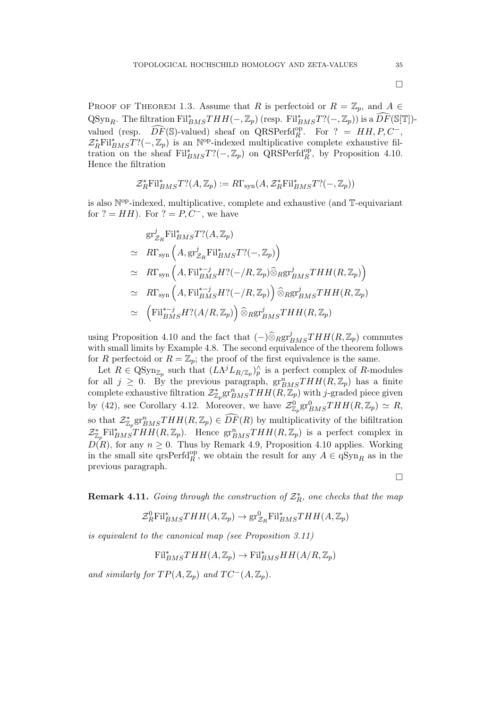$\Box$ 

 $\Box$ 

PROOF OF THEOREM 1.3. Assume that R is perfectoid or  $R = \mathbb{Z}_p$ , and  $A \in$  $\operatorname{QSyn}_{R}$ . The filtration  $\operatorname{Fil}^*_{BMS}THH(-,\mathbb{Z}_p)$  (resp.  $\operatorname{Fil}^*_{BMS}T?(-,\mathbb{Z}_p)$ ) is a  $\widehat{DF}(\mathbb{S}[\mathbb{T}])$ valued (resp.  $\widehat{DF}(\mathbb{S})$ -valued) sheaf on QRSPerfd<sup>op</sup>, For ? = HH, P, C<sup>-</sup>,  $\widehat{CF}(\mathbb{S})$ -valued) sheaf on QRSPerfd<sup>op</sup>, For ? = HH, P, C<sup>-</sup>  $\mathcal{Z}_R^* \text{Fil}_{BMS}^* T?(-,\mathbb{Z}_p)$  is an N<sup>op</sup>-indexed multiplicative complete exhaustive filtration on the sheaf  $\text{Fil}_{BMS}^*T?(-,\mathbb{Z}_p)$  on QRSPerfd $_R^{\text{op}},$  by Proposition 4.10. Hence the filtration

$$
\mathcal{Z}_R^* \mathrm{Fil}_{BMS}^* T? (A, \mathbb{Z}_p) := R\Gamma_{ \operatorname{syn} }(A, \mathcal{Z}_R^* \mathrm{Fil}_{BMS}^* T?(-, \mathbb{Z}_p))
$$

is also N<sup>op</sup>-indexed, multiplicative, complete and exhaustive (and T-equivariant for  $? = HH$ ). For  $? = P, C^-$ , we have

$$
gr_{Z_R}^j \text{Fil}_{BMS}^* T? (A, \mathbb{Z}_p)
$$
  
\n
$$
\simeq R\Gamma_{syn} \left( A, gr_{Z_R}^j \text{Fil}_{BMS}^* T? (-, \mathbb{Z}_p) \right)
$$
  
\n
$$
\simeq R\Gamma_{syn} \left( A, \text{Fil}_{BMS}^{*-j} H? (-/R, \mathbb{Z}_p) \widehat{\otimes}_{R} gr_{BMS}^j THH(R, \mathbb{Z}_p) \right)
$$
  
\n
$$
\simeq R\Gamma_{syn} \left( A, \text{Fil}_{BMS}^{*-j} H? (-/R, \mathbb{Z}_p) \right) \widehat{\otimes}_{R} gr_{BMS}^j THH(R, \mathbb{Z}_p)
$$
  
\n
$$
\simeq \left( \text{Fil}_{BMS}^{*-j} H? (A/R, \mathbb{Z}_p) \right) \widehat{\otimes}_{R} gr_{BMS}^j THH(R, \mathbb{Z}_p)
$$

using Proposition 4.10 and the fact that  $(-)\widehat{\otimes}_{R}\mathrm{gr}^{j}_{BMS}THH(R,\mathbb{Z}_{p})$  commutes with small limits by Example 4.8. The second equivalence of the theorem follows for R perfectoid or  $R = \mathbb{Z}_p$ ; the proof of the first equivalence is the same.

Let  $R \in \text{QSyn}_{\mathbb{Z}_p}$  such that  $(L\Lambda^j L_{R/\mathbb{Z}_p})^\wedge_p$  is a perfect complex of R-modules for all  $j \geq 0$ . By the previous paragraph,  $gr_{BMS}^nTHH(R, \mathbb{Z}_p)$  has a finite complete exhaustive filtration  $\mathcal{Z}_{\mathbb{Z}_p}^*$   $\mathrm{gr}^n_{BMS}THH(R,\mathbb{Z}_p)$  with j-graded piece given by (42), see Corollary 4.12. Moreover, we have  $\mathcal{Z}_{\mathbb{Z}_p}^0$   $gr_{BMS}^0THH(R,\mathbb{Z}_p) \simeq R$ , so that  $\mathcal{Z}_{\mathbb{Z}_p}^*$ gr ${}_{BMS}^nTHH(R,\mathbb{Z}_p) \in \widehat{DF}(R)$  by multiplicativity of the bifiltration  $\mathcal{Z}_{\mathbb{Z}_p}^*$ Fil<sup>\*</sup><sub>BMS</sub>THH(R,  $\mathbb{Z}_p$ ). Hence  $gr^2_{BMS}THH(R, \mathbb{Z}_p)$  is a perfect complex in  $D(R)$ , for any  $n \geq 0$ . Thus by Remark 4.9, Proposition 4.10 applies. Working in the small site  $\widehat{\text{qrsPerfd}}_R^{\text{op}}$ , we obtain the result for any  $A \in \widehat{\text{qSyn}}_R$  as in the previous paragraph.

**Remark 4.11.** Going through the construction of  $\mathcal{Z}_R^*$ , one checks that the map

$$
\mathcal{Z}_{R}^{0} \mathrm{Fil}_{BMS}^{*} THH(A,\mathbb{Z}_{p}) \to \mathrm{gr}_{\mathcal{Z}_{R}}^{0} \mathrm{Fil}_{BMS}^{*} THH(A,\mathbb{Z}_{p})
$$

is equivalent to the canonical map (see Proposition 3.11)

 $\text{Fil}_{BMS}^*THH(A,\mathbb{Z}_p) \to \text{Fil}_{BMS}^*HH(A/R,\mathbb{Z}_p)$ 

and similarly for  $TP(A, \mathbb{Z}_n)$  and  $TC^{-}(A, \mathbb{Z}_n)$ .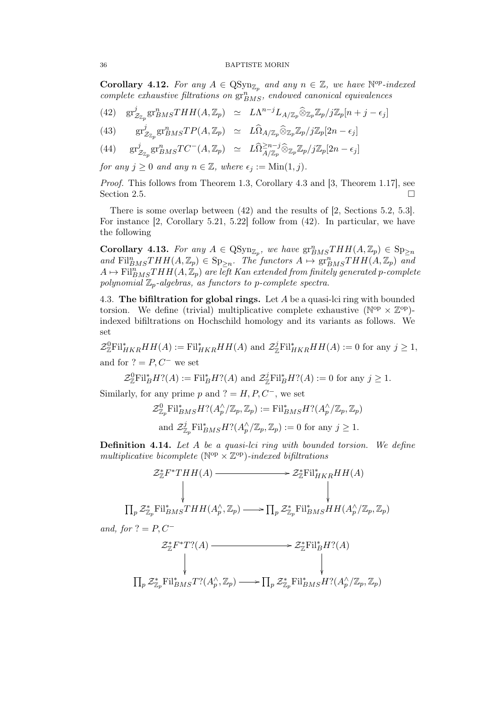Corollary 4.12. For any  $A \in \text{QSyn}_{\mathbb{Z}_p}$  and any  $n \in \mathbb{Z}$ , we have  $\mathbb{N}^{op}\text{-}indexed$  $complete$  exhaustive filtrations on  $gr_{BMS}^{n}$ , endowed canonical equivalences

(42) 
$$
\text{gr}_{\mathcal{Z}_{\mathbb{Z}_p}}^j \text{gr}_{BMS}^n THH(A, \mathbb{Z}_p) \simeq L\Lambda^{n-j} L_{A/\mathbb{Z}_p} \widehat{\otimes}_{\mathbb{Z}_p} \mathbb{Z}_p / j\mathbb{Z}_p[n+j-\epsilon_j]
$$

(43) 
$$
\text{gr}_{\mathcal{Z}_{\mathbb{Z}_p}}^j \text{gr}_{BMS}^n T P(A, \mathbb{Z}_p) \simeq L\widehat{\Omega}_{A/\mathbb{Z}_p} \widehat{\otimes}_{\mathbb{Z}_p} \mathbb{Z}_p / j\mathbb{Z}_p[2n - \epsilon_j]
$$

(44) 
$$
\text{gr}_{\mathcal{Z}_{\mathbb{Z}_p}}^j \text{gr}_{BMS}^nTC^-(A,\mathbb{Z}_p) \simeq L\widehat{\Omega}^{\geq n-j}_{A/\mathbb{Z}_p}\widehat{\otimes}_{\mathbb{Z}_p}\mathbb{Z}_p/j\mathbb{Z}_p[2n-\epsilon_j]
$$

for any  $j \geq 0$  and any  $n \in \mathbb{Z}$ , where  $\epsilon_i := \text{Min}(1, j)$ .

Proof. This follows from Theorem 1.3, Corollary 4.3 and [3, Theorem 1.17], see Section 2.5.  $\Box$ 

There is some overlap between (42) and the results of [2, Sections 5.2, 5.3]. For instance [2, Corollary 5.21, 5.22] follow from (42). In particular, we have the following

Corollary 4.13. For any  $A \in \text{QSyn}_{\mathbb{Z}_p}$ , we have  $\text{gr}^n_{BMS}THH(A,\mathbb{Z}_p) \in \text{Sp}_{\geq n}$ and  $\text{Fil}_{BMS}^nTHH(A,\mathbb{Z}_p) \in \text{Sp}_{\geq n}$ . The functors  $A \mapsto \text{gr}_{BMS}^nTHH(A,\mathbb{Z}_p)$  and  $A \mapsto \text{Fil}_{BMS}^nTHH(A, \mathbb{Z}_p)$  are left Kan extended from finitely generated p-complete polynomial  $\mathbb{Z}_p$ -algebras, as functors to p-complete spectra.

4.3. The bifiltration for global rings. Let  $A$  be a quasi-lci ring with bounded torsion. We define (trivial) multiplicative complete exhaustive ( $\mathbb{N}^{\text{op}} \times \mathbb{Z}^{\text{op}}$ ) indexed bifiltrations on Hochschild homology and its variants as follows. We set

 $\mathcal{Z}_{\mathbb{Z}}^0$ Fil<sup>\*</sup><sub>HKR</sub>HH(A) := Fil<sup>\*</sup><sub>HKR</sub>HH(A) and  $\mathcal{Z}_{\mathbb{Z}}^j$ Fil<sup>\*</sup><sub>HKR</sub>HH(A) := 0 for any  $j \geq 1$ , and for  $? = P, C^-$  we set

$$
\mathcal{Z}_{\mathbb{Z}}^0 \text{Fil}_B^* H? (A) := \text{Fil}_B^* H? (A) \text{ and } \mathcal{Z}_{\mathbb{Z}}^j \text{Fil}_B^* H? (A) := 0 \text{ for any } j \geq 1.
$$

Similarly, for any prime p and  $? = H, P, C^-$ , we set

$$
\mathcal{Z}_{\mathbb{Z}_p}^0 \text{Fil}_{BMS}^* H? (A_p^{\wedge}/\mathbb{Z}_p, \mathbb{Z}_p) := \text{Fil}_{BMS}^* H? (A_p^{\wedge}/\mathbb{Z}_p, \mathbb{Z}_p)
$$
  
and  $\mathcal{Z}_{\mathbb{Z}_p}^j \text{Fil}_{BMS}^* H? (A_p^{\wedge}/\mathbb{Z}_p, \mathbb{Z}_p) := 0$  for any  $j \ge 1$ .

Definition 4.14. Let A be a quasi-lci ring with bounded torsion. We define multiplicative bicomplete ( $\mathbb{N}^{\text{op}} \times \mathbb{Z}^{\text{op}}$ )-indexed bifiltrations

$$
\mathcal{Z}_{\mathbb{Z}}^* F^* T H H(A) \longrightarrow \mathcal{Z}_{\mathbb{Z}}^* \text{Fil}_{HKR}^* H H(A)
$$
  
\n
$$
\downarrow \qquad \qquad \downarrow
$$
  
\n
$$
\prod_p \mathcal{Z}_{\mathbb{Z}_p}^* \text{Fil}_{BMS}^* T H H(A_p^{\wedge}, \mathbb{Z}_p) \longrightarrow \prod_p \mathcal{Z}_{\mathbb{Z}_p}^* \text{Fil}_{BMS}^* H H(A_p^{\wedge}/\mathbb{Z}_p, \mathbb{Z}_p)
$$

and, for  $? = P, C^-$ 

$$
\mathcal{Z}_{\mathbb{Z}}^* F^* T? (A) \longrightarrow \mathcal{Z}_{\mathbb{Z}}^* \text{Fil}_B^* H? (A)
$$
  
\n
$$
\downarrow \qquad \qquad \downarrow
$$
  
\n
$$
\prod_p \mathcal{Z}_{\mathbb{Z}_p}^* \text{Fil}_{BMS}^* T? (A_p^\wedge, \mathbb{Z}_p) \longrightarrow \prod_p \mathcal{Z}_{\mathbb{Z}_p}^* \text{Fil}_{BMS}^* H? (A_p^\wedge / \mathbb{Z}_p, \mathbb{Z}_p)
$$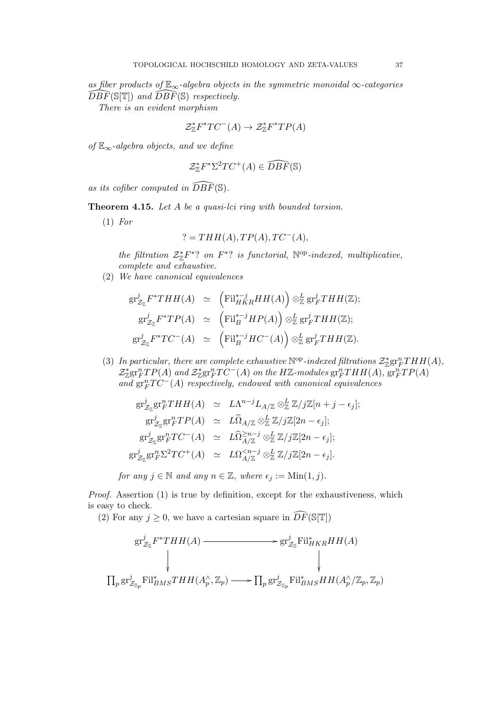as fiber products of  $\mathbb{E}_{\infty}$ -algebra objects in the symmetric monoidal  $\infty$ -categories  $\widehat{DBF}(\mathbb{S}[\mathbb{T}])$  and  $\widehat{DBF}(\mathbb{S})$  respectively.

There is an evident morphism

$$
\mathcal{Z}_\mathbb{Z}^* F^* T C^-(A) \to \mathcal{Z}_\mathbb{Z}^* F^* T P(A)
$$

of  $\mathbb{E}_{\infty}$ -algebra objects, and we define

$$
\mathcal{Z}_\mathbb{Z}^* F^* \Sigma^2 T C^+(A) \in \widehat{DBF}(\mathbb{S})
$$

as its cofiber computed in  $\widehat{DBF}(\mathbb{S})$ .

Theorem 4.15. Let A be a quasi-lci ring with bounded torsion.

 $(1)$  For

$$
? = THH(A), TP(A), TC^{-}(A),
$$

the filtration  $\mathcal{Z}_{\mathbb{Z}}^*F^*$ ? on  $F^*$ ? is functorial,  $\mathbb{N}^{\text{op}}$ -indexed, multiplicative, complete and exhaustive.

(2) We have canonical equivalences

$$
gr_{\mathcal{Z}_{\mathbb{Z}}}^{j} F^*THH(A) \simeq \left( \mathrm{Fil}_{HKR}^{*-j}HH(A) \right) \otimes_{\mathbb{Z}}^{j} gr_{F}^{j}THH(\mathbb{Z});
$$
  
\n
$$
gr_{\mathcal{Z}_{\mathbb{Z}}}^{j} F^*TP(A) \simeq \left( \mathrm{Fil}_{B}^{*-j}HP(A) \right) \otimes_{\mathbb{Z}}^{j} gr_{F}^{j}THH(\mathbb{Z});
$$
  
\n
$$
gr_{\mathcal{Z}_{\mathbb{Z}}}^{j} F^*TC^{-}(A) \simeq \left( \mathrm{Fil}_{B}^{*-j}HC^{-}(A) \right) \otimes_{\mathbb{Z}}^{j} gr_{F}^{j}THH(\mathbb{Z}).
$$

(3) In particular, there are complete exhaustive  $\mathbb{N}^{\text{op}}$ -indexed filtrations  $\mathcal{Z}_{\mathbb{Z}}^* \text{gr}_F^nTHH(A)$ ,  $\mathcal{Z}_{\mathbb{Z}}^*$ gr<sub>F</sub>TP(A) and  $\mathcal{Z}_{\mathbb{Z}}^*$ gr<sub>F</sub>TC<sup>-</sup>(A) on the HZ-modules gr<sub>F</sub>THH(A), gr<sub>F</sub>TP(A) and  $gr^n_FTC^-(A)$  respectively, endowed with canonical equivalences

$$
gr_{\mathcal{Z}_{\mathbb{Z}}}^{j} gr_{F}^{n} THH(A) \simeq L\Lambda^{n-j} L_{A/\mathbb{Z}} \otimes_{\mathbb{Z}}^{L} \mathbb{Z}/j\mathbb{Z}[n+j-\epsilon_{j}];
$$
  
\n
$$
gr_{\mathcal{Z}_{\mathbb{Z}}}^{j} gr_{F}^{n} TP(A) \simeq L\widehat{\Omega}_{A/\mathbb{Z}} \otimes_{\mathbb{Z}}^{L} \mathbb{Z}/j\mathbb{Z}[2n-\epsilon_{j}];
$$
  
\n
$$
gr_{\mathcal{Z}_{\mathbb{Z}}}^{j} gr_{F}^{n} TC^{-}(A) \simeq L\widehat{\Omega}_{A/\mathbb{Z}}^{ \geq n-j} \otimes_{\mathbb{Z}}^{L} \mathbb{Z}/j\mathbb{Z}[2n-\epsilon_{j}];
$$
  
\n
$$
gr_{\mathcal{Z}_{\mathbb{Z}}}^{j} gr_{F}^{n} \Sigma^{2} TC^{+}(A) \simeq L\Omega_{A/\mathbb{Z}}^{< n-j} \otimes_{\mathbb{Z}}^{L} \mathbb{Z}/j\mathbb{Z}[2n-\epsilon_{j}].
$$

for any  $j \in \mathbb{N}$  and any  $n \in \mathbb{Z}$ , where  $\epsilon_j := \text{Min}(1, j)$ .

Proof. Assertion (1) is true by definition, except for the exhaustiveness, which is easy to check.

(2) For any  $j \geq 0$ , we have a cartesian square in  $\widehat{DF}(\mathbb{S}[\mathbb{T}])$ 

$$
\begin{aligned}\n\operatorname{gr}^j_{\mathcal{Z}_{\mathbb{Z}}} F^*THH(A) &\longrightarrow \operatorname{gr}^j_{\mathcal{Z}_{\mathbb{Z}}} \operatorname{Fil}^*_{HKR} HH(A) \\
\downarrow &\downarrow \\
\prod_p \operatorname{gr}^j_{\mathcal{Z}_{\mathbb{Z}_p}} \operatorname{Fil}^*_{BMS} THH(A_p^\wedge, \mathbb{Z}_p) &\longrightarrow \prod_p \operatorname{gr}^j_{\mathcal{Z}_{\mathbb{Z}_p}} \operatorname{Fil}^*_{BMS} HH(A_p^\wedge / \mathbb{Z}_p, \mathbb{Z}_p)\n\end{aligned}
$$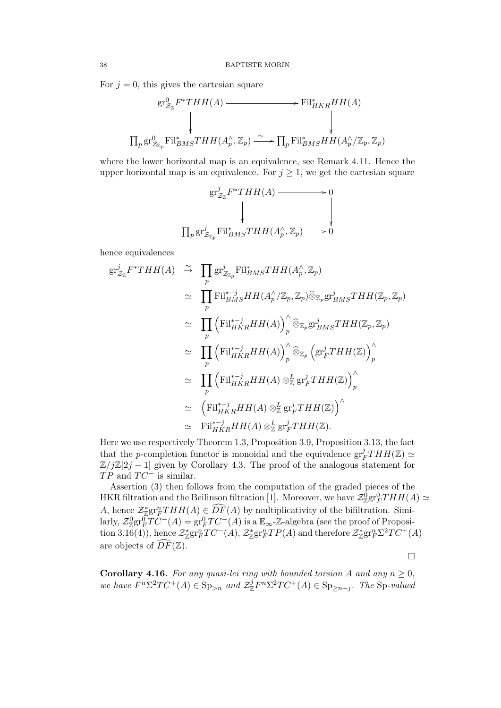For  $j = 0$ , this gives the cartesian square

$$
\begin{array}{ccc}\n\operatorname{gr}^0_{\mathcal{Z}_{\mathbb{Z}}}F^*THH(A) & \longrightarrow & \operatorname{Fil}^*_{HKR}HH(A) \\
\downarrow & & \downarrow & \\
\prod_p \operatorname{gr}^0_{\mathcal{Z}_{\mathbb{Z}_p}}\operatorname{Fil}^*_{BMS}THH(A_p^\wedge, \mathbb{Z}_p) & \xrightarrow{\simeq} \prod_p \operatorname{Fil}^*_{BMS}HH(A_p^\wedge/\mathbb{Z}_p, \mathbb{Z}_p)\n\end{array}
$$

where the lower horizontal map is an equivalence, see Remark 4.11. Hence the upper horizontal map is an equivalence. For  $j \geq 1$ , we get the cartesian square

$$
\begin{aligned}\n\text{gr}_{\mathcal{Z}_{\mathbb{Z}}}^j F^*THH(A) &\longrightarrow 0 \\
&\downarrow \qquad \qquad \downarrow \qquad \qquad \downarrow \\
\prod_p \text{gr}_{\mathcal{Z}_{\mathbb{Z}_p}}^j \text{Fil}_{BMS}^*THH(A_p^\wedge, \mathbb{Z}_p) &\longrightarrow 0\n\end{aligned}
$$

hence equivalences

$$
gr_{\mathcal{Z}_{\mathbb{Z}}}^{j}F^{*}THH(A) \stackrel{\sim}{\rightarrow} \prod_{p} gr_{\mathcal{Z}_{\mathbb{Z}_{p}}}^{j} Fil_{BMS}^{*}THH(A_{p}^{\wedge}, \mathbb{Z}_{p})
$$
  
\n
$$
\simeq \prod_{p} Fil_{BMS}^{*-j}HH(A_{p}^{\wedge}/\mathbb{Z}_{p}, \mathbb{Z}_{p})\widehat{\otimes}_{\mathbb{Z}_{p}}gr_{BMS}^{j}THH(\mathbb{Z}_{p}, \mathbb{Z}_{p})
$$
  
\n
$$
\simeq \prod_{p} \left( Fil_{HKR}^{*-j}HH(A)\right)_{p}^{\wedge}\widehat{\otimes}_{\mathbb{Z}_{p}}gr_{BMS}^{j}THH(\mathbb{Z}_{p}, \mathbb{Z}_{p})
$$
  
\n
$$
\simeq \prod_{p} \left( Fil_{HKR}^{*-j}HH(A)\right)_{p}^{\wedge}\widehat{\otimes}_{\mathbb{Z}_{p}}\left( gr_{F}^{j}THH(\mathbb{Z})\right)_{p}^{\wedge}
$$
  
\n
$$
\simeq \prod_{p} \left( Fil_{HKR}^{*-j}HH(A)\otimes_{\mathbb{Z}}^{j} gr_{F}^{j}THH(\mathbb{Z})\right)_{p}^{\wedge}
$$
  
\n
$$
\simeq \left( Fil_{HKR}^{*-j}HH(A)\otimes_{\mathbb{Z}}^{j} gr_{F}^{j}THH(\mathbb{Z})\right)^{\wedge}
$$
  
\n
$$
\simeq Fil_{HKR}^{*-j}HH(A)\otimes_{\mathbb{Z}}^{j} gr_{F}^{j}THH(\mathbb{Z}).
$$

Here we use respectively Theorem 1.3, Proposition 3.9, Proposition 3.13, the fact that the *p*-completion functor is monoidal and the equivalence  $gr_l^j$  $^{j}_{F}THH(\Z)\simeq$  $\mathbb{Z}/j\mathbb{Z}[2j-1]$  given by Corollary 4.3. The proof of the analogous statement for  $TP$  and  $TC^-$  is similar.

Assertion (3) then follows from the computation of the graded pieces of the HKR filtration and the Beilinson filtration [1]. Moreover, we have  $\mathcal{Z}_{\mathbb{Z}}^{0}$ gr $_{F}^{0}THH(A) \simeq$ A, hence  $\mathcal{Z}_{\mathcal{Z}}^*$ gr<sub>n</sub> $THH(A) \in \widehat{DF}(A)$  by multiplicativity of the bifiltration. Similarly,  $\mathcal{Z}_{\mathbb{Z}}^{0}$ gr $\overline{Y}C^{-}(A) = \text{gr}_{F}^{0}TC^{-}(A)$  is a  $\mathbb{E}_{\infty}$ -Z-algebra (see the proof of Proposition 3.16(4), hence  $\mathcal{Z}_{\mathbb{Z}}^*$ gr<sup>n</sup> $TC^{-}(A)$ ,  $\mathcal{Z}_{\mathbb{Z}}^*$ gr<sup>n</sup> $TP(A)$  and therefore  $\mathcal{Z}_{\mathbb{Z}}^*$ gr<sup>n</sup> $\Sigma^2TC^{+}(A)$ are objects of  $\widehat{DF}(\mathbb{Z})$ .

 $\Box$ 

**Corollary 4.16.** For any quasi-lci ring with bounded torsion A and any  $n \geq 0$ , we have  $F^n \Sigma^2 TC^+(A) \in \text{Sp}_{\geq n}$  and  $\mathcal{Z}_{\mathbb{Z}}^j F^n \Sigma^2 TC^+(A) \in \text{Sp}_{\geq n+j}$ . The Sp-valued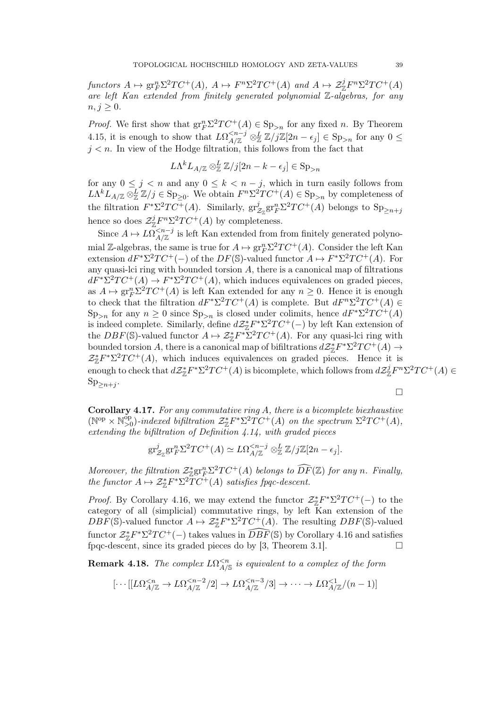functors  $A \mapsto \text{gr}_F^n \Sigma^2 TC^+(A)$ ,  $A \mapsto F^n \Sigma^2 TC^+(A)$  and  $A \mapsto \mathcal{Z}_{\mathbb{Z}}^j F^n \Sigma^2 TC^+(A)$ are left Kan extended from finitely generated polynomial Z-algebras, for any  $n, j \geq 0.$ 

*Proof.* We first show that  $gr_F^n \Sigma^2 TC^+(A) \in \mathrm{Sp}_{>n}$  for any fixed n. By Theorem 4.15, it is enough to show that  $L\Omega_{A/\mathbb{Z}}^{\leq n-j} \otimes_{\mathbb{Z}}^L \mathbb{Z}/j\mathbb{Z}[2n-\epsilon_j] \in \text{Sp}_{>n}$  for any  $0 \leq$  $j < n$ . In view of the Hodge filtration, this follows from the fact that

$$
L\Lambda^k L_{A/\mathbb{Z}} \otimes_{\mathbb{Z}}^L \mathbb{Z}/j[2n-k-\epsilon_j] \in \mathrm{Sp}_{>n}
$$

for any  $0 \leq j \leq n$  and any  $0 \leq k \leq n - j$ , which in turn easily follows from  $L\Lambda^k L_{A/\mathbb{Z}} \otimes_{\mathbb{Z}}^L \mathbb{Z}/j \in \text{Sp}_{\geq 0}$ . We obtain  $F^n \Sigma^2TC^+(A) \in \text{Sp}_{>n}$  by completeness of the filtration  $F^*\Sigma^2TC^+(A)$ . Similarly,  $gr_j^j$  $\frac{j}{\mathcal{Z}_{\mathbb{Z}}} \text{gr}_F^n \Sigma^2 TC^+(A)$  belongs to  $\text{Sp}_{\geq n+j}$ hence so does  $\mathcal{Z}_{\mathbb{Z}}^j F^n \Sigma^2 TC^+(A)$  by completeness.

Since  $A \mapsto L\Omega_{A/\mathbb{Z}}^{\leq n-j}$  is left Kan extended from from finitely generated polynomial Z-algebras, the same is true for  $A \mapsto \text{gr}_F^n \Sigma^2 TC^+(A)$ . Consider the left Kan extension  $dF^* \Sigma^2 TC^+(-)$  of the  $DF(\mathbb{S})$ -valued functor  $A \mapsto F^* \Sigma^2 TC^+(A)$ . For any quasi-lci ring with bounded torsion  $A$ , there is a canonical map of filtrations  $dF^* \Sigma^2 TC^+(A) \to F^* \Sigma^2 TC^+(A)$ , which induces equivalences on graded pieces, as  $A \mapsto \text{gr}_F^n \Sigma^2 TC^+(A)$  is left Kan extended for any  $n \geq 0$ . Hence it is enough to check that the filtration  $dF^* \Sigma^2 TC^+(A)$  is complete. But  $dF^n \Sigma^2 TC^+(A) \in$  $\text{Sp}_{>n}$  for any  $n \geq 0$  since  $\text{Sp}_{>n}$  is closed under colimits, hence  $dF^* \Sigma^2 TC^+(A)$ is indeed complete. Similarly, define  $d\mathcal{Z}_{\mathbb{Z}}^*F^*\Sigma^2TC^+(-)$  by left Kan extension of the  $DBF(\mathbb{S})$ -valued functor  $A \mapsto \mathcal{Z}_{\mathbb{Z}}^* F^* \Sigma^2 TC^+(A)$ . For any quasi-lci ring with bounded torsion A, there is a canonical map of bifiltrations  $d\mathcal{Z}_{\mathbb{Z}}^*F^*\Sigma^2TC^+(A) \rightarrow$  $\mathcal{Z}_{\mathbb{Z}}^*F^*\Sigma^2TC^+(A)$ , which induces equivalences on graded pieces. Hence it is enough to check that  $d\mathcal{Z}_{\mathbb{Z}}^*F^*\Sigma^2TC^+(A)$  is bicomplete, which follows from  $d\mathcal{Z}_{\mathbb{Z}}^jF^n\Sigma^2TC^+(A) \in$  $\mathrm{Sp}_{\geq n+j}.$ 

 $\Box$ 

Corollary 4.17. For any commutative ring A, there is a bicomplete biexhaustive  $(\mathbb{N}^{\text{op}} \times \mathbb{N}^{\text{op}}_{>0})$ <sup>op</sup><sub>>0</sub>)-indexed bifiltration  $\mathcal{Z}_{\mathbb{Z}}^*F^*\Sigma^2TC^+(A)$  on the spectrum  $\Sigma^2TC^+(A)$ , extending the bifiltration of Definition 4.14, with graded pieces

$$
\operatorname{gr}_{\mathcal{Z}_{\mathbb{Z}}}^{j} \operatorname{gr}_{F}^{n} \Sigma^{2} TC^{+}(A) \simeq L\Omega_{A/\mathbb{Z}}^{
$$

Moreover, the filtration  $\mathcal{Z}_{\text{Z}}^*$ gr ${}_{\text{Z}}^n\Sigma^2TC^+(A)$  belongs to  $\widehat{DF}(\mathbb{Z})$  for any n. Finally, the functor  $A \mapsto \mathcal{Z}_{\mathbb{Z}}^* F^* \Sigma^2 \overline{T} C^+(A)$  satisfies fpqc-descent.

*Proof.* By Corollary 4.16, we may extend the functor  $\mathcal{Z}_{\mathbb{Z}}^* F^* \Sigma^2 T C^+(-)$  to the category of all (simplicial) commutative rings, by left Kan extension of the  $DBF(\mathbb{S})$ -valued functor  $A \mapsto \mathcal{Z}_{\mathbb{Z}}^* F^* \Sigma^2 TC^+(A)$ . The resulting  $DBF(\mathbb{S})$ -valued functor  $\mathcal{Z}_{\mathbb{Z}}^* F^* \Sigma^2 TC^+(-)$  takes values in  $\widehat{DBF}(\mathbb{S})$  by Corollary 4.16 and satisfies fpqc-descent, since its graded pieces do by [3, Theorem 3.1].  $\Box$ 

**Remark 4.18.** The complex  $L\Omega^{< n}_{A/S}$  is equivalent to a complex of the form

$$
[\cdots[[L\Omega_{A/\mathbb{Z}}^{
$$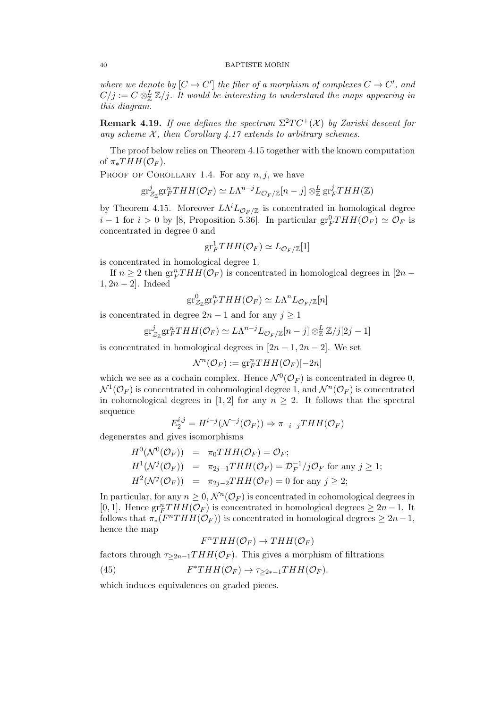#### 40 BAPTISTE MORIN

where we denote by  $[C \to C']$  the fiber of a morphism of complexes  $C \to C'$ , and  $C/j := C \otimes_{\mathbb{Z}}^L \mathbb{Z}/j$ . It would be interesting to understand the maps appearing in this diagram.

**Remark 4.19.** If one defines the spectrum  $\Sigma^2TC^+(\mathcal{X})$  by Zariski descent for any scheme  $\mathcal{X}$ , then Corollary 4.17 extends to arbitrary schemes.

The proof below relies on Theorem 4.15 together with the known computation of  $\pi_*THH(\mathcal{O}_F)$ .

PROOF OF COROLLARY 1.4. For any  $n, j$ , we have

$$
\mathrm{gr}^j_{\mathcal{Z}_\mathbb{Z}}\mathrm{gr}^n_FTHH(\mathcal{O}_F)\simeq L\Lambda^{n-j}L_{\mathcal{O}_F/\mathbb{Z}}[n-j]\otimes^L_\mathbb{Z}\mathrm{gr}^j_FTHH(\mathbb{Z})
$$

by Theorem 4.15. Moreover  $L\Lambda^{i}L_{\mathcal{O}_F/\mathbb{Z}}$  is concentrated in homological degree  $i-1$  for  $i > 0$  by [8, Proposition 5.36]. In particular  $gr_F^0THH(\mathcal{O}_F) \simeq \mathcal{O}_F$  is concentrated in degree 0 and

$$
\mathrm{gr}^1_F THH(\mathcal{O}_F)\simeq L_{\mathcal{O}_F/\mathbb{Z}}[1]
$$

is concentrated in homological degree 1.

If  $n \geq 2$  then  $gr_F^nTHH(\mathcal{O}_F)$  is concentrated in homological degrees in [2n –  $1, 2n - 2$ . Indeed

$$
\mathrm{gr}^0_{\mathcal{Z}_\mathbb{Z}} \mathrm{gr}^n_F THH(\mathcal{O}_F) \simeq L\Lambda^n L_{\mathcal{O}_F/\mathbb{Z}}[n]
$$

is concentrated in degree  $2n-1$  and for any  $j \geq 1$ 

$$
\mathrm{gr}^j_{\mathcal{Z}_\mathbb{Z}} \mathrm{gr}^n_F THH(\mathcal{O}_F) \simeq L\Lambda^{n-j} L_{\mathcal{O}_F/\mathbb{Z}}[n-j] \otimes^L_\mathbb{Z} \mathbb{Z}/j[2j-1]
$$

is concentrated in homological degrees in  $[2n-1, 2n-2]$ . We set

$$
\mathcal{N}^n(\mathcal{O}_F) := \mathrm{gr}_F^n THH(\mathcal{O}_F)[-2n]
$$

which we see as a cochain complex. Hence  $\mathcal{N}^0(\mathcal{O}_F)$  is concentrated in degree 0,  $\mathcal{N}^1(\mathcal{O}_F)$  is concentrated in cohomological degree 1, and  $\mathcal{N}^n(\mathcal{O}_F)$  is concentrated in cohomological degrees in [1, 2] for any  $n > 2$ . It follows that the spectral sequence

$$
E_2^{i,j} = H^{i-j}(\mathcal{N}^{-j}(\mathcal{O}_F)) \Rightarrow \pi_{-i-j}THH(\mathcal{O}_F)
$$

degenerates and gives isomorphisms

$$
H^0(\mathcal{N}^0(\mathcal{O}_F)) = \pi_0 THH(\mathcal{O}_F) = \mathcal{O}_F;
$$
  
\n
$$
H^1(\mathcal{N}^j(\mathcal{O}_F)) = \pi_{2j-1}THH(\mathcal{O}_F) = \mathcal{D}_F^{-1}/j\mathcal{O}_F \text{ for any } j \ge 1;
$$
  
\n
$$
H^2(\mathcal{N}^j(\mathcal{O}_F)) = \pi_{2j-2}THH(\mathcal{O}_F) = 0 \text{ for any } j \ge 2;
$$

In particular, for any  $n \geq 0$ ,  $\mathcal{N}^n(\mathcal{O}_F)$  is concentrated in cohomological degrees in [0, 1]. Hence  $gr_F^nTHH(\mathcal{O}_F)$  is concentrated in homological degrees  $\geq 2n-1$ . It follows that  $\pi_*(F^nTHH(\mathcal{O}_F))$  is concentrated in homological degrees  $\geq 2n-1$ , hence the map

$$
F^{n}THH(\mathcal{O}_F) \to THH(\mathcal{O}_F)
$$

factors through  $\tau_{\geq 2n-1}THH(\mathcal{O}_F)$ . This gives a morphism of filtrations

(45) 
$$
F^*THH(\mathcal{O}_F) \to \tau_{\geq 2*-1}THH(\mathcal{O}_F).
$$

which induces equivalences on graded pieces.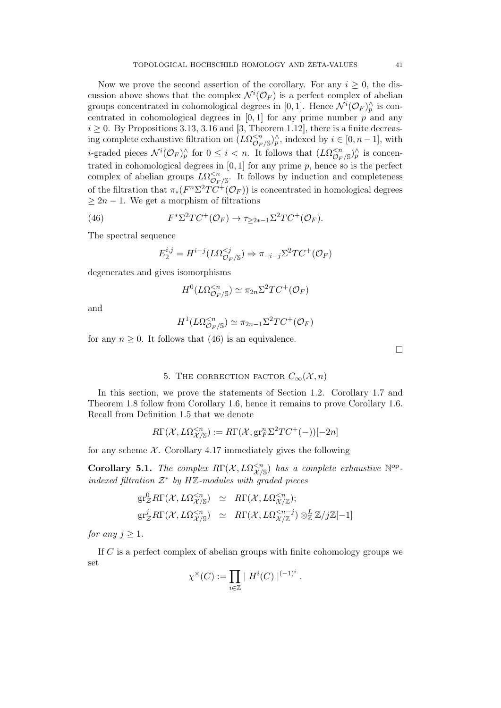Now we prove the second assertion of the corollary. For any  $i \geq 0$ , the discussion above shows that the complex  $\mathcal{N}^i(\mathcal{O}_F)$  is a perfect complex of abelian groups concentrated in cohomological degrees in [0, 1]. Hence  $\mathcal{N}^i(\mathcal{O}_F)^\wedge_p$  is concentrated in cohomological degrees in  $[0, 1]$  for any prime number  $p$  and any  $i \geq 0$ . By Propositions 3.13, 3.16 and [3, Theorem 1.12], there is a finite decreasing complete exhaustive filtration on  $(L\Omega_{\mathcal{O}_F/\mathbb{S}}^{< n})^\wedge_p$ , indexed by  $i \in [0, n-1]$ , with *i*-graded pieces  $\mathcal{N}^i(\mathcal{O}_F)^\wedge_p$  for  $0 \leq i < n$ . It follows that  $(L\Omega_{\mathcal{O}_F/S}^{< n})^\wedge_p$  is concentrated in cohomological degrees in  $[0, 1]$  for any prime p, hence so is the perfect complex of abelian groups  $L\Omega^{< n}_{\mathcal{O}_F/\mathbb{S}}$ . It follows by induction and completeness of the filtration that  $\pi_*(F^n \Sigma^2 TC^+(\mathcal{O}_F))$  is concentrated in homological degrees  $\geq 2n - 1$ . We get a morphism of filtrations

(46) 
$$
F^*\Sigma^2TC^+(\mathcal{O}_F)\to \tau_{\geq 2*-1}\Sigma^2TC^+(\mathcal{O}_F).
$$

The spectral sequence

$$
E_2^{i,j} = H^{i-j}(L\Omega_{\mathcal{O}_F/\mathbb{S}}^{
$$

degenerates and gives isomorphisms

$$
H^0(L\Omega^{
$$

and

$$
H^1(L\Omega^{
$$

for any  $n \geq 0$ . It follows that (46) is an equivalence.

 $\Box$ 

## 5. THE CORRECTION FACTOR  $C_{\infty}(\mathcal{X}, n)$

In this section, we prove the statements of Section 1.2. Corollary 1.7 and Theorem 1.8 follow from Corollary 1.6, hence it remains to prove Corollary 1.6. Recall from Definition 1.5 that we denote

$$
R\Gamma(\mathcal{X}, L\Omega^{
$$

for any scheme  $\mathcal{X}$ . Corollary 4.17 immediately gives the following

Corollary 5.1. The complex  $R\Gamma(\mathcal{X}, L\Omega_{\mathcal{X}/S}^{< n})$  has a complete exhaustive  $\mathbb{N}^{\text{op}}$ . indexed filtration  $\mathcal{Z}^*$  by HZ-modules with graded pieces

$$
\begin{array}{rcl}\n\mathrm{gr}^{0}_{\mathcal{Z}}R\Gamma(\mathcal{X},L\Omega^{\leq n}_{\mathcal{X}/\mathbb{S}}) & \simeq & R\Gamma(\mathcal{X},L\Omega^{\leq n}_{\mathcal{X}/\mathbb{Z}});\n\\
\mathrm{gr}^{j}_{\mathcal{Z}}R\Gamma(\mathcal{X},L\Omega^{\leq n}_{\mathcal{X}/\mathbb{S}}) & \simeq & R\Gamma(\mathcal{X},L\Omega^{\leq n-j}_{\mathcal{X}/\mathbb{Z}}) \otimes^L_{\mathbb{Z}}\mathbb{Z}/j\mathbb{Z}[-1]\n\end{array}
$$

for any  $j > 1$ .

If C is a perfect complex of abelian groups with finite cohomology groups we set

$$
\chi^{\times}(C) := \prod_{i \in \mathbb{Z}} |H^{i}(C)|^{(-1)^{i}}.
$$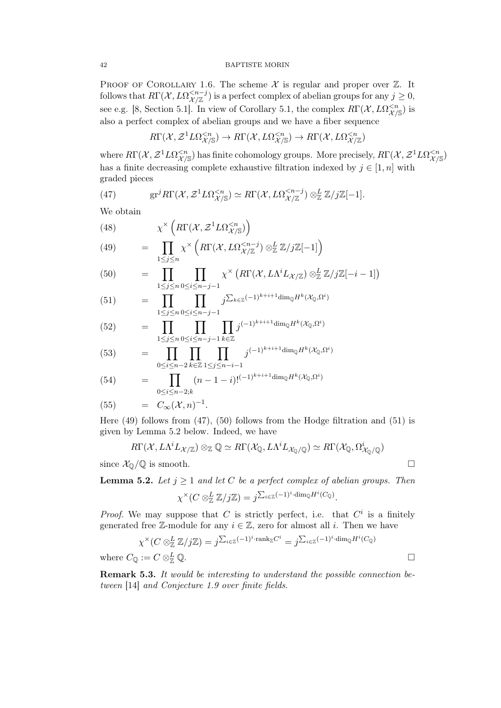#### 42 BAPTISTE MORIN

PROOF OF COROLLARY 1.6. The scheme  $\mathcal X$  is regular and proper over  $\mathbb Z$ . It follows that  $R\Gamma(\mathcal{X}, L\Omega^{ is a perfect complex of abelian groups for any  $j \geq 0$ ,$ see e.g. [8, Section 5.1]. In view of Corollary 5.1, the complex  $R\Gamma(\mathcal{X}, L\Omega_{\mathcal{X}/\mathbb{S}}^{ is$ also a perfect complex of abelian groups and we have a fiber sequence

$$
R\Gamma(\mathcal{X}, \mathcal{Z}^1 L\Omega^{
$$

where  $R\Gamma(\mathcal{X},\mathcal{Z}^1L\Omega^{ has finite cohomology groups. More precisely,  $R\Gamma(\mathcal{X},\mathcal{Z}^1L\Omega^{$$ has a finite decreasing complete exhaustive filtration indexed by  $j \in [1, n]$  with graded pieces

(47) 
$$
\mathrm{gr}^j R\Gamma(\mathcal{X}, \mathcal{Z}^1 L\Omega^{\leq n}_{\mathcal{X}/\mathbb{S}}) \simeq R\Gamma(\mathcal{X}, L\Omega^{\leq n-j}_{\mathcal{X}/\mathbb{Z}}) \otimes^L_{\mathbb{Z}} \mathbb{Z}/j\mathbb{Z}[-1].
$$

We obtain

(48)  
\n
$$
\chi^{\times} \left( R\Gamma(\mathcal{X}, \mathcal{Z}^1 L \Omega_{\mathcal{X}/\mathbb{S}}^{\leq n}) \right)
$$
\n
$$
= \prod_{1 \leq j \leq n} \chi^{\times} \left( R\Gamma(\mathcal{X}, L \Omega_{\mathcal{X}/\mathbb{Z}}^{\leq n-j}) \otimes_{\mathbb{Z}}^L \mathbb{Z}/j\mathbb{Z}[-1] \right)
$$
\n(50) =  $\prod \chi^{\times} \left( R\Gamma(\mathcal{X}, L \Lambda^{i} L_{\mathcal{X}/\mathbb{Z}}) \otimes_{\mathbb{Z}}^L \mathbb{Z}/j\mathbb{Z}[-i] \right)$ 

(50) = 
$$
\prod_{1 \leq j \leq n} \prod_{0 \leq i \leq n-j-1} \chi^{\times} \left( R\Gamma(\mathcal{X}, L\Lambda^{i} L_{\mathcal{X}/\mathbb{Z}}) \otimes_{\mathbb{Z}}^{L} \mathbb{Z}/j\mathbb{Z}[-i-1] \right)
$$

(51) = 
$$
\prod_{1 \leq j \leq n} \prod_{0 \leq i \leq n-j-1} j^{\sum_{k \in \mathbb{Z}} (-1)^{k+i+1} \dim_{\mathbb{Q}} H^k(\mathcal{X}_{\mathbb{Q}}, \Omega^i)}
$$

(52) = 
$$
\prod_{1 \leq j \leq n} \prod_{0 \leq i \leq n-j-1} \prod_{k \in \mathbb{Z}} j^{(-1)^{k+i+1} \dim_{\mathbb{Q}} H^k(\mathcal{X}_{\mathbb{Q}}, \Omega^i)}
$$

(53) = 
$$
\prod_{0 \le i \le n-2} \prod_{k \in \mathbb{Z}} \prod_{1 \le j \le n-i-1} j^{(-1)^{k+i+1} \dim_{\mathbb{Q}} H^k(\mathcal{X}_{\mathbb{Q}}, \Omega^i)}
$$

(54) = 
$$
\prod_{0 \le i \le n-2,k} (n-1-i)!^{(-1)^{k+i+1} \dim_{\mathbb{Q}} H^k(\mathcal{X}_{\mathbb{Q}}, \Omega^i)}
$$

$$
(55) \qquad = \quad C_{\infty}(\mathcal{X}, n)^{-1}.
$$

Here  $(49)$  follows from  $(47)$ ,  $(50)$  follows from the Hodge filtration and  $(51)$  is given by Lemma 5.2 below. Indeed, we have

$$
R\Gamma(\mathcal{X}, L\Lambda^i L_{\mathcal{X}/\mathbb{Z}}) \otimes_{\mathbb{Z}} \mathbb{Q} \simeq R\Gamma(\mathcal{X}_{\mathbb{Q}}, L\Lambda^i L_{\mathcal{X}_{\mathbb{Q}}/\mathbb{Q}}) \simeq R\Gamma(\mathcal{X}_{\mathbb{Q}}, \Omega^i_{\mathcal{X}_{\mathbb{Q}}/\mathbb{Q}})
$$

since  $\mathcal{X}_{\mathbb{Q}}/\mathbb{Q}$  is smooth.

**Lemma 5.2.** Let  $j \geq 1$  and let C be a perfect complex of abelian groups. Then

$$
\chi^{\times}(C \otimes_{\mathbb{Z}}^L \mathbb{Z}/j\mathbb{Z}) = j^{\sum_{i \in \mathbb{Z}} (-1)^i \cdot \dim_{\mathbb{Q}} H^i(C_{\mathbb{Q}})}.
$$

*Proof.* We may suppose that C is strictly perfect, i.e. that  $C^i$  is a finitely generated free Z-module for any  $i \in \mathbb{Z}$ , zero for almost all i. Then we have

$$
\chi^{\times}(C \otimes_{\mathbb{Z}}^{L} \mathbb{Z}/j\mathbb{Z}) = j^{\sum_{i \in \mathbb{Z}} (-1)^{i} \cdot \operatorname{rank}_{\mathbb{Z}} C^{i}} = j^{\sum_{i \in \mathbb{Z}} (-1)^{i} \cdot \dim_{\mathbb{Q}} H^{i}(C_{\mathbb{Q}})}
$$
  

$$
C_{\mathbb{Q}} := C \otimes_{\mathbb{Z}}^{L} \mathbb{Q}.
$$

where  $C_{\mathbb{Q}} := C \otimes_{\mathbb{Z}}^L \mathbb{Q}$ .

Remark 5.3. It would be interesting to understand the possible connection between [14] and Conjecture 1.9 over finite fields.

$$
\sqcup
$$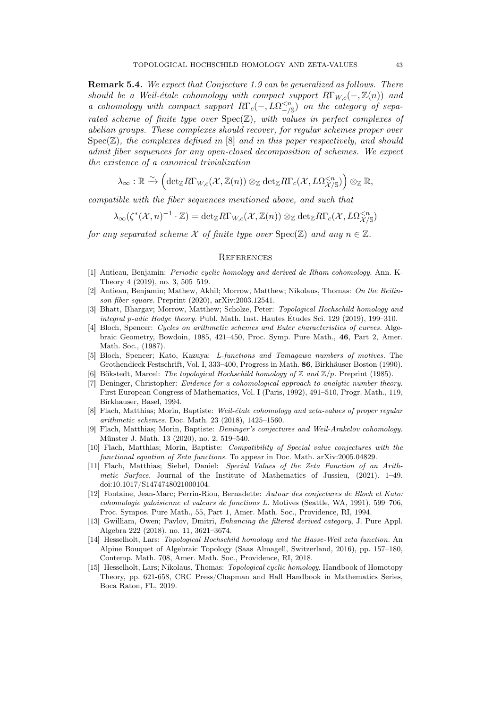Remark 5.4. We expect that Conjecture 1.9 can be generalized as follows. There should be a Weil-étale cohomology with compact support  $R\Gamma_{W,c}(-,\mathbb{Z}(n))$  and a cohomology with compact support  $R\Gamma_c(-,L\Omega_{-\frac{1}{s}}^{< n})$  on the category of separated scheme of finite type over  $Spec(\mathbb{Z})$ , with values in perfect complexes of abelian groups. These complexes should recover, for regular schemes proper over  $Spec(\mathbb{Z})$ , the complexes defined in [8] and in this paper respectively, and should admit fiber sequences for any open-closed decomposition of schemes. We expect the existence of a canonical trivialization

$$
\lambda_{\infty} : \mathbb{R} \xrightarrow{\sim} \left( \det_{\mathbb{Z}} R\Gamma_{W,c}(\mathcal{X},\mathbb{Z}(n)) \otimes_{\mathbb{Z}} \det_{\mathbb{Z}} R\Gamma_{c}(\mathcal{X},L\Omega^{
$$

compatible with the fiber sequences mentioned above, and such that

$$
\lambda_\infty(\zeta^*(\mathcal{X},n)^{-1}\cdot \mathbb{Z})=\mathrm{det}_{\mathbb{Z}}R\Gamma_{W,c}(\mathcal{X},\mathbb{Z}(n))\otimes_{\mathbb{Z}}\mathrm{det}_{\mathbb{Z}}R\Gamma_c(\mathcal{X},L\Omega^{
$$

for any separated scheme X of finite type over  $Spec(\mathbb{Z})$  and any  $n \in \mathbb{Z}$ .

## **REFERENCES**

- [1] Antieau, Benjamin: Periodic cyclic homology and derived de Rham cohomology. Ann. K-Theory 4 (2019), no. 3, 505–519.
- [2] Antieau, Benjamin; Mathew, Akhil; Morrow, Matthew; Nikolaus, Thomas: On the Beilinson fiber square. Preprint (2020), arXiv:2003.12541.
- [3] Bhatt, Bhargav; Morrow, Matthew; Scholze, Peter: Topological Hochschild homology and integral p-adic Hodge theory. Publ. Math. Inst. Hautes Études Sci. 129 (2019), 199–310.
- [4] Bloch, Spencer: Cycles on arithmetic schemes and Euler characteristics of curves. Algebraic Geometry, Bowdoin, 1985, 421–450, Proc. Symp. Pure Math., 46, Part 2, Amer. Math. Soc., (1987).
- [5] Bloch, Spencer; Kato, Kazuya: L-functions and Tamagawa numbers of motives. The Grothendieck Festschrift, Vol. I, 333–400, Progress in Math. 86, Birkhäuser Boston (1990).
- [6] Bökstedt, Marcel: The topological Hochschild homology of  $\mathbb Z$  and  $\mathbb Z/p$ . Preprint (1985).
- [7] Deninger, Christopher: Evidence for a cohomological approach to analytic number theory. First European Congress of Mathematics, Vol. I (Paris, 1992), 491–510, Progr. Math., 119, Birkhauser, Basel, 1994.
- [8] Flach, Matthias; Morin, Baptiste: Weil-étale cohomology and zeta-values of proper regular arithmetic schemes. Doc. Math. 23 (2018), 1425–1560.
- [9] Flach, Matthias; Morin, Baptiste: Deninger's conjectures and Weil-Arakelov cohomology. Münster J. Math. 13 (2020), no. 2, 519–540.
- [10] Flach, Matthias; Morin, Baptiste: Compatibility of Special value conjectures with the functional equation of Zeta functions. To appear in Doc. Math. arXiv:2005.04829.
- [11] Flach, Matthias; Siebel, Daniel: Special Values of the Zeta Function of an Arithmetic Surface. Journal of the Institute of Mathematics of Jussieu, (2021). 1–49. doi:10.1017/S1474748021000104.
- [12] Fontaine, Jean-Marc; Perrin-Riou, Bernadette: Autour des conjectures de Bloch et Kato: cohomologie galoisienne et valeurs de fonctions L. Motives (Seattle, WA, 1991), 599–706, Proc. Sympos. Pure Math., 55, Part 1, Amer. Math. Soc., Providence, RI, 1994.
- [13] Gwilliam, Owen; Pavlov, Dmitri, Enhancing the filtered derived category, J. Pure Appl. Algebra 222 (2018), no. 11, 3621–3674.
- [14] Hesselholt, Lars: Topological Hochschild homology and the Hasse-Weil zeta function. An Alpine Bouquet of Algebraic Topology (Saas Almagell, Switzerland, 2016), pp. 157–180, Contemp. Math. 708, Amer. Math. Soc., Providence, RI, 2018.
- [15] Hesselholt, Lars; Nikolaus, Thomas: Topological cyclic homology. Handbook of Homotopy Theory, pp. 621-658, CRC Press/Chapman and Hall Handbook in Mathematics Series, Boca Raton, FL, 2019.